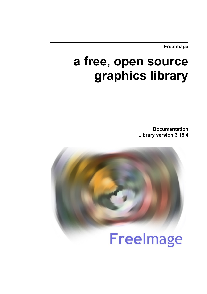**FreeImage**

# **a free, open source graphics library**

**Documentation Library version 3.15.4**

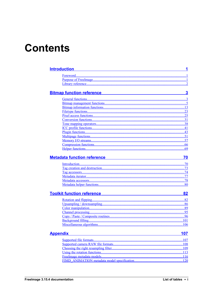# **Contents**

| <b>Introduction</b>                                                                                | 1            |
|----------------------------------------------------------------------------------------------------|--------------|
|                                                                                                    |              |
|                                                                                                    |              |
|                                                                                                    |              |
|                                                                                                    |              |
| <b>Bitmap function reference</b><br><u> 1980 - Johann Barn, mars an t-Amerikaansk ferskeider (</u> | $\mathbf{3}$ |
|                                                                                                    |              |
|                                                                                                    |              |
|                                                                                                    |              |
|                                                                                                    | .23          |
|                                                                                                    |              |
|                                                                                                    |              |
|                                                                                                    |              |
|                                                                                                    | .41          |
|                                                                                                    |              |
|                                                                                                    |              |
|                                                                                                    |              |
|                                                                                                    |              |
|                                                                                                    |              |
|                                                                                                    |              |
| <b>Metadata function reference</b>                                                                 | 70           |
|                                                                                                    |              |
|                                                                                                    | .73          |
|                                                                                                    |              |
|                                                                                                    |              |
|                                                                                                    |              |
|                                                                                                    | .80          |
| <b>Toolkit function reference</b>                                                                  | 82           |
|                                                                                                    |              |
|                                                                                                    |              |
|                                                                                                    |              |
|                                                                                                    |              |
|                                                                                                    |              |
|                                                                                                    |              |
|                                                                                                    |              |
|                                                                                                    | 106          |
| <b>Appendix</b>                                                                                    | 107          |
|                                                                                                    |              |
|                                                                                                    |              |
|                                                                                                    |              |
|                                                                                                    |              |
|                                                                                                    |              |
|                                                                                                    |              |
|                                                                                                    |              |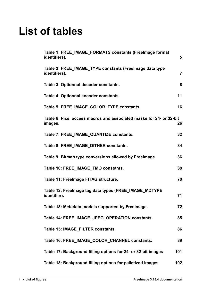# **List of tables**

| Table 1: FREE IMAGE FORMATS constants (Freelmage format<br>identifiers).       | 5              |
|--------------------------------------------------------------------------------|----------------|
| Table 2: FREE_IMAGE_TYPE constants (Freelmage data type<br>identifiers).       | $\overline{7}$ |
| Table 3: Optionnal decoder constants.                                          | 8              |
| Table 4: Optionnal encoder constants.                                          | 11             |
| Table 5: FREE IMAGE COLOR TYPE constants.                                      | 16             |
| Table 6: Pixel access macros and associated masks for 24- or 32-bit<br>images. | 26             |
| Table 7: FREE IMAGE QUANTIZE constants.                                        | 32             |
| Table 8: FREE_IMAGE_DITHER constants.                                          | 34             |
| Table 9: Bitmap type conversions allowed by Freelmage.                         | 36             |
| Table 10: FREE_IMAGE_TMO constants.                                            | 38             |
| Table 11: Freelmage FITAG structure.                                           | 70             |
| Table 12: Freelmage tag data types (FREE_IMAGE_MDTYPE<br>identifier).          | 71             |
| Table 13: Metadata models supported by Freelmage.                              | 72             |
| Table 14: FREE_IMAGE_JPEG_OPERATION constants.                                 | 85             |
| Table 15: IMAGE FILTER constants.                                              | 86             |
| Table 16: FREE IMAGE COLOR CHANNEL constants.                                  | 89             |
| Table 17: Background filling options for 24- or 32-bit images                  | 101            |
| Table 18: Background filling options for palletized images                     | 102            |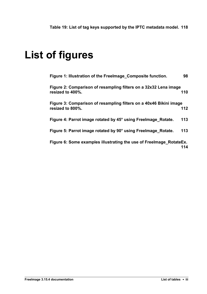# **List of figures**

| Figure 1: Illustration of the Freelmage Composite function.                            | 98  |
|----------------------------------------------------------------------------------------|-----|
| Figure 2: Comparison of resampling filters on a 32x32 Lena image<br>resized to 400%.   | 110 |
| Figure 3: Comparison of resampling filters on a 40x46 Bikini image<br>resized to 800%. | 112 |
| Figure 4: Parrot image rotated by 45° using Freelmage Rotate.                          | 113 |
| Figure 5: Parrot image rotated by 90° using Freelmage_Rotate.                          | 113 |
| Figure 6: Some examples illustrating the use of Freelmage RotateEx.                    | 114 |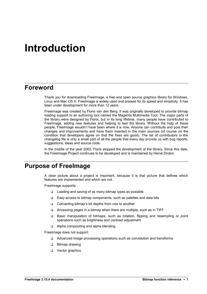## <span id="page-4-2"></span>**Introduction**

## <span id="page-4-1"></span>**Foreword**

Thank you for downloading FreeImage, a free and open source graphics library for Windows, Linux and Mac OS X. FreeImage is widely used and praised for its speed and simplicity. It has been under development for more than 12 years.

FreeImage was created by Floris van den Berg. It was originally developed to provide bitmap loading support to an authoring tool named the Magenta Multimedia Tool. The major parts of the library were designed by Floris, but in its long lifetime, many people have contributed to FreeImage, adding new features and helping to test the library. Without the help of these people, FreeImage wouldn't have been where it is now. Anyone can contribute and post their changes and improvements and have them inserted in the main sources (of course on the condition that developers agree on that the fixes are good). The list of contributors in the changelog file is only a small part of all the people that every day provide us with bug reports, suggestions, ideas and source code.

In the middle of the year 2002, Floris stopped the development of the library. Since this date, the FreeImage Project continues to be developed and is maintained by Hervé Drolon.

## <span id="page-4-0"></span>**Purpose of FreeImage**

A clear picture about a project is important, because it is that picture that defines which features are implemented and which are not.

FreeImage supports:

- $\Box$  Loading and saving of as many bitmap types as possible
- $\Box$  Easy access to bitmap components, such as palettes and data bits
- □ Converting bitmap's bit depths from one to another
- $\Box$  Accessing pages in a bitmap when there are multiple, such as in TIFF
- Basic manipulation of bitmaps, such as rotation, flipping and resampling or point operations such as brightness and contrast adjustment
- □ Alpha compositing and alpha blending

FreeImage does not support:

- □ Advanced image processing operations such as convolution and transforms
- □ Bitmap drawing
- **D** Vector graphics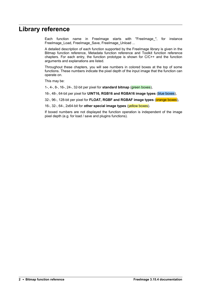### <span id="page-5-0"></span>**Library reference**

Each function name in Freelmage starts with "Freelmage", for instance FreeImage\_Load, FreeImage\_Save, FreeImage\_Unload ...

A detailed description of each function supported by the FreeImage library is given in the [Bitmap function reference,](#page-6-1) [Metadata function reference](#page-73-1) and [Toolkit function reference](#page-85-1) chapters. For each entry, the function prototype is shown for C/C++ and the function arguments and explanations are listed.

Throughout these chapters, you will see numbers in colored boxes at the top of some functions. These numbers indicate the pixel depth of the input image that the function can operate on.

This may be:

1-, 4-, 8-, 16-, 24-, 32-bit per pixel for **standard bitmap** (green boxes),

16-, 48-, 64-bit per pixel for **UINT16, RGB16 and RGBA16 image types** (blue boxes),

32-, 96-, 128-bit per pixel for **FLOAT, RGBF and RGBAF image types** (orange boxes),

16-, 32-, 64-, 2x64-bit for **other special image types** (yellow boxes).

If boxed numbers are not displayed the function operation is independent of the image pixel depth (e.g. for load / save and plugins functions).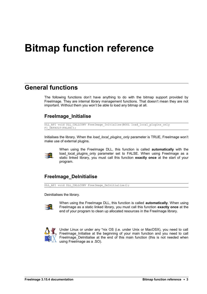# <span id="page-6-1"></span>**Bitmap function reference**

## <span id="page-6-0"></span>**General functions**

The following functions don't have anything to do with the bitmap support provided by FreeImage. They are internal library management functions. That doesn't mean they are not important. Without them you won't be able to load any bitmap at all.

#### **FreeImage\_Initialise**

```
DLL_API void DLL_CALLCONV FreeImage_Initialise(BOOL load_local_plugins_only
FI DEFAULT(FALSE));
```
Initialises the library. When the *load\_local\_plugins\_only* parameter is TRUE, FreeImage won't make use of external plugins.



When using the FreeImage DLL, this function is called **automatically** with the load\_local\_plugins\_only parameter set to FALSE. When using FreeImage as a static linked library, you must call this function **exactly once** at the start of your program.

### **FreeImage\_DeInitialise**

DLL API void DLL CALLCONV FreeImage DeInitialise();

Deinitialises the library.



When using the FreeImage DLL, this function is called **automatically**. When using FreeImage as a static linked library, you must call this function **exactly once** at the end of your program to clean up allocated resources in the FreeImage library.



Under Linux or under any \*nix OS (i.e. under Unix or MacOSX), you need to call FreeImage\_Initialise at the beginning of your main function and you need to call FreeImage\_DeInitialise at the end of this main function (this is not needed when using FreeImage as a .SO).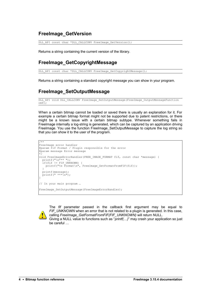#### **FreeImage\_GetVersion**

DLL API const char \*DLL CALLCONV FreeImage GetVersion();

Returns a string containing the current version of the library.

#### **FreeImage\_GetCopyrightMessage**

DLL\_API const char \*DLL\_CALLCONV FreeImage GetCopyrightMessage();

Returns a string containing a standard copyright message you can show in your program.

### **FreeImage\_SetOutputMessage**

```
DLL_API void DLL_CALLCONV FreeImage_SetOutputMessage(FreeImage_OutputMessageFunction
omf;
```
When a certain bitmap cannot be loaded or saved there is usually an explanation for it. For example a certain bitmap format might not be supported due to patent restrictions, or there might be a known issue with a certain bitmap subtype. Whenever something fails in FreeImage internally a log-string is generated, which can be captured by an application driving FreeImage. You use the function FreeImage SetOutputMessage to capture the log string so that you can show it to the user of the program.

```
/**
FreeImage error handler
@param fif Format / Plugin responsible for the error 
@param message Error message
*/
void FreeImageErrorHandler(FREE_IMAGE_FORMAT fif, const char *message) {
 printf("n*** "); if(fif != FIF_UNKNOWN) {
printf("%s Format\n", FreeImage GetFormatFromFIF(fif));
 }
 printf(message);
 printf(" ***\n");
}
// In your main program …
FreeImage SetOutputMessage(FreeImageErrorHandler);
```


The *fif* parameter passed in the callback first argument may be equal to *FIF\_UNKNOWN* when an error that is not related to a plugin is generated. In this case, calling *FreeImage\_GetFormatFromFIF(FIF\_UNKNOWN)* will return NULL.

Giving a NULL value to functions such as "*printf(…)*" may crash your application so just be careful …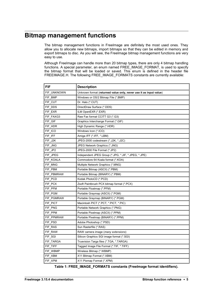## <span id="page-8-0"></span>**Bitmap management functions**

The bitmap management functions in FreeImage are definitely the most used ones. They allow you to allocate new bitmaps, import bitmaps so that they can be edited in memory and export bitmaps to disc. As you will see, the FreeImage bitmap management functions are very easy to use.

Although FreeImage can handle more than 20 bitmap types, there are only 4 bitmap handling functions. A special parameter, an enum named FREE\_IMAGE\_FORMAT, is used to specify the bitmap format that will be loaded or saved. This enum is defined in the header file FREEIMAGE.H. The following FREE\_IMAGE\_FORMATS constants are currently available:

| FIF         | <b>Description</b>                                                |
|-------------|-------------------------------------------------------------------|
| FIF UNKNOWN | Unknown format (returned value only, never use it as input value) |
| FIF BMP     | Windows or OS/2 Bitmap File (*.BMP)                               |
| FIF CUT     | Dr. Halo (*.CUT)                                                  |
| FIF DDS     | DirectDraw Surface (*.DDS)                                        |
| FIF EXR     | ILM OpenEXR (*.EXR)                                               |
| FIF FAXG3   | Raw Fax format CCITT G3 (*.G3)                                    |
| FIF_GIF     | Graphics Interchange Format (*.GIF)                               |
| FIF HDR     | High Dynamic Range (*.HDR)                                        |
| FIF ICO     | Windows Icon (*.ICO)                                              |
| FIF IFF     | Amiga IFF (*.IFF, *.LBM)                                          |
| FIF J2K     | JPEG-2000 codestream (*.J2K, *.J2C)                               |
| FIF JNG     | JPEG Network Graphics (*.JNG)                                     |
| FIF JP2     | JPEG-2000 File Format (*.JP2)                                     |
| FIF_JPEG    | Independent JPEG Group (* JPG, * JIF, * JPEG, * JPE)              |
| FIF KOALA   | Commodore 64 Koala format (*.KOA)                                 |
| FIF MNG     | Multiple Network Graphics (*.MNG)                                 |
| FIF_PBM     | Portable Bitmap (ASCII) (*.PBM)                                   |
| FIF_PBMRAW  | Portable Bitmap (BINARY) (*.PBM)                                  |
| FIF PCD     | Kodak PhotoCD (*.PCD)                                             |
| FIF_PCX     | Zsoft Paintbrush PCX bitmap format (*.PCX)                        |
| FIF_PFM     | Portable Floatmap (*.PFM)                                         |
| FIF PGM     | Portable Graymap (ASCII) (*.PGM)                                  |
| FIF PGMRAW  | Portable Graymap (BINARY) (*.PGM)                                 |
| FIF_PICT    | Macintosh PICT (*.PCT, *.PICT, *.PIC)                             |
| FIF_PNG     | Portable Network Graphics (* PNG)                                 |
| FIF PPM     | Portable Pixelmap (ASCII) (*.PPM)                                 |
| FIF PPMRAW  | Portable Pixelmap (BINARY) (*.PPM)                                |
| FIF_PSD     | Adobe Photoshop (*.PSD)                                           |
| FIF RAS     | Sun Rasterfile (*.RAS)                                            |
| FIF_RAW     | RAW camera image (many extensions)                                |
| FIF_SGI     | Silicon Graphics SGI image format (* SGI)                         |
| FIF_TARGA   | Truevision Targa files (*.TGA, *.TARGA)                           |
| FIF TIFF    | Tagged Image File Format (* TIF, * TIFF)                          |
| FIF_WBMP    | Wireless Bitmap (*.WBMP)                                          |
| FIF_XBM     | X11 Bitmap Format (*.XBM)                                         |
| FIF XPM     | X11 Pixmap Format (*.XPM)                                         |

<span id="page-8-1"></span>**Table 1: FREE\_IMAGE\_FORMATS constants (FreeImage format identifiers).**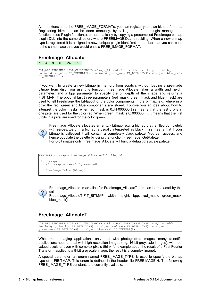As an extension to the FREE\_IMAGE\_FORMATs, you can register your own bitmap formats. Registering bitmaps can be done manually, by calling one of the plugin management functions (see [Plugin functions\)](#page-46-0), or automatically by copying a precompiled FreeImage bitmap plugin DLL into the same directory where FREEIMAGE.DLL is residing. When a new bitmap type is registered it is assigned a new, unique plugin identification number that you can pass to the same place that you would pass a FREE\_IMAGE\_FORMAT.

#### **FreeImage\_Allocate**

1 4 8 16 24 32

DLL API FIBITMAP \*DLL CALLCONV FreeImage Allocate(int width, int height, int bpp, unsigned red mask FI DEFAULT(0), unsigned green\_mask FI\_DEFAULT(0), unsigned blue\_mask FI DEFAULT $(0)$ );

If you want to create a new bitmap in memory from scratch, without loading a pre-made bitmap from disc, you use this function. FreeImage\_Allocate takes a width and height parameter, and a bpp parameter to specify the bit depth of the image and returns a FIBITMAP. The optional last three parameters (red\_mask, green\_mask and blue\_mask) are used to tell FreeImage the bit-layout of the color components in the bitmap, e.g. where in a pixel the red, green and blue components are stored. To give you an idea about how to interpret the color masks: when red mask is 0xFF000000 this means that the last 8 bits in one pixel are used for the color red. When green mask is 0x000000FF, it means that the first 8 bits in a pixel are used for the color green.



FreeImage\_Allocate allocates an *empty* bitmap, e.g. a bitmap that is filled completely with zeroes. Zero in a bitmap is usually interpreted as black. This means that if your bitmap is palletised it will contain a completely black palette. You can access, and hence populate the palette by using the function [FreeImage\\_GetPalette.](#page-17-0) For 8-bit images only, FreeImage\_Allocate will build a default greyscale palette.

```
FIBITMAP *bitmap = FreeImage Allocate(320, 240, 32);
if (bitmap) {
     // bitmap successfully created!
    FreeImage Unload(bitmap);
}
```
FreeImage\_Allocate is an alias for FreeImage\_AllocateT and can be replaced by this call:

FreeImage\_AllocateT(FIT\_BITMAP,\_width,\_height,\_bpp,\_red\_mask,\_green\_mask, blue\_mask);

### **FreeImage\_AllocateT**

DLL API FIBITMAP \*DLL CALLCONV FreeImage AllocateT(FREE IMAGE TYPE type, int width, int height, int bpp FI\_DEFAULT(8), unsigned red mask FI\_DEFAULT(0), unsigned green\_mask FI\_DEFAULT(0), unsigned blue\_mask FI\_DEFAULT(0));

While most imaging applications only deal with photographic images, many scientific applications need to deal with high resolution images (e.g. 16-bit greyscale images), with real valued pixels or even with complex pixels (think for example about the result of a Fast Fourier Transform applied to a 8-bit greyscale image: the result is a complex image).

A special parameter, an enum named FREE\_IMAGE\_TYPE, is used to specify the bitmap type of a FIBITMAP. This enum is defined in the header file FREEIMAGE.H. The following FREE\_IMAGE\_TYPE constants are currently available: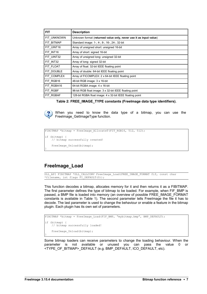| <b>FIT</b>  | <b>Description</b>                                                |
|-------------|-------------------------------------------------------------------|
| FIT UNKNOWN | Unknown format (returned value only, never use it as input value) |
| FIT BITMAP  | Standard image: 1-, 4-, 8-, 16-, 24-, 32-bit                      |
| FIT UINT16  | Array of unsigned short: unsigned 16-bit                          |
| FIT INT16   | Array of short: signed 16-bit                                     |
| FIT UINT32  | Array of unsigned long: unsigned 32-bit                           |
| FIT INT32   | Array of long: signed 32-bit                                      |
| FIT FLOAT   | Array of float: 32-bit IEEE floating point                        |
| FIT DOUBLE  | Array of double: 64-bit IEEE floating point                       |
| FIT_COMPLEX | Array of FICOMPLEX: 2 x 64-bit IEEE floating point                |
| FIT RGB16   | 48-bit RGB image: 3 x 16-bit                                      |
| FIT RGBA16  | 64-bit RGBA image: 4 x 16-bit                                     |
| FIT RGBF    | 96-bit RGB float image: 3 x 32-bit IEEE floating point            |
| FIT RGBAF   | 128-bit RGBA float image: 4 x 32-bit IEEE floating point          |

<span id="page-10-1"></span>**Table 2: FREE\_IMAGE\_TYPE constants (FreeImage data type identifiers).**



When you need to know the data type of a bitmap, you can use the [FreeImage\\_GetImageType](#page-16-1) function.

```
FIBITMAP *bitmap = FreeImage AllocateT(FIT RGB16, 512, 512);
if (bitmap) {
     // bitmap successfully created!
     FreeImage_Unload(bitmap);
}
```
#### <span id="page-10-0"></span>**FreeImage\_Load**

DLL API FIBITMAP \*DLL CALLCONV FreeImage Load(FREE IMAGE FORMAT fif, const char \*filename, int flags FI DEFAULT(0));

This function decodes a bitmap, allocates memory for it and then returns it as a FIBITMAP. The first parameter defines the type of bitmap to be loaded. For example, when FIF\_BMP is passed, a BMP file is loaded into memory (an overview of possible FREE\_IMAGE\_FORMAT constants is available in [Table 1\)](#page-8-1). The second parameter tells FreeImage the file it has to decode. The last parameter is used to change the behaviour or enable a feature in the bitmap plugin. Each plugin has its own set of parameters.

```
FIBITMAP *bitmap = FreeImage Load(FIF BMP, "mybitmap.bmp", BMP DEFAULT);
if (bitmap) {
     // bitmap successfully loaded!
    FreeImage Unload(bitmap);
}
```
Some bitmap loaders can receive parameters to change the loading behaviour. When the parameter is not available or unused you can pass the value 0 or <TYPE\_OF\_BITMAP>\_DEFAULT (e.g. BMP\_DEFAULT, ICO\_DEFAULT, etc).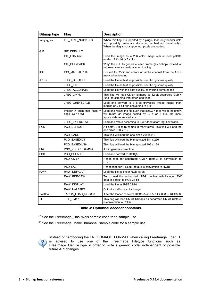| <b>Bitmap type</b>  | Flag                                                 | <b>Description</b>                                                                                                                                                                          |
|---------------------|------------------------------------------------------|---------------------------------------------------------------------------------------------------------------------------------------------------------------------------------------------|
| <any type=""></any> | FIF LOAD NOPIXELS                                    | When this flag is supported by a plugin, load only header data<br>and possibly metadata (including embedded thumbnail) <sup>(1)</sup><br>When the flag is not supported, pixels are loaded. |
| <b>GIF</b>          | <b>GIF DEFAULT</b>                                   |                                                                                                                                                                                             |
|                     | GIF LOAD256                                          | Load the image as a 256 color image with unused palette<br>entries, if it's 16 or 2 color                                                                                                   |
|                     | <b>GIF PLAYBACK</b>                                  | 'Play' the GIF to generate each frame (as 32bpp) instead of<br>returning raw frame data when loading                                                                                        |
| <b>ICO</b>          | ICO MAKEALPHA                                        | Convert to 32-bit and create an alpha channel from the AND-<br>mask when loading                                                                                                            |
| <b>JPEG</b>         | JPEG DEFAULT                                         | Load the file as fast as possible, sacrificing some quality                                                                                                                                 |
|                     | <b>JPEG FAST</b>                                     | Load the file as fast as possible, sacrificing some quality                                                                                                                                 |
|                     | JPEG_ACCURATE                                        | Load the file with the best quality, sacrificing some speed                                                                                                                                 |
|                     | <b>JPEG CMYK</b>                                     | This flag will load CMYK bitmaps as 32-bit separated CMYK<br>(use   to combine with other load flags)                                                                                       |
|                     | JPEG_GREYSCALE                                       | Load and convert to a 8-bit greyscale image (faster than<br>loading as 24-bit and converting to 8-bit)                                                                                      |
|                     | Integer $X$ such that flags =<br>flags $ (X \le 16)$ | Load and resize the file such that size/ $X = max(width, height)/X$<br>will return an image scaled by 2, 4 or 8 (i.e. the most<br>appropriate requested size). (2)                          |
|                     | <b>JPEG_EXIFROTATE</b>                               | Load and rotate according to Exif 'Orientation' tag if available                                                                                                                            |
| <b>PCD</b>          | PCD DEFAULT                                          | A PhotoCD picture comes in many sizes. This flag will load the<br>one sized $768 \times 512$                                                                                                |
|                     | PCD BASE                                             | This flag will load the one sized 768 x 512                                                                                                                                                 |
|                     | PCD BASEDIV4                                         | This flag will load the bitmap sized 384 x 256                                                                                                                                              |
|                     | PCD BASEDIV16                                        | This flag will load the bitmap sized 192 x 128                                                                                                                                              |
| <b>PNG</b>          | PNG_IGNOREGAMMA                                      | Avoid gamma correction                                                                                                                                                                      |
| <b>PSD</b>          | PSD DEFAULT                                          | Load and convert to RGB[A]                                                                                                                                                                  |
|                     | PSD_CMYK                                             | Reads tags for separated CMYK (default is conversion to<br>RGB)                                                                                                                             |
|                     | PSD_LAB                                              | Reads tags for CIELab (default is conversion to RGB)                                                                                                                                        |
| <b>RAW</b>          | RAW DEFAULT                                          | Load the file as linear RGB 48-bit                                                                                                                                                          |
|                     | RAW_PREVIEW                                          | Try to load the embedded JPEG preview with included Exif<br>data or default to RGB 24-bit                                                                                                   |
|                     | RAW_DISPLAY                                          | Load the file as RGB 24-bit                                                                                                                                                                 |
|                     | RAW_HALFSIZE                                         | Output a half-size color image                                                                                                                                                              |
| <b>TARGA</b>        | TARGA_LOAD_RGB888                                    | If set the loader converts RGB555 and ARGB8888 -> RGB888                                                                                                                                    |
| <b>TIFF</b>         | TIFF_CMYK                                            | This flag will load CMYK bitmaps as separated CMYK (default<br>is conversion to RGB)                                                                                                        |

#### <span id="page-11-0"></span>**Table 3: Optionnal decoder constants.**

 $(1)$  See the Freelmage HasPixels sample code for a sample use.

(2) See the Freelmage\_MakeThumbnail sample code for a sample use.



Instead of hardcoding the FREE\_IMAGE\_FORMAT when calling FreeImage\_Load, it is advised to use one of the FreeImage [Filetype functions](#page-26-0) such as [FreeImage\\_GetFileType](#page-26-1) in order to write a generic code, independent of possible future API changes.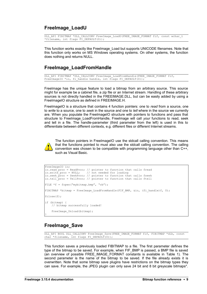#### **FreeImage\_LoadU**

DLL API FIBITMAP \*DLL CALLCONV FreeImage LoadU(FREE IMAGE FORMAT fif, const wchar t \*filename, int flags  $\overline{F}$ I DEFAULT(0));

This function works exactly like [FreeImage\\_Load](#page-10-0) but supports UNICODE filenames. Note that this function only works on MS Windows operating systems. On other systems, the function does nothing and returns NULL.

#### **FreeImage\_LoadFromHandle**

DLL\_API FIBITMAP \*DLL\_CALLCONV FreeImage\_LoadFromHandle(FREE\_IMAGE\_FORMAT fif, FreeImageIO \*io, fi\_handle handle, int flags FI\_DEFAULT(0));

FreeImage has the unique feature to load a bitmap from an arbitrary source. This source might for example be a cabinet file, a zip file or an Internet stream. Handling of these arbitrary sources is not directly handled in the FREEIMAGE.DLL, but can be easily added by using a FreeImageIO structure as defined in FREEIMAGE.H.

FreeImageIO is a structure that contains 4 function pointers: one to *read* from a source, one to *write* to a source, one to *seek* in the source and one to *tell* where in the source we currently are. When you populate the FreeImageIO structure with pointers to functions and pass that structure to FreeImage\_LoadFromHandle, FreeImage will call *your* functions to read, seek and tell in a file. The handle-parameter (third parameter from the left) is used in this to differentiate between different contexts, e.g. different files or different Internet streams.



The function pointers in FreeImageIO use the stdcall calling convention. This means that the functions pointed to must also use the stdcall calling convention. The calling convention was chosen to be compatible with programming language other than C++, such as Visual Basic.

```
FreeImageIO io;
io.read proc = ReadProc; // pointer to function that calls fread
io.write proc = NULL; // not needed for loading
io.seek proc = SeekProc; // pointer to function that calls fseek
io.tell_proc = TellProc; // pointer to function that calls ftell
FILE *f = fopen("mybitmap.bmp", "rb");FIBITMAP *bitmap = FreeImage LoadFromHandle(FIF BMP, &io, (fi handle)f, 0);
fclose(f);
if (bitmap) {
     // bitmap successfully loaded!
    FreeImage Unload(bitmap);
}
```
#### <span id="page-12-0"></span>**FreeImage\_Save**

DLL API BOOL DLL CALLCONV FreeImage Save(FREE IMAGE FORMAT fif, FIBITMAP \*dib, const char \*filename, int flags FI DEFAULT(0));

This function saves a previously loaded FIBITMAP to a file. The first parameter defines the type of the bitmap to be saved. For example, when FIF\_BMP is passed, a BMP file is saved (an overview of possible FREE\_IMAGE\_FORMAT constants is available in [Table 1\)](#page-8-1). The second parameter is the name of the bitmap to be saved. If the file already exists it is overwritten. Note that some bitmap save plugins have restrictions on the bitmap types they can save. For example, the JPEG plugin can only save 24 bit and 8 bit greyscale bitmaps\*.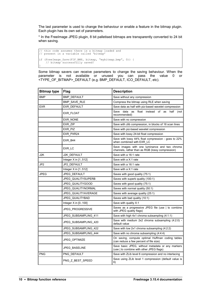The last parameter is used to change the behaviour or enable a feature in the bitmap plugin. Each plugin has its own set of parameters.

\* In the FreeImage JPEG plugin, 8 bit palletised bitmaps are transparently converted to 24 bit when saving.

```
// this code assumes there is a bitmap loaded and 
// present in a variable called 'bitmap'
if (FreeImage Save(FIF BMP, bitmap, "mybitmap.bmp", 0)) {
 // bitmap successfully saved!
}
```
Some bitmap savers can receive parameters to change the saving behaviour. When the parameter is not available or unused you can pass the value 0 or <TYPE\_OF\_BITMAP>\_DEFAULT (e.g. BMP\_DEFAULT, ICO\_DEFAULT, etc).

| <b>Bitmap type</b> | <b>Flag</b>             | <b>Description</b>                                                                                |
|--------------------|-------------------------|---------------------------------------------------------------------------------------------------|
| <b>BMP</b>         | <b>BMP DEFAULT</b>      | Save without any compression                                                                      |
|                    | <b>BMP SAVE RLE</b>     | Compress the bitmap using RLE when saving                                                         |
| EXR                | EXR DEFAULT             | Save data as half with piz-based wavelet compression                                              |
|                    | EXR_FLOAT               | float instead of<br>Save<br>data<br>as<br>half<br>as<br>(not<br>recommended)                      |
|                    | EXR_NONE                | Save with no compression                                                                          |
|                    | EXR ZIP                 | Save with zlib compression, in blocks of 16 scan lines                                            |
|                    | EXR PIZ                 | Save with piz-based wavelet compression                                                           |
|                    | EXR PXR24               | Save with lossy 24-bit float compression                                                          |
|                    | EXR B44                 | Save with lossy 44% float compression - goes to 22%<br>when combined with EXR LC                  |
|                    | EXR LC                  | Save images with one luminance and two chroma<br>channels, rather than as RGB (lossy compression) |
| J2K                | J2K DEFAULT             | Save with a 16:1 rate                                                                             |
|                    | Integer $X$ in $[1512]$ | Save with a X:1 rate                                                                              |
| JP <sub>2</sub>    | JP2 DEFAULT             | Save with a 16:1 rate                                                                             |
|                    | Integer $X$ in $[1512]$ | Save with a X:1 rate                                                                              |
| <b>JPEG</b>        | JPEG DEFAULT            | Saves with good quality (75:1)                                                                    |
|                    | JPEG QUALITYSUPERB      | Saves with superb quality (100:1)                                                                 |
|                    | JPEG QUALITYGOOD        | Saves with good quality (75:1)                                                                    |
|                    | JPEG QUALITYNORMAL      | Saves with normal quality (50:1)                                                                  |
|                    | JPEG QUALITYAVERAGE     | Saves with average quality (25:1)                                                                 |
|                    | JPEG QUALITYBAD         | Saves with bad quality (10:1)                                                                     |
|                    | Integer $X$ in $[0100]$ | Save with quality X:1                                                                             |
|                    | JPEG PROGRESSIVE        | Saves as a progressive JPEG file (use   to combine<br>with JPEG quality flags)                    |
|                    | JPEG_SUBSAMPLING_411    | Save with high 4x1 chroma subsampling (4:1:1)                                                     |
|                    | JPEG SUBSAMPLING 420    | Save with medium 2x2 chroma subsampling (4:2:0) -<br>default value                                |
|                    | JPEG_SUBSAMPLING_422    | Save with low 2x1 chroma subsampling (4:2:2)                                                      |
|                    | JPEG_SUBSAMPLING_444    | Save with no chroma subsampling (4:4:4)                                                           |
|                    | JPEG OPTIMIZE           | On saving, compute optimal Huffman coding tables<br>(can reduce a few percent of file size)       |
|                    | <b>JPEG BASELINE</b>    | Save basic JPEG, without metadata or any markers<br>(use I to combine with other JPEG flags)      |
| <b>PNG</b>         | PNG DEFAULT             | Save with ZLib level 6 compression and no interlacing                                             |
|                    | PNG Z BEST SPEED        | Save using ZLib level 1 compression (default value is<br>6)                                       |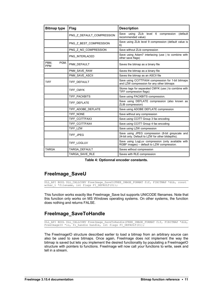| <b>Bitmap type</b>         | <b>Flag</b>               | <b>Description</b>                                                                                    |
|----------------------------|---------------------------|-------------------------------------------------------------------------------------------------------|
|                            | PNG Z DEFAULT COMPRESSION | (default<br>ZLib level 6 compression<br>Save using<br>recommended value)                              |
|                            | PNG Z BEST COMPRESSION    | Save using ZLib level 9 compression (default value is<br>6)                                           |
|                            | PNG Z NO COMPRESSION      | Save without ZLib compression                                                                         |
|                            | PNG INTERLACED            | Save using Adam7 interlacing (use   to combine with<br>other save flags)                              |
| PBM.<br>PGM,<br><b>PPM</b> | PNM_DEFAULT               | Saves the bitmap as a binary file                                                                     |
|                            | PNM SAVE RAW              | Saves the bitmap as a binary file                                                                     |
|                            | PNM_SAVE_ASCII            | Saves the bitmap as an ASCII file                                                                     |
| <b>TIFF</b>                | TIFF DEFAULT              | Save using CCITTFAX4 compression for 1-bit bitmaps<br>and LZW compression for any other bitmaps       |
|                            | TIFF CMYK                 | Stores tags for separated CMYK (use   to combine with<br>TIFF compression flags)                      |
|                            | TIFF PACKBITS             | Save using PACKBITS compression.                                                                      |
|                            | TIFF DEFLATE              | Save using DEFLATE compression (also known as<br>ZLIB compression)                                    |
|                            | TIFF ADOBE DEFLATE        | Save using ADOBE DEFLATE compression                                                                  |
|                            | TIFF NONE                 | Save without any compression                                                                          |
|                            | TIFF_CCITTFAX3            | Save using CCITT Group 3 fax encoding                                                                 |
|                            | TIFF CCITTFAX4            | Save using CCITT Group 4 fax encoding                                                                 |
|                            | TIFF_LZW                  | Save using LZW compression                                                                            |
|                            | TIFF_JPEG                 | Save using JPEG compression (8-bit greyscale and<br>24-bit only. Default to LZW for other bitdepths). |
|                            | TIFF LOGLUV               | Save using LogLuv compression (only available with<br>RGBF images) - default to LZW compression.      |
| <b>TARGA</b>               | TARGA DEFAULT             | Saves without compression                                                                             |
|                            | TARGA SAVE RLE            | Saves with RLE compression                                                                            |

**Table 4: Optionnal encoder constants.**

#### **FreeImage\_SaveU**

DLL\_API BOOL DLL\_CALLCONV FreeImage\_SaveU(FREE\_IMAGE\_FORMAT fif, FIBITMAP \*dib, const wchar t \*filename, int flags FI\_DEFAULT(0));

This function works exactly like [FreeImage\\_Save](#page-12-0) but supports UNICODE filenames. Note that this function only works on MS Windows operating systems. On other systems, the function does nothing and returns FALSE.

#### **FreeImage\_SaveToHandle**

DLL\_API BOOL DLL\_CALLCONV FreeImage\_SaveToHandle(FREE\_IMAGE\_FORMAT fif, FIBITMAP \*dib, FreeImageIO \*io, fi handle handle, int flags FI DEFAULT(0));

The FreeImageIO structure described earlier to load a bitmap from an arbitrary source can also be used to save bitmaps. Once again, FreeImage does not implement the way the bitmap is saved but lets you implement the desired functionality by populating a FreeImageIO structure with pointers to functions. FreeImage will now call *your* functions to write, seek and tell in a stream.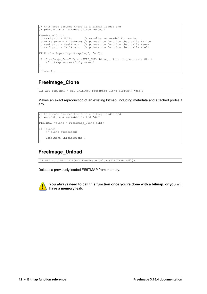```
// this code assumes there is a bitmap loaded and 
// present in a variable called 'bitmap'
FreeImageIO io;<br>io.read proc = NULL;
io.read proc = NULL; \qquad // usually not needed for saving
io.write proc = WriteProc; // pointer to function that calls fwrite
io.seek proc = SeekProc; // pointer to function that calls fseek
io.tell proc = TellProc; // pointer to function that calls ftell
FILE *f = fopen("mybitmap.bmp", "wb");if (FreeImage_SaveToHandle(FIF_BMP, bitmap, &io, (fi handle)f, 0)) {
     // bitmap successfully saved!
}
fclose(f);
```
### **FreeImage\_Clone**

DLL\_API FIBITMAP \* DLL\_CALLCONV FreeImage\_Clone(FIBITMAP \*dib);

Makes an exact reproduction of an existing bitmap, including metadata and attached profile if any.

```
// this code assumes there is a bitmap loaded and 
// present in a variable called 'dib'
FIBITMAP *clone = FreeImage_Clone(dib);
if (clone) {
     // clone succeeded!
   FreeImage Unload(clone);
}
```
#### **FreeImage\_Unload**

DLL\_API void DLL\_CALLCONV FreeImage\_Unload(FIBITMAP \*dib);

Deletes a previously loaded FIBITMAP from memory.



**You** *always* **need to call this function once you're done with a bitmap, or you will have a memory leak**.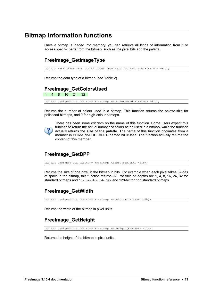## <span id="page-16-0"></span>**Bitmap information functions**

Once a bitmap is loaded into memory, you can retrieve all kinds of information from it or access specific parts from the bitmap, such as the pixel bits and the palette.

#### <span id="page-16-1"></span>**FreeImage\_GetImageType**

DLL API FREE IMAGE TYPE DLL CALLCONV FreeImage GetImageType(FIBITMAP \*dib);

Returns the data type of a bitmap (see [Table 2\)](#page-10-1).

#### **FreeImage\_GetColorsUsed**

1 4 8 16 24 32

DLL\_API unsigned DLL\_CALLCONV FreeImage\_GetColorsUsed(FIBITMAP \*dib);

Returns the number of colors used in a bitmap. This function returns the palette-size for palletised bitmaps, and 0 for high-colour bitmaps.



There has been some criticism on the name of this function. Some users expect this function to return the actual number of colors being used in a bitmap, while the function actually returns the **size of the palette**. The name of this function originates from a member in BITMAPINFOHEADER named biClrUsed. The function actually returns the content of this member.

### <span id="page-16-2"></span>**FreeImage\_GetBPP**

DLL\_API unsigned DLL\_CALLCONV FreeImage\_GetBPP(FIBITMAP \*dib);

Returns the size of one pixel in the bitmap in bits. For example when each pixel takes 32-bits of space in the bitmap, this function returns 32. Possible bit depths are 1, 4, 8, 16, 24, 32 for standard bitmaps and 16-, 32-, 48-, 64-, 96- and 128-bit for non standard bitmaps.

#### **FreeImage\_GetWidth**

DLL\_API unsigned DLL\_CALLCONV FreeImage GetWidth(FIBITMAP \*dib);

Returns the width of the bitmap in pixel units.

### **FreeImage\_GetHeight**

DLL\_API unsigned DLL\_CALLCONV FreeImage\_GetHeight(FIBITMAP \*dib);

Returns the height of the bitmap in pixel units.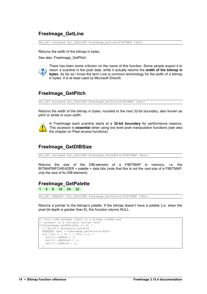#### **FreeImage\_GetLine**

DLL\_API unsigned DLL\_CALLCONV FreeImage GetLine(FIBITMAP \*dib);

Returns the width of the bitmap in bytes.

See also: FreeImage GetPitch.



There has been some criticism on the name of this function. Some people expect it to return a scanline in the pixel data, while it actually returns the **width of the bitmap in bytes**. As far as I know the term Line is common terminology for the width of a bitmap in bytes. It is at least used by Microsoft DirectX.

### <span id="page-17-1"></span>**FreeImage\_GetPitch**

DLL\_API unsigned DLL\_CALLCONV FreeImage GetPitch(FIBITMAP \*dib);

Returns the width of the bitmap in bytes, rounded to the next 32-bit boundary, also known as pitch or stride or scan width.



In FreeImage each scanline starts at a **32-bit boundary** for performance reasons. This accessor is **essential** when using low level pixel manipulation functions (see also the chapter on [Pixel access functions\)](#page-28-0).

#### **FreeImage\_GetDIBSize**

DLL\_API unsigned DLL\_CALLCONV FreeImage\_GetDIBSize(FIBITMAP \*dib);

Returns the size of the DIB-element of a FIBITMAP in memory, i.e. the BITMAPINFOHEADER + palette + data bits (note that this is not the *real* size of a FIBITMAP, only the size of its DIB-element).

#### <span id="page-17-0"></span>**FreeImage\_GetPalette**

1 4 8 16 24 32

DLL\_API RGBQUAD \*DLL\_CALLCONV FreeImage\_GetPalette(FIBITMAP \*dib);

Returns a pointer to the bitmap's palette. If the bitmap doesn't have a palette (i.e. when the pixel bit depth is greater than 8), this function returns NULL.

```
// this code assumes there is a bitmap loaded and
 // present in a variable called 'dib'
if(FreeImage GetBPP(dib) == 8) {
  // Build a greyscale palette
 RGBQUAD *pal = FreeImage GetPalette(dib);for (int i = 0; i < 256; i^{++}) {
   pal[i].rgbRed = i;pal[i].rgbGreen = i;
   pal[i].rgbBlue = i; }
```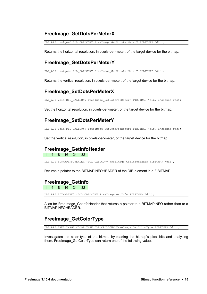#### **FreeImage\_GetDotsPerMeterX**

DLL\_API unsigned DLL\_CALLCONV FreeImage\_GetDotsPerMeterX(FIBITMAP \*dib);

Returns the horizontal resolution, in pixels-per-meter, of the target device for the bitmap.

#### **FreeImage\_GetDotsPerMeterY**

DLL\_API unsigned DLL\_CALLCONV FreeImage\_GetDotsPerMeterY(FIBITMAP \*dib);

Returns the vertical resolution, in pixels-per-meter, of the target device for the bitmap.

#### **FreeImage\_SetDotsPerMeterX**

DLL API void DLL CALLCONV FreeImage SetDotsPerMeterX(FIBITMAP \*dib, unsigned res);

Set the horizontal resolution, in pixels-per-meter, of the target device for the bitmap.

#### **FreeImage\_SetDotsPerMeterY**

DLL API void DLL CALLCONV FreeImage SetDotsPerMeterY(FIBITMAP \*dib, unsigned res);

Set the vertical resolution, in pixels-per-meter, of the target device for the bitmap.

#### **FreeImage\_GetInfoHeader**

1 4 8 16 24 32

DLL API BITMAPINFOHEADER \*DLL CALLCONV FreeImage GetInfoHeader(FIBITMAP \*dib);

Returns a pointer to the BITMAPINFOHEADER of the DIB-element in a FIBITMAP.

#### **FreeImage\_GetInfo**

1 4 8 16 24 32

DLL\_API BITMAPINFO \*DLL\_CALLCONV FreeImage\_GetInfo(FIBITMAP \*dib);

Alias for FreeImage\_GetInfoHeader that returns a pointer to a BITMAPINFO rather than to a BITMAPINFOHEADER.

#### <span id="page-18-0"></span>**FreeImage\_GetColorType**

DLL\_API FREE\_IMAGE\_COLOR\_TYPE\_DLL\_CALLCONV FreeImage\_GetColorType(FIBITMAP \*dib);

Investigates the color type of the bitmap by reading the bitmap's pixel bits and analysing them. FreeImage\_GetColorType can return one of the following values: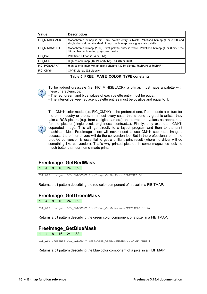| <b>Value</b>          | <b>Description</b>                                                                                                                                                     |
|-----------------------|------------------------------------------------------------------------------------------------------------------------------------------------------------------------|
| <b>FIC MINISBLACK</b> | Monochrome bitmap (1-bit) : first palette entry is black. Palletised bitmap (4 or 8-bit) and<br>single channel non standard bitmap: the bitmap has a greyscale palette |
| <b>FIC MINISWHITE</b> | Monochrome bitmap (1-bit) : first palette entry is white. Palletised bitmap (4 or 8-bit) : the<br>bitmap has an inverted greyscale palette                             |
| FIC PALETTE           | Palettized bitmap (1, 4 or 8 bit)                                                                                                                                      |
| FIC RGB               | High-color bitmap (16, 24 or 32 bit), RGB16 or RGBF                                                                                                                    |
| FIC RGBALPHA          | High-color bitmap with an alpha channel (32 bit bitmap, RGBA16 or RGBAF)                                                                                               |
| FIC CMYK              | CMYK bitmap (32 bit only)                                                                                                                                              |

**Table 5: FREE\_IMAGE\_COLOR\_TYPE constants.**



To be judged greyscale (i.e. FIC\_MINISBLACK), a bitmap must have a palette with these characteristics:

- The red, green, and blue values of each palette entry must be equal,

- The interval between adjacent palette entries must be positive and equal to 1.



The CMYK color model (i.e. FIC\_CMYK) is the preferred one, if one needs a picture for the print industry or press. In almost every case, this is done by graphic artists: they take a RGB picture (e.g. from a digital camera) and correct the values as appropriate for the picture (single pixel, brightness, contrast...). Finally, they export an CMYK separated image. This will go directly to a layout program and then to the print machines. Most FreeImage users will never need to use CMYK separated images, because the printer drivers will do the conversion job. But in the professional print, the proofed conversion is essential to get a brilliant print result (where no driver will do something like conversion). That's why printed pictures in some magazines look so much better than our home-made prints.

#### **FreeImage\_GetRedMask**

1 4 8 16 24 32

DLL\_API unsigned DLL\_CALLCONV FreeImage GetRedMask(FIBITMAP \*dib);

Returns a bit pattern describing the red color component of a pixel in a FIBITMAP.

#### **FreeImage\_GetGreenMask**

1 4 8 16 24 32

DLL\_API unsigned DLL\_CALLCONV FreeImage GetGreenMask(FIBITMAP \*dib);

Returns a bit pattern describing the green color component of a pixel in a FIBITMAP.

#### **FreeImage\_GetBlueMask**

1 4 8 16 24 32

DLL\_API unsigned DLL\_CALLCONV FreeImage GetBlueMask(FIBITMAP \*dib);

Returns a bit pattern describing the blue color component of a pixel in a FIBITMAP.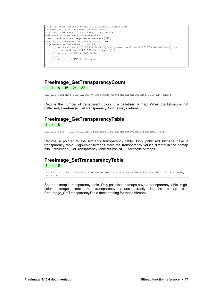```
// this code assumes there is a bitmap loaded and
.<br>// present in a variable called 'dib
unsigned red mask, green mask, blue_mask;
red\_mask = FreeImage GetRedMask(dib);green mask = FreeImage GetGreenMask(dib);
blue mask = FreeImage_GetBlueMask(dib);
if(FreeImage_GetBPP(dib) == 16) {
 if ((red_mask == FI16_565_RED_MASK) && (green_mask == FI16_565_GREEN_MASK) && 
(blue mask == FI16 565 BLUE MASK)) {
     // We are in RGB16 565 mode
   } else {
     // We are in RGB16 555 mode
 }
}
```
#### **FreeImage\_GetTransparencyCount**

1 4 8 16 24 32

DLL\_API unsigned DLL\_CALLCONV FreeImage GetTransparencyCount(FIBITMAP \*dib);

Returns the number of transparent colors in a palletised bitmap. When the bitmap is not palletised, FreeImage\_GetTransparencyCount always returns 0.

#### **FreeImage\_GetTransparencyTable**

1 4 8

DLL\_API BYTE \* DLL\_CALLCONV FreeImage\_GetTransparencyTable(FIBITMAP \*dib);

Returns a pointer to the bitmap's transparency table. Only palletised bitmaps have a transparency table. High-color bitmaps store the transparency values directly in the bitmap bits. FreeImage\_GetTransparencyTable returns NULL for these bitmaps.

## <span id="page-20-0"></span>**FreeImage\_SetTransparencyTable**

1 4 8

DLL API void DLL CALLCONV FreeImage SetTransparencyTable(FIBITMAP \*dib, BYTE \*table, int count);

Set the bitmap's transparency table. Only palletised bitmaps have a transparency table. Highcolor bitmaps store the transparency values directly in the bitmap bits. FreeImage\_SetTransparencyTable does nothing for these bitmaps.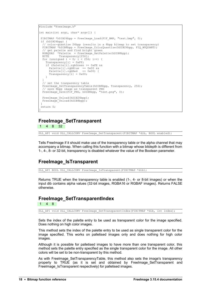```
#include "FreeImage.h"
int main(int argc, char* argv[]) {
FIBITMAP *hDIB24bpp = FreeImage Load(FIF BMP, "test.bmp", 0);
 if (hDIB24bpp) {
 // color-quantize 24bpp (results in a 8bpp bitmap to set transparency)
 FIBITMAP *hDIB8bpp = FreeImage_ColorQuantize(hDIB24bpp, FIQ WUQUANT);
  // get palette and find bright green
RGBQUAD *Palette = FreeImage GetPalette(hDIB8bpp);
BYTE Transparency[256];
for (unsigned i = 0; i < 256; i++) {
Transparency[i] = 0xFF;
    if (Palette[i].rgbGreen >= 0xFE && 
Palette[i].rgbBlue == 0x00 &&
 Palette[i].rgbRed == 0x00) {
     Transparency[i] = 0x00; }
 }
  // set the tranparency table
 FreeImage_SetTransparencyTable(hDIB8bpp, Transparency, 256);
  // save 8bpp image as transparent PNG
 FreeImage Save(FIF PNG, hDIB8bpp, "test.png", 0);
 FreeImage Unload(hDIB24bpp);
 FreeImage_Unload(hDIB8bpp);
 }
 return 0;
}
```
#### <span id="page-21-1"></span>**FreeImage\_SetTransparent**

1 4 8 32

DLL\_API void DLL\_CALLCONV FreeImage\_SetTransparent(FIBITMAP \*dib, BOOL enabled);

Tells FreeImage if it should make use of the transparency table or the alpha channel that may accompany a bitmap. When calling this function with a bitmap whose bitdepth is different from 1-, 4-, 8- or 32-bit, transparency is disabled whatever the value of the Boolean parameter.

#### <span id="page-21-0"></span>**FreeImage\_IsTransparent**

DLL\_API BOOL DLL\_CALLCONV FreeImage\_IsTransparent(FIBITMAP \*dib);

Returns TRUE when the transparency table is enabled (1-, 4- or 8-bit images) or when the input dib contains alpha values (32-bit images, RGBA16 or RGBAF images). Returns FALSE otherwise.

#### **FreeImage\_SetTransparentIndex**

1 4 8

DLL\_API void DLL\_CALLCONV FreeImage\_SetTransparentIndex(FIBITMAP \*dib, int index);

Sets the index of the palette entry to be used as transparent color for the image specified. Does nothing on high color images.

This method sets the index of the palette entry to be used as single transparent color for the image specified. This works on palletised images only and does nothing for high color images.

Although it is possible for palletised images to have more than one transparent color, this method sets the palette entry specified as the single transparent color for the image. All other colors will be set to be non-transparent by this method.

As with Freelmage SetTransparencyTable, this method also sets the image's transparency property to TRUE (as it is set and obtained by [FreeImage\\_SetTransparent](#page-21-1) and Freelmage IsTransparent respectively) for palletised images.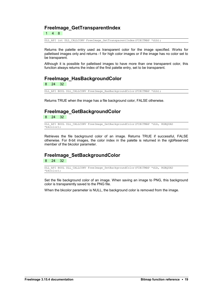#### **FreeImage\_GetTransparentIndex**

1 4 8

DLL\_API int DLL\_CALLCONV FreeImage GetTransparentIndex(FIBITMAP \*dib);

Returns the palette entry used as transparent color for the image specified. Works for palletised images only and returns -1 for high color images or if the image has no color set to be transparent.

Although it is possible for palletised images to have more than one transparent color, this function always returns the index of the first palette entry, set to be transparent.

#### **FreeImage\_HasBackgroundColor**

8 24 32

DLL API BOOL DLL CALLCONV FreeImage HasBackgroundColor(FIBITMAP \*dib);

Returns TRUE when the image has a file background color, FALSE otherwise.

#### **FreeImage\_GetBackgroundColor**

8 24 32

```
DLL_API BOOL DLL_CALLCONV FreeImage_GetBackgroundColor(FIBITMAP *dib, RGBQUAD
*bkcolor);
```
Retrieves the file background color of an image. Returns TRUE if successful, FALSE otherwise. For 8-bit images, the color index in the palette is returned in the rgbReserved member of the bkcolor parameter.

#### **FreeImage\_SetBackgroundColor**

8 24 32

```
DLL_API BOOL DLL_CALLCONV FreeImage_SetBackgroundColor(FIBITMAP *dib, RGBQUAD
*bkcolor);
```
Set the file background color of an image. When saving an image to PNG, this background color is transparently saved to the PNG file.

When the bkcolor parameter is NULL, the background color is removed from the image.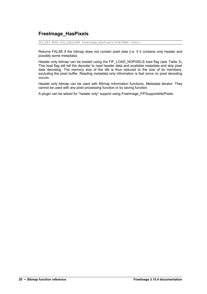#### <span id="page-23-0"></span>**FreeImage\_HasPixels**

DLL\_API BOOL DLL\_CALLCONV FreeImage\_HasPixels(FIBITMAP \*dib);

Returns FALSE if the bitmap does not contain pixel data (i.e. if it contains only header and possibly some metadata).

Header only bitmap can be loaded using the FIF LOAD NOPIXELS load flag (see [Table 3\)](#page-11-0). This load flag will tell the decoder to read header data and available metadata and skip pixel data decoding. The memory size of the dib is thus reduced to the size of its members, excluding the pixel buffer. Reading metadata only information is fast since no pixel decoding occurs.

Header only bitmap can be used with [Bitmap information functions,](#page-16-0) [Metadata iterator.](#page-80-0) They cannot be used with any pixel processing function or by saving function.

A plugin can be asked for "header only" support using [FreeImage\\_FIFSupportsNoPixels.](#page-52-0)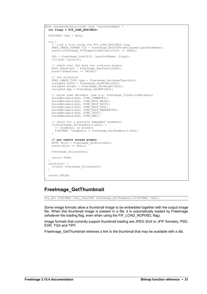```
BOOL testHeaderData(const char *lpszPathName) {
  int flags = FIF_LOAD_NOPIXELS;
 FIBITMAP *dib = NULL;
 try {
 // load a file using the FIF_LOAD_NOPIXELS flag
   FREE IMAGE FORMAT fif = FreeImage GetFIFFromFilename(lpszPathName);
    assert(FreeImage FIFSupportsNoPixels(fif) == TRUE);
   dib = FreeImage Load(fif, lpszPathName, flags);
   if(!dib) throw(\overline{1});
     // check that dib does not contains pixels
   BOOL bHasPixel = FreeImage HasPixels(dib);
   assert(bHasPixel == FALSE);
     // use accessors
    FREE IMAGE TYPE type = FreeImage GetImageType(dib);
   unsigned width = FreeImage GetWidth(dib);
   unsigned height = FreeImage GetHeight(dib);
   unsigned bpp = FreeImage GetBPP(dib);
     // parse some metadata (see e.g. FreeImage_FindFirstMetadata)
    ParseMetadata(dib, FIMD COMMENTS);
    ParseMetadata(dib, FIMD_EXIF_MAIN);
ParseMetadata(dib, FIMD EXIF EXIF);
ParseMetadata(dib, FIMD EXIF GPS);
   ParseMetadata(dib, FIMD_EXIF_MAKERNOTE);
    ParseMetadata(dib, FIMD_IPTC);
   ParseMetadata(dib, FIMD<sup>-XMP</sup>);
 // check for a possible embedded thumbnail
 if(FreeImage_GetThumbnail(dib)) {
       // thumbnail is present
     FIBITMAP *thumbnail = FreeImage_GetThumbnail(dib);
     }
     // you cannot access pixels
BYTE *bits = FreeImage GetBits(dib);
 assert(bits == NULL);
   FreeImage Unload(dib);
    return TRUE;
 } 
  catch(int) {
   if(dib) FreeImage Unload(dib);
 }
  return FALSE;
```
#### **FreeImage\_GetThumbnail**

DLL\_API FIBITMAP \*DLL\_CALLCONV FreeImage\_GetThumbnail(FIBITMAP \*dib);

Some image formats allow a thumbnail image to be embedded together with the output image file. When this thumbnail image is present in a file, it is automatically loaded by FreeImage (whatever the loading flag, even when using the FIF\_LOAD\_NOPIXEL flag).

Image formats that currently support thumbnail loading are JPEG (Exif or JFIF formats), PSD, EXR, TGA and TIFF.

FreeImage GetThumbnail retrieves a link to the thumbnail that may be available with a dib.

}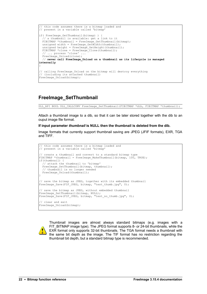```
this code assumes there is a bitmap loaded and
// present in a variable called 'bitmap'
if( FreeImage_GetThumbnail(bitmap) ) {
  // a thumbnail is available: get a link to it
 FIBITMAP *thumbnail = FreeImage GetThumbnail(bitmap);
 unsigned width = FreeImage GetWidth(thumbnail);
 unsigned height = FreeImage_GetHeight(thumbnail);
FIBITMAP *clone = FreeImage Clone(thumbnail);
 // ... process 'clone' ...
 FreeImage Unload(clone);
  // never call FreeImage_Unload on a thumbnail as its lifecycle is managed
internally
}
// calling FreeImage_Unload on the bitmap will destroy everything 
// (including its attached thumbnail)
FreeImage Unload(bitmap);
```
#### **FreeImage\_SetThumbnail**

DLL\_API BOOL DLL\_CALLCONV FreeImage\_SetThumbnail(FIBITMAP \*dib, FIBITMAP \*thumbnail);

Attach a thumbnail image to a dib, so that it can be later stored together with the dib to an ouput image file format.

#### **If input parameter** *thumbnail* **is NULL then the thumbnail is deleted from the dib.**

Image formats that currently support thumbnail saving are JPEG (JFIF formats), EXR, TGA and TIFF.

```
// this code assumes there is a bitmap loaded and 
// present in a variable called 'bitmap'
// create a thumbnail and convert to a standard bitmap type
FIBITMAP *thumbnail = FreeImage MakeThumbnail(bitmap, 100, TRUE);
if(thumbnail) {
  // attach the thumbnail to 'bitmap'
 FreeImage SetThumbnail(bitmap, thumbnail);
  // thumbnail is no longer needed
 FreeImage Unload(thumbnail);
}
// save the bitmap as JPEG, together with its embedded thumbnail
FreeImage Save(FIF JPEG, bitmap, "test thumb.jpg", 0);
// save the bitmap as JPEG, without embedded thumbnail
FreeImage SetThumbnail(bitmap, NULL);
FreeImage<sup>-</sup>Save(FIF JPEG, bitmap, "test no thumb.jpg", 0);
// clear and exit
FreeImage Unload(bitmap);
```


Thumbnail images are almost always standard bitmaps (e.g. images with a FIT\_BITMAP image type). The JPEG format supports 8- or 24-bit thumbnails, while the EXR format only supports 32-bit thumbnails. The TGA format needs a thumbnail with the same bit depth as the image. The TIF format has no restriction regarding the thumbnail bit depth, but a standard bitmap type is recommended.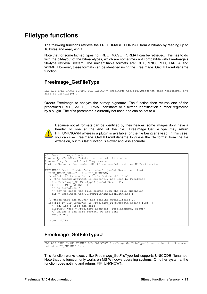## <span id="page-26-0"></span>**Filetype functions**

The following functions retrieve the FREE\_IMAGE\_FORMAT from a bitmap by reading up to 16 bytes and analysing it.

Note that for some bitmap types no FREE\_IMAGE\_FORMAT can be retrieved. This has to do with the bit-layout of the bitmap-types, which are sometimes not compatible with FreeImage's file-type retrieval system. The unidentifiable formats are: CUT, MNG, PCD, TARGA and WBMP. However, these formats can be identified using the FreeImage GetFIFFromFilename function.

#### <span id="page-26-1"></span>**FreeImage\_GetFileType**

```
DLL_API FREE_IMAGE_FORMAT DLL_CALLCONV FreeImage_GetFileType(const char *filename, int
size FI DEFAULT(0));
```
Orders FreeImage to analyze the bitmap signature. The function then returns one of the predefined FREE\_IMAGE\_FORMAT constants or a bitmap identification number registered by a plugin. The *size* parameter is currently not used and can be set to 0.



Because not all formats can be identified by their header (some images don't have a header or one at the end of the file), FreeImage\_GetFileType may return FIF UNKNOWN whereas a plugin is available for the file being analysed. In this case, you can use FreeImage GetFIFFromFilename to guess the file format from the file extension, but this last function is slower and less accurate.

```
/** Generic image loader
@param lpszPathName Pointer to the full file name
@param flag Optional load flag constant
@return Returns the loaded dib if successful, returns NULL otherwise
*/
FIBITMAP* GenericLoader(const char* lpszPathName, int flag) {
  FREE_IMAGE_FORMAT fif = FIF_UNKNOWN;
 // check the file signature and deduce its format
 // (the second argument is currently not used by FreeImage)
 fif = FreeImage GetFileType(lpszPathName, 0);
 if(fif == \overline{FIF} UNKNOWN) {
     // no signature ?
      // try to guess the file format from the file extension
    fif = FreeImage GetFIFFromFilename(lpszPathName);
 }
   // check that the plugin has reading capabilities ...
if((fif != FIF UNKNOWN) && FreeImage FIFSupportsReading(fif)) {
 // ok, let's load the file
     FIBITMAP *dib = FreeImage_Load(fif, lpszPathName, flag);
     // unless a bad file format, we are done !
     return dib;
 }
  return NULL;
}
```
#### **FreeImage\_GetFileTypeU**

```
DLL_API FREE_IMAGE_FORMAT_DLL_CALLCONV_FreeImage_GetFileTypeU(const wchar_t *filename,
intsize FI DEFAULT(0));
```
This function works exactly like [FreeImage\\_GetFileType](#page-26-1) but supports UNICODE filenames. Note that this function only works on MS Windows operating systems. On other systems, the function does nothing and returns FIF\_UNKNOWN.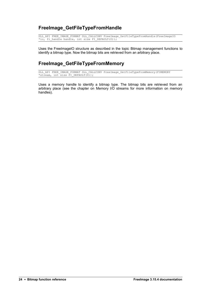#### **FreeImage\_GetFileTypeFromHandle**

DLL\_API FREE\_IMAGE\_FORMAT DLL\_CALLCONV FreeImage\_GetFileTypeFromHandle(FreeImageIO \*io, fi handle handle, int size FI DEFAULT(0));

Uses the FreeImageIO structure as described in the topic [Bitmap management functions](#page-8-0) to identify a bitmap type. Now the bitmap bits are retrieved from an arbitrary place.

#### **FreeImage\_GetFileTypeFromMemory**

DLL\_API FREE\_IMAGE\_FORMAT DLL\_CALLCONV FreeImage\_GetFileTypeFromMemory(FIMEMORY \*stream, int size FI\_DEFAULT(0));

Uses a memory handle to identify a bitmap type. The bitmap bits are retrieved from an arbitrary place (see the chapter on [Memory I/O streams](#page-60-0) for more information on memory handles).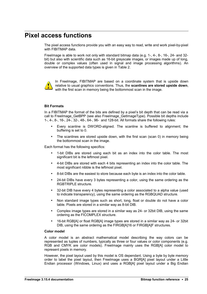## <span id="page-28-0"></span>**Pixel access functions**

The pixel access functions provide you with an easy way to read, write and work pixel-by-pixel with FIBITMAP data.

FreeImage is able to work not only with standard bitmap data (e.g. 1-, 4-, 8-, 16-, 24- and 32 bit) but also with scientific data such as 16-bit greyscale images, or images made up of long, double or complex values (often used in signal and image processing algorithms). An overview of the supported data types is given in [Table 2.](#page-10-1)



In FreeImage, FIBITMAP are based on a coordinate system that is upside down relative to usual graphics conventions. Thus, the **scanlines are stored upside down**, with the first scan in memory being the bottommost scan in the image.

#### **Bit Formats**

In a FIBITMAP the format of the bits are defined by a pixel's bit depth that can be read via a call to [FreeImage\\_GetBPP](#page-16-2) (see also [FreeImage\\_GetImageType\)](#page-16-1). Possible bit depths include 1-, 4-, 8-, 16-, 24-, 32-, 48-, 64-, 96- and 128-bit. All formats share the following rules:

- Every scanline is DWORD-aligned. The scanline is buffered to alignment; the buffering is set to 0.
- The scanlines are stored upside down, with the first scan (scan 0) in memory being the bottommost scan in the image.

Each format has the following specifics:

- 1-bit DIBs are stored using each bit as an index into the color table. The most significant bit is the leftmost pixel.
- 4-bit DIBs are stored with each 4 bits representing an index into the color table. The most significant nibble is the leftmost pixel.
- 8-bit DIBs are the easiest to store because each byte is an index into the color table.
- 24-bit DIBs have every 3 bytes representing a color, using the same ordering as the RGBTRIPLE structure.
- 32-bit DIB have every 4 bytes representing a color associated to a alpha value (used to indicate transparency), using the same ordering as the RGBQUAD structure.
- Non standard image types such as short, long, float or double do not have a color table. Pixels are stored in a similar way as 8-bit DIB.
- Complex image types are stored in a similar way as 24- or 32bit DIB, using the same ordering as the FICOMPLEX structure.
- 16-bit RGB[A] or float RGB[A] image types are stored in a similar way as 24- or 32bit DIB, using the same ordering as the FIRGB[A]16 or FIRGB[A]F structures.

#### **Color model**

A color model is an abstract mathematical model describing the way colors can be represented as tuples of numbers, typically as three or four values or color components (e.g. RGB and CMYK are color models). FreeImage mainly uses the RGB[A] color model to represent pixels in memory.

However, the pixel layout used by this model is OS dependant. Using a byte by byte memory order to label the pixel layout, then FreeImage uses a BGR[A] pixel layout under a Little Endian processor (Windows, Linux) and uses a RGB[A] pixel layout under a Big Endian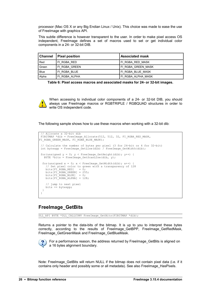processor (Mac OS X or any Big Endian Linux / Unix). This choice was made to ease the use of FreeImage with graphics API.

This subtle difference is however transparent to the user. In order to make pixel access OS independent, FreeImage defines a set of macros used to set or get individual color components in a 24- or 32-bit DIB.

| ∥ Channel | <b>Pixel position</b> | l Associated mask  |
|-----------|-----------------------|--------------------|
| Red       | FI RGBA RED           | FI RGBA RED MASK   |
| Green     | FI RGBA GREEN         | FI RGBA GREEN MASK |
| Blue      | FI RGBA BLUE          | FI RGBA BLUE MASK  |
| Alpha     | FI RGBA ALPHA         | FI RGBA ALPHA MASK |

**Table 6: Pixel access macros and associated masks for 24- or 32-bit images.**



When accessing to individual color components of a 24- or 32-bit DIB, you should always use FreeImage macros or RGBTRIPLE / RGBQUAD structures in order to write OS independent code.

The following sample shows how to use these macros when working with a 32-bit dib:

```
 // Allocate a 32-bit dib
 FIBITMAP *dib = FreeImage_Allocate(512, 512, 32, FI_RGBA_RED_MASK,
FI_RGBA_GREEN_MASK, FI_RGBA_BLUE_MASK);
 // Calculate the number of bytes per pixel (3 for 24-bit or 4 for 32-bit)
int bytespp = FreeImage GetLine(dib) / FreeImage GetWidth(dib);
for(unsigned y = 0; y < FreeImage_GetHeight(dib); y++) {
  BYTE *bits = FreeImage GetScanLine(dib, y);
 for(unsigned x = 0; x < FreeImage GetWidth(dib); x++)
    // Set pixel color to green with a transparency of 128<br>bits[FI RGBA RED] = 0:
   bits[FI_RGBA_RED]
bits [FI_RGBA_GREEN] = 255;
bits [FI_RGBA_BLUE] = 0;bits[FI"RGBA"ALPHA] = 128; // jump to next pixel
   bits += bytespp;
  }
 }
```
#### **FreeImage\_GetBits**

DLL\_API BYTE \*DLL\_CALLCONV FreeImage\_GetBits(FIBITMAP \*dib);

Returns a pointer to the data-bits of the bitmap. It is up to you to interpret these bytes correctly, according to the results of FreeImage\_GetBPP, FreeImage\_GetRedMask, FreeImage\_GetGreenMask and FreeImage\_GetBlueMask.



For a performance reason, the address returned by FreeImage GetBits is aligned on a 16 bytes alignment boundary.

Note: Freelmage GetBits will return NULL if the bitmap does not contain pixel data (i.e. if it contains only header and possibly some or all metadata). See also [FreeImage\\_HasPixels.](#page-23-0)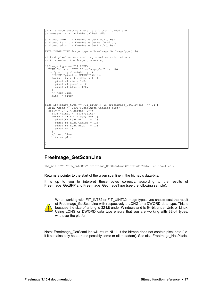```
// this code assumes there is a bitmap loaded and
// present in a variable called 'dib'
unsigned width = FreeImage GetWidth(dib);
unsigned height = FreeImage GetHeight(dib);
unsigned pitch = FreeImage GetPitch(dib);
FREE_IMAGE_TYPE image_type = FreeImage_GetImageType(dib);
// test pixel access avoiding scanline calculations 
// to speed-up the image processing
if(image_type == FIT_RGBF) {
 BYTE *\overline{bits} = (BYTE*) FreeImage GetBits(dib);
 for(y = 0; y < height; y++)
   FIGBF * pixel = (FIGBF*) bits;for(x = 0; x < width; x++) {
      pixel[x].red = 128;
     pixel[x].green = 128;pixel[x].blue = 128;
 }
     // next line
    bits += pitch;
  }
}
else if((image_type == FIT_BITMAP) && (FreeImage_GetBPP(dib) == 24)) {
 BYTE *bits = (BYTE*) FreeImage GetBits(dib);
 for(y = 0; y < height; y++) {
   BYTE *pixel = (BYTE*)bits;
   for(x = 0; x < width; x++) {<br>pixel[FI RGBA RED] = 128;
     pixel[FI_RGBA_RED]
 pixel[FI_RGBA_GREEN] = 128;
pixel[FI_RGBA_BLUE] = 128; pixel += 3;
 }
    .<br>// next line
    bits += pitch;
 \rightarrow}
```
#### **FreeImage\_GetScanLine**

DLL\_API BYTE \*DLL\_CALLCONV FreeImage\_GetScanLine(FIBITMAP \*dib, int scanline);

Returns a pointer to the start of the given scanline in the bitmap's data-bits.

It is up to you to interpret these bytes correctly, according to the results of FreeImage GetBPP and FreeImage GetImageType (see the following sample).



When working with FIT\_INT32 or FIT\_UINT32 image types, you should cast the result of FreeImage GetScanLine with respectively a LONG or a DWORD data type. This is because the size of a long is 32-bit under Windows and is 64-bit under Unix or Linux. Using LONG or DWORD data type ensure that you are working with 32-bit types, whatever the platform.

Note: Freelmage GetScanLine will return NULL if the bitmap does not contain pixel data (i.e. if it contains only header and possibly some or all metadata). See also [FreeImage\\_HasPixels.](#page-23-0)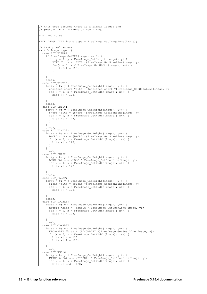```
this code assumes there is a bitmap loaded and
// present in a variable called 'image'
unsigned x, y;
FREE IMAGE TYPE image type = FreeImage GetImageType(image);
// test pixel access
switch(image_type) {
 case FIT BITMAP:
   if(FreeImage GetBPP(image) == 8) {
     for(y = 0; y < FreeImage GetHeight(image); y^{++}) {
       BYTE *bits = (BYTE *)FreeImage_CCetScanLine (image, y);for(x = 0; x < FreeImage GetWidth(image); x++) {
         bits[x] = 128; }
      }
 }
    break;
 case FIT UINT16:
   for(y = 0; y < FreeImage_GetHeight(image); y^{++}) {
     unsigned short *bits = (unsigned short *)FreeImage_GetScanLine(image, y);
     for(x = 0; x < FreeImage GetWidth(image); x++) {
      bits[x] = 128; }
 }
    break;
 case FIT INT16:
   for(y = 0; y < FreeImage GetHeight(image); y++) {
     short *bits = (short *)FreeImage GetScanLine(image, y);
     for(x = 0; x < FreeImage GetWidth(image); x++) {
       bits[x] = 128;
      }
    }
    break;
 case FIT_UINT32:<br>for(y = 0; y < FreeImage GetHeight(image); y++) {
for(y = 0; y < FreeImage_GetHeight(image); y++) {
DWORD *bits = (DWORD *)FreeImage GetScanLine(image, y);
for(x = 0; x < FreeImage GetWidth(image); x++) {
bits[x] = 128; }
 }
    break;
  case FIT_INT32:
for(y = 0; y < FreeImage GetHeight(image); y++) {
LONG *bits = (LONG *)FreeImage_GetScanLine(image, y);
     for(x = 0; x < FreeImage_GetWidth(image); x++) {
       bits[x] = 128; }
 }
    break;
 case FIT FLOAT:
   for(y = 0; y < FreeImage_GetHeight(image); y++) {
float *bits = (float *)FreeImage GetScanLine(image, y);
for(x = 0; x < FreeImage GetWidth(image); x++) {
       bits[x] = 128;\begin{array}{c} \uparrow \\ \downarrow \end{array} }
    break;
  case FIT_DOUBLE:
   for(y = 0; y < FreeImage GetHeight(image); y++) {
     double *bits = (double *)FreeImage GetScanLine(image, y);
     for(x = 0; x < FreeImage GetWidth(\overline{image}); x++) {
       bits[x] = 128;
      }
 }
    break;
 case FIT_COMPLEX:
for(y = 0; y < FreeImage GetHeight(image); y++) {
FICOMPLEX *bits = (FICOMPLEX *)FreeImage GetScanLine(image, y);
for(x = 0; x < FreeImage GetWidth(image); x++) {
bits[x].r = 128;
bits[x].i = 128;
      }
 }
    break;
 case FIT RGB16:
for(y = 0; y < FreeImage GetHeight(image); y++) {
FIRGB16 *bits = (FIRGB16 *)FreeImage GetScanLine(image, y);
for(x = 0; x < FreeImage_GetWidth(image); x++) {
bits[x].red = 128;
```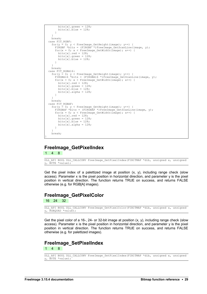```
bits[x].green = 128;
       bits[x].blue = 128;
      }
 }
    break;
 case FIT_RGBF:
for(y = 0; y < FreeImage GetHeight(image); y++) {
FIRGBF *bits = (FIRGBF *)FreeImage GetScanLine(image, y);
for(x = 0; x < FreeImage GetWidth(image); x^{++}) {
bits[x].red = 128;
       bits[x].green = 128;
       bits[x].blue = 128;
      }
 }
    break;
 case FIT RGBA16:
   for(y = 0; y < FreeImage GetHeight(image); y^{++}) {
     FIRGBA16 *bits = (FIRGBA16 *)FreeImage GetScanLine(image, y);
     for(x = 0; x < FreeImage GetWidth(image); x++) {
       bits[x].red = 128;
       bits[x].green = 128;
       bits[x].blue = 128;
       bits[x].alpha = 128; }
 }
    break;
  case FIT_RGBAF:
   for(y = 0; y < FreeImage GetHeight(image); y^{++}) {
     FIRGBAF *bits = (FIRGBAF *)FreeImage GetScanLine(image, y);
     for(x = 0; x < FreeImage GetWidth(\frac{1}{100}ge); x++) {
       bits[x].red = 128;
       bits[x].green = 128;
       bits[x].blue = 128;
       bits[x].alpha = 128;
      }
 }
    break;
}
```
#### **FreeImage\_GetPixelIndex** 1 4 8

DLL API BOOL DLL CALLCONV FreeImage GetPixelIndex(FIBITMAP \*dib, unsigned x, unsigned y, BYTE \*value);

Get the pixel index of a palettized image at position  $(x, y)$ , including range check (slow access). Parameter x is the pixel position in horizontal direction, and parameter y is the pixel position in vertical direction. The function returns TRUE on success, and returns FALSE otherwise (e.g. for RGB[A] images).

#### **FreeImage\_GetPixelColor**

16 24 32

DLL API BOOL DLL CALLCONV FreeImage GetPixelColor(FIBITMAP \*dib, unsigned x, unsigned y, RGBQUAD \*value);

Get the pixel color of a 16-, 24- or 32-bit image at position (x, y), including range check (slow access). Parameter x is the pixel position in horizontal direction, and parameter y is the pixel position in vertical direction. The function returns TRUE on success, and returns FALSE otherwise (e.g. for palettized images).

#### **FreeImage\_SetPixelIndex** 1 4 8

```
DLL_API BOOL DLL_CALLCONV FreeImage_SetPixelIndex(FIBITMAP *dib, unsigned x, unsigned
y, BYTE *value);
```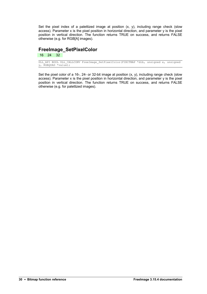Set the pixel index of a palettized image at position (x, y), including range check (slow access). Parameter x is the pixel position in horizontal direction, and parameter y is the pixel position in vertical direction. The function returns TRUE on success, and returns FALSE otherwise (e.g. for RGB[A] images).

## **FreeImage\_SetPixelColor**

16 24 32

DLL\_API BOOL DLL\_CALLCONV FreeImage\_SetPixelColor(FIBITMAP \*dib, unsigned x, unsigned y, RGBQUAD \*value);

Set the pixel color of a 16-, 24- or 32-bit image at position  $(x, y)$ , including range check (slow access). Parameter x is the pixel position in horizontal direction, and parameter y is the pixel position in vertical direction. The function returns TRUE on success, and returns FALSE otherwise (e.g. for palettized images).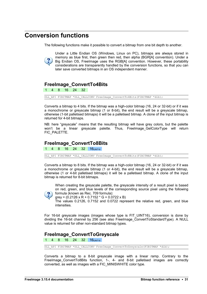## <span id="page-34-0"></span>**Conversion functions**

The following functions make it possible to convert a bitmap from one bit depth to another.



Under a Little Endian OS (Windows, Linux on PC), bitmaps are always stored in memory as blue first, then green then red, then alpha (BGR[A] convention). Under a Big Endian OS, FreeImage uses the RGB[A] convention. However, these portability considerations are transparently handled by the conversion functions, so that you can later save converted bitmaps in an OS independent manner.

#### **FreeImage\_ConvertTo4Bits**

1 4 8 16 24 32

DLL API FIBITMAP \*DLL CALLCONV FreeImage ConvertTo4Bits(FIBITMAP \*dib);

Converts a bitmap to 4 bits. If the bitmap was a high-color bitmap (16, 24 or 32-bit) or if it was a monochrome or greyscale bitmap (1 or 8-bit), the end result will be a greyscale bitmap, otherwise (1-bit palletised bitmaps) it will be a palletised bitmap. A clone of the input bitmap is returned for 4-bit bitmaps.

NB: here "greyscale" means that the resulting bitmap will have grey colors, but the palette won't be a linear greyscale palette. Thus, FreeImage GetColorType will return FIC\_PALETTE.

#### <span id="page-34-1"></span>**FreeImage\_ConvertTo8Bits**

4 8 16 24 32 16UINT16

DLL\_API FIBITMAP \*DLL\_CALLCONV FreeImage\_ConvertTo8Bits(FIBITMAP \*dib);

Converts a bitmap to 8 bits. If the bitmap was a high-color bitmap (16, 24 or 32-bit) or if it was a monochrome or greyscale bitmap (1 or 4-bit), the end result will be a greyscale bitmap, otherwise (1 or 4-bit palletised bitmaps) it will be a palletised bitmap. A clone of the input bitmap is returned for 8-bit bitmaps.

When creating the greyscale palette, the greyscale intensity of a result pixel is based on red, green, and blue levels of the corresponding source pixel using the following formula (known as Rec. 709 formula):



grey =  $(0.2126 \times R + 0.7152 \times G + 0.0722 \times B)$ 

The values 0.2126, 0.7152 and 0.0722 represent the relative red, green, and blue intensities.

For 16-bit greyscale images (images whose type is FIT\_UINT16), conversion is done by dividing the 16-bit channel by 256 (see also [FreeImage\\_ConvertToStandardType\)](#page-38-0). A NULL value is returned for other non-standard bitmap types.

#### **FreeImage\_ConvertToGreyscale**

4 8 16 24 32 16UINT16

DLL\_API FIBITMAP \*DLL\_CALLCONV FreeImage\_ConvertToGreyscale(FIBITMAP \*dib);

Converts a bitmap to a 8-bit greyscale image with a linear ramp. Contrary to the [FreeImage\\_ConvertTo8Bits](#page-34-1) function, 1-, 4- and 8-bit palletised images are correctly converted, as well as images with a FIC\_MINISWHITE color type.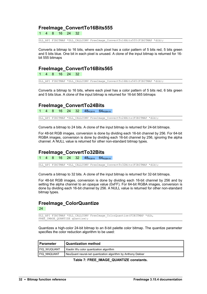#### **FreeImage\_ConvertTo16Bits555**

1 4 8 16 24 32

DLL\_API FIBITMAP \*DLL\_CALLCONV FreeImage\_ConvertTo16Bits555(FIBITMAP \*dib);

Converts a bitmap to 16 bits, where each pixel has a color pattern of 5 bits red, 5 bits green and 5 bits blue. One bit in each pixel is unused. A clone of the input bitmap is returned for 16 bit 555 bitmaps

#### **FreeImage\_ConvertTo16Bits565**

1 4 8 16 24 32

DLL API FIBITMAP \*DLL CALLCONV FreeImage ConvertTo16Bits565(FIBITMAP \*dib);

Converts a bitmap to 16 bits, where each pixel has a color pattern of 5 bits red, 6 bits green and 5 bits blue. A clone of the input bitmap is returned for 16-bit 565 bitmaps

#### **FreeImage\_ConvertTo24Bits**

4 8 16 24 32 48<sub>RGB16</sub> 64<sub>RGBA16</sub>

DLL\_API FIBITMAP \*DLL\_CALLCONV FreeImage\_ConvertTo24Bits(FIBITMAP \*dib);

Converts a bitmap to 24 bits. A clone of the input bitmap is returned for 24-bit bitmaps.

For 48-bit RGB images, conversion is done by dividing each 16-bit channel by 256. For 64-bit RGBA images, conversion is done by dividing each 16-bit channel by 256, ignoring the alpha channel. A NULL value is returned for other non-standard bitmap types.

#### **FreeImage\_ConvertTo32Bits**

4 8 16 24 32 48<sub>RGB16</sub> 64<sub>RGBA16</sub>

DLL\_API FIBITMAP \*DLL\_CALLCONV FreeImage\_ConvertTo32Bits(FIBITMAP \*dib);

Converts a bitmap to 32 bits. A clone of the input bitmap is returned for 32-bit bitmaps.

For 48-bit RGB images, conversion is done by dividing each 16-bit channel by 256 and by setting the alpha channel to an opaque value (0xFF). For 64-bit RGBA images, conversion is done by dividing each 16-bit channel by 256. A NULL value is returned for other non-standard bitmap types.

#### **FreeImage\_ColorQuantize**

24

DLL\_API FIBITMAP \*DLL\_CALLCONV FreeImage\_ColorQuantize(FIBITMAP \*dib, FREE IMAGE QUANTIZE quantize);

Quantizes a high-color 24-bit bitmap to an 8-bit palette color bitmap. The quantize parameter specifies the color reduction algorithm to be used:

| <b>Parameter</b> | <b>Quantization method</b>                                   |  |
|------------------|--------------------------------------------------------------|--|
| FIQ WUQUANT      | Xiaolin Wu color quantization algorithm                      |  |
| FIQ NNQUANT      | NeuQuant neural-net quantization algorithm by Anthony Dekker |  |

**Table 7: FREE\_IMAGE\_QUANTIZE constants.**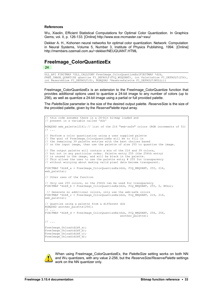#### **References**

Wu, Xiaolin, Efficient Statistical Computations for Optimal Color Quantization. In Graphics Gems, vol. II, p. 126-133. [Online] http://www.ece.mcmaster.ca/~xwu/

Dekker A. H., Kohonen neural networks for optimal color quantization. Network: Computation in Neural Systems, Volume 5, Number 3, Institute of Physics Publishing, 1994. [Online] http://members.ozemail.com.au/~dekker/NEUQUANT.HTML

#### **FreeImage\_ColorQuantizeEx** 24

DLL\_API FIBITMAP \*DLL\_CALLCONV FreeImage\_ColorQuantizeEx(FIBITMAP \*dib, FREE IMAGE QUANTIZE quantize FI DEFAULT(FIQ WUQUANT), int PaletteSize FI DEFAULT(256), int ReserveSize FI\_DEFAULT(0), RGBQUAD \*ReservePalette FI DEFAULT(NULL));

FreeImage\_ColorQuantizeEx is an extension to the [FreeImage\\_ColorQuantize](#page-35-0) function that provides additional options used to quantize a 24-bit image to any number of colors (up to 256), as well as quantize a 24-bit image using a partial or full provided palette.

The *PaletteSize* parameter is the size of the desired output palette. *ReserveSize* is the size of the provided palette, given by the *ReservePalette* input array.

```
this code assumes there is a 24-bit bitmap loaded and
// present in a variable called 'dib'
RGBOUAD web palette[216]; // list of the 216 "web-safe" colors (RGB increments of 51)
// ...
// Perform a color quantization using a user supplied palette
// The goal of FreeImage_ColorQuantizeEx will be to fill in 
// the remaining 39 palette entries with the best choices based 
// on the input image, then use the palette of size 255 to quantize the image.
// The output palette will contain a mix of the 216 and 39 colors,
// but not in any particular order. Palette entry 255 (the 256th entry) 
// is unused in the image, and will be black in the palette.
// This allows the user to use the palette entry # 255 for transparency
// without worrying about making valid pixel data become transparent.
FIBITMAP *dib8_a = FreeImage ColorQuantizeEx(dib, FIQ_NNQUANT, 255, 216,
web palette);
// Other uses of the function
// Only use 255 colors, so the 256th can be used for transparency
FIBITMAP *dib8 b = FreeImage ColorQuantizeEx(dib, FIQ NNQUANT, 255, 0, NULL);
   Generate no additional colors, only use the web-safe colors
FIBITMAP *dib8_c = FreeImage_ColorQuantizeEx(dib, FIQ_NNQUANT, 216, 216,
web_palette);
// Quantize using a palette from a different dib
RGBQUAD another palette[256];
// ...
FIBITMAP *dib8 d = FreeImage ColorQuantizeEx(dib, FIQ NNQUANT, 256, 256,
                                              another pananother i// ...
FreeImage Unload(dib8 a);
FreeImage_Unload(dib8_b);
FreeImage_Unload(dib8_c);
FreeImage_Unload(dib8_d);
```


When using FreeImage\_ColorQuantizeEx, the *PaletteSize* setting works on both NN and Wu quantizers, with any value 2-256, but the *ReserveSize*/*ReservePalette* settings work on the NN quantizer only.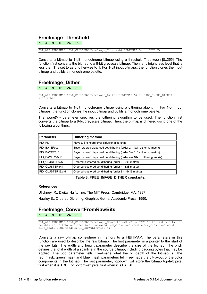#### **FreeImage\_Threshold**

1 4 8 16 24 32

DLL API FIBITMAP \*DLL CALLCONV FreeImage Threshold(FIBITMAP \*dib, BYTE T);

Converts a bitmap to 1-bit monochrome bitmap using a threshold T between [0..255]. The function first converts the bitmap to a 8-bit greyscale bitmap. Then, any brightness level that is less than T is set to zero, otherwise to 1. For 1-bit input bitmaps, the function clones the input bitmap and builds a monochrome palette.

### **FreeImage\_Dither**

1 4 8 16 24 32

DLL API FIBITMAP \*DLL CALLCONV FreeImage Dither(FIBITMAP \*dib, FREE IMAGE DITHER algorithm);

Converts a bitmap to 1-bit monochrome bitmap using a dithering algorithm. For 1-bit input bitmaps, the function clones the input bitmap and builds a monochrome palette.

The *algorithm* parameter specifies the dithering algorithm to be used. The function first converts the bitmap to a 8-bit greyscale bitmap. Then, the bitmap is dithered using one of the following algorithms:

| <b>Parameter</b> | <b>Dithering method</b>                                                   |
|------------------|---------------------------------------------------------------------------|
| FID FS           | Floyd & Steinberg error diffusion algorithm                               |
| FID BAYER4x4     | Bayer ordered dispersed dot dithering (order $2 - 4x4$ -dithering matrix) |
| FID BAYER8x8     | Bayer ordered dispersed dot dithering (order 3 – 8x8 -dithering matrix)   |
| FID BAYER16x16   | Bayer ordered dispersed dot dithering (order 4 - 16x16 dithering matrix)  |
| FID CLUSTER6x6   | Ordered clustered dot dithering (order 3 - 6x6 matrix)                    |
| FID CLUSTER8x8   | Ordered clustered dot dithering (order 4 - 8x8 matrix)                    |
| FID CLUSTER16x16 | Ordered clustered dot dithering (order 8 - 16x16 matrix)                  |

**Table 8: FREE\_IMAGE\_DITHER constants.**

#### **References**

Ulichney, R., Digital Halftoning. The MIT Press, Cambridge, MA, 1987.

Hawley S., Ordered Dithering. Graphics Gems, Academic Press, 1990.

#### **FreeImage\_ConvertFromRawBits**

1 4 8 16 24 32

DLL\_API FIBITMAP \*DLL\_CALLCONV FreeImage\_ConvertFromRawBits(BYTE \*bits, int width, int height, int pitch, unsigned bpp, unsigned red mask, unsigned green mask, unsigned blue mask, BOOL topdown FI DEFAULT(FALSE));

Converts a raw bitmap somewhere in memory to a FIBITMAP. The parameters in this function are used to describe the raw bitmap. The first parameter is a pointer to the start of the raw bits. The width and height parameter describe the size of the bitmap. The pitch defines the total width of a scanline in the source bitmap, including padding bytes that may be applied. The bpp parameter tells FreeImage what the bit depth of the bitmap is. The red\_mask, green\_mask and blue\_mask parameters tell FreeImage the bit-layout of the color components in the bitmap. The last parameter, topdown, will store the bitmap top-left pixel first when it is TRUE or bottom-left pixel first when it is FALSE.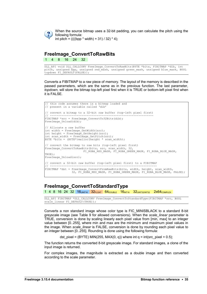

When the source bitmap uses a 32-bit padding, you can calculate the pitch using the following formula: int pitch =  $(((bpp * width) + 31) / 32) * 4);$ 

**FreeImage\_ConvertToRawBits**

1 4 8 16 24 32

DLL\_API void DLL\_CALLCONV FreeImage\_ConvertToRawBits(BYTE \*bits, FIBITMAP \*dib, int pitch, unsigned bpp, unsigned red\_mask, unsigned green\_mask, unsigned blue\_mask, BOOL topdown FI\_DEFAULT(FALSE));

Converts a FIBITMAP to a raw piece of memory. The layout of the memory is described in the passed parameters, which are the same as in the previous function. The last parameter, *topdown*, will store the bitmap top-left pixel first when it is TRUE or bottom-left pixel first when it is FALSE.

```
// this code assumes there is a bitmap loaded and
// present in a variable called 'dib'
// convert a bitmap to a 32-bit raw buffer (top-left pixel first)
// --------------------------------------------------------------
FIBITMAP *src = FreeImage ConvertTo32Bits(dib);
FreeImage Unload(dib);
// Allocate a raw buffer
int width = FreeImage GetWidth(src);
int height = FreeImage GetHeight(src);
Int scan width = FreeImage_GetPitch(src);
BYTE *bits = (BYTE*) malloc(height * scan width);
// convert the bitmap to raw bits (top-left pixel first)
FreeImage ConvertToRawBits(bits, src, scan width, 32,
FI_RGBA_RED_MASK, FI_RGBA_GREEN_MASK, FI_RGBA_BLUE_MASK,
TRUE) ·
FreeImage Unload(src);
// convert a 32-bit raw buffer (top-left pixel first) to a FIBITMAP
// ----------------------------------------------------------------
FIBITMAP *dst = FreeImage_ConvertFromRawBits(bits, width, height, scan_width,
                32, FI_RGBA_RED_MASK, FI_RGBA_GREEN_MASK, FI_RGBA_BLUE_MASK, FALSE);
```
### **FreeImage\_ConvertToStandardType**

1 4 8 16 24 32 16UINT16 32FLOAT 64DOUBLE 16INT16 32UINT32/INT32 2X64COMPLEX

DLL\_API FIBITMAP \*DLL\_CALLCONV FreeImage\_ConvertToStandardType(FIBITMAP \*src, BOOL scale\_linear FI\_DEFAULT(TRUE));

Converts a non standard image whose color type is FIC\_MINISBLACK to a standard 8-bit greyscale image (see [Table 9](#page-39-0) for allowed conversions). When the *scale\_linear* parameter is TRUE, conversion is done by scaling linearly each pixel value from [min, max] to an integer value between [0..255], where min and max are the minimum and maximum pixel values in the image. When *scale\_linear* is FALSE, conversion is done by rounding each pixel value to an integer between [0..255]. Rounding is done using the following formula:

dst pixel = (BYTE) MIN(255, MAX(0, q)) where int  $q = int(src_pixel + 0.5)$ ;

The function returns the converted 8-bit greyscale image. For standard images, a clone of the input image is returned.

For complex images, the magnitude is extracted as a double image and then converted according to the scale parameter.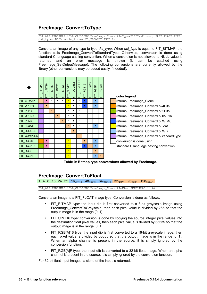# **FreeImage\_ConvertToType**

DLL API FIBITMAP \*DLL CALLCONV FreeImage ConvertToType(FIBITMAP \*src, FREE IMAGE TYPE  $dst$ <sup>-</sup>type, BOOL scale linear FI DEFAULT(TRUE));

Converts an image of any type to type *dst\_type*. When *dst\_type* is equal to FIT\_BITMAP, the function calls FreeImage\_ConvertToStandardType. Otherwise, conversion is done using standard C language casting convention. When a conversion is not allowed, a NULL value is returned and an error message is thrown (it can be catched using [FreeImage\\_SetOutputMessage\)](#page-7-0). The following conversions are currently allowed by the library (other conversions may be added easily if needed):



<span id="page-39-0"></span>**Table 9: Bitmap type conversions allowed by FreeImage.**

# **FreeImage\_ConvertToFloat**

1 4 8 16 24 32 16UINT16 48RGB16 64RGBA16 32FLOAT 96RGBF 128RGBAF

DLL\_API FIBITMAP \*DLL\_CALLCONV FreeImage\_ConvertToFloat(FIBITMAP \*dib);

Converts an image to a FIT\_FLOAT image type. Conversion is done as follows:

- FIT\_BITMAP type: the input dib is first converted to a 8-bit greyscale image using [FreeImage\\_ConvertToGreyscale,](#page-34-0) then each pixel value is divided by 255 so that the output image is in the range [0..1].
- FIT UINT16 type: conversion is done by copying the source integer pixel values into the destination float pixel values, then each pixel value is divided by 65535 so that the output image is in the range [0..1].
- FIT\_RGB[A]16 type: the input dib is first converted to a 16-bit greyscale image, then each pixel value is divided by 65535 so that the output image is in the range [0..1]. When an alpha channel is present in the source, it is simply ignored by the conversion function.
- FIT RGBIAIF type: the input dib is converted to a 32-bit float image. When an alpha channel is present in the source, it is simply ignored by the conversion function.

For 32-bit float input images, a clone of the input is returned.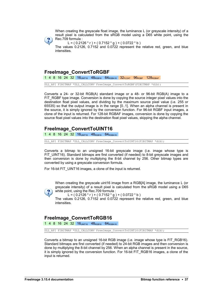When creating the greyscale float image, the luminance L (or greyscale intensity) of a result pixel is calculated from the sRGB model using a D65 white point, using the Rec.709 formula :



 $L = (0.2126 * r) + (0.7152 * g) + (0.0722 * b)$ 

The values 0.2126, 0.7152 and 0.0722 represent the relative red, green, and blue intensities.

#### <span id="page-40-0"></span>**FreeImage\_ConvertToRGBF**

1 4 8 16 24 32 16UINT16 48RGB16 64RGBA16 32FLOAT 96RGBF 128RGBAF

DLL\_API FIBITMAP \*DLL\_CALLCONV FreeImage\_ConvertToRGBF(FIBITMAP \*dib);

Converts a 24- or 32-bit RGB(A) standard image or a 48- or 96-bit RGB(A) image to a FIT RGBF type image. Conversion is done by copying the source integer pixel values into the destination float pixel values, and dividing by the maximum source pixel value (i.e. 255 or 65535) so that the output image is in the range [0..1]. When an alpha channel is present in the source, it is simply ignored by the conversion function. For 96-bit RGBF input images, a clone of the input is returned. For 128-bit RGBAF images, conversion is done by copying the source float pixel values into the destination float pixel values, skipping the alpha channel.

## **FreeImage\_ConvertToUINT16**

1 4 8 16 24 32 16UINT16 48RGB16 64RGBA16

DLL\_API FIBITMAP \*DLL\_CALLCONV FreeImage\_ConvertToUINT16(FIBITMAP \*dib);

Converts a bitmap to an unsigned 16-bit greyscale image (i.e. image whose type is FIT UINT16). Standard bitmaps are first converted (if needed) to 8-bit greyscale images and then conversion is done by multiplying the 8-bit channel by 256. Other bitmap types are converted by using a greyscale conversion formula.

For 16-bit FIT\_UINT16 images, a clone of the input is returned.

When creating the greyscale uint16 image from a RGB[A] image, the luminance L (or greyscale intensity) of a result pixel is calculated from the sRGB model using a D65 white point, using the Rec.709 formula :



L =  $( 0.2126 * r ) + ( 0.7152 * g ) + ( 0.0722 * b )$ 

The values 0.2126, 0.7152 and 0.0722 represent the relative red, green, and blue intensities.

### **FreeImage\_ConvertToRGB16**

1 4 8 16 24 32 16UINT16 48RGB16 64RGBA16

DLL\_API FIBITMAP \*DLL\_CALLCONV FreeImage\_ConvertToUINT16(FIBITMAP \*dib);

Converts a bitmap to an unsigned 16-bit RGB image (i.e. image whose type is FIT\_RGB16). Standard bitmaps are first converted (if needed) to 24-bit RGB images and then conversion is done by multiplying the 8-bit channel by 256. When an alpha channel is present in the source, it is simply ignored by the conversion function. For 16-bit FIT\_RGB16 images, a clone of the input is returned.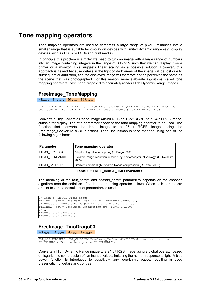# **Tone mapping operators**

Tone mapping operators are used to compress a large range of pixel luminances into a smaller range that is suitable for display on devices with limited dynamic range (e.g. display devices such as CRTs or LCDs and print media).

In principle this problem is simple: we need to turn an image with a large range of numbers into an image containing integers in the range of 0 to 255 such that we can display it on a printer or a monitor. This suggests linear scaling as a possible solution. However, this approach is flawed because details in the light or dark areas of the image will be lost due to subsequent quantization, and the displayed image will therefore not be perceived the same as the scene that was photographed. For this reason, more elaborate algorithms, called tone mapping operators, have been proposed to accurately render High Dynamic Range images.

### **FreeImage\_ToneMapping**

48RGB16 64RGBA16 96RGBF 128RGBAF

DLL API FIBITMAP \*DLL CALLCONV FreeImage ToneMapping(FIBITMAP \*dib, FREE IMAGE TMO tmo, double first param FI\_DEFAULT(0), double second param FI\_DEFAULT(0));

Converts a High Dynamic Range image (48-bit RGB or 96-bit RGBF) to a 24-bit RGB image, suitable for display. The *tmo* parameter specifies the tone mapping operator to be used. The function first converts the input image to a 96-bit RGBF image (using the [FreeImage\\_ConvertToRGBF](#page-40-0) function). Then, the bitmap is tone mapped using one of the following algorithms:

| ∣ Parameter      | Tone mapping operator                                                               |
|------------------|-------------------------------------------------------------------------------------|
| FITMO DRAGO03    | Adaptive logarithmic mapping (F. Drago, 2003)                                       |
| FITMO REINHARD05 | Dynamic range reduction inspired by photoreceptor physiology (E. Reinhard,<br>2005) |
| FITMO FATTAL02   | Gradient domain High Dynamic Range compression (R. Fattal, 2002)                    |

**Table 10: FREE\_IMAGE\_TMO constants.** 

The meaning of the *first\_param* and *second\_param* parameters depends on the choosen algorithm (see the definition of each tone mapping operator below). When both parameters are set to zero, a default set of parameters is used.

```
// load a HDR RGB Float image
FIBITMAP *src = FreeImage Load(FIF HDR, "memorial.hdr", 0);
// create a 24-bit tone mapped image suitable for display
FIBITMAP *dst = FreeImage ToneMapping(src, FITMO DRAGO03);
// …
FreeImage Unload(src);
FreeImage_Unload(dst);
```
# **FreeImage\_TmoDrago03**

 $48_{RGB16}$  64 $_{RGBA16}$  96 $_{RGBF}$  128 $_{RGBAF}$ 

```
DLL_API FIBITMAP* DLL_CALLCONV FreeImage_TmoDrago03(FIBITMAP *src, double gamma
FI_DEFAULT(2.2), double exposure FI_DEFAULT(0));
```
Converts a High Dynamic Range image to a 24-bit RGB image using a global operator based on logarithmic compression of luminance values, imitating the human response to light. A bias power function is introduced to adaptively vary logarithmic bases, resulting in good preservation of details and contrast.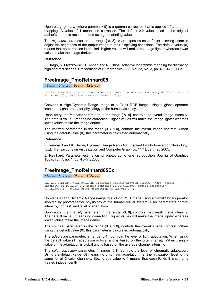Upon entry, *gamma* (where gamma > 0) is a gamma correction that is applied *after* the tone mapping. A value of 1 means no correction. The default 2.2 value, used in the original author's paper, is recommended as a good starting value.

The *exposure* parameter, in the range [-8, 8], is an exposure scale factor allowing users to adjust the brightness of the output image to their displaying conditions. The default value (0) means that no correction is applied. Higher values will make the image lighter whereas lower values make the image darker.

#### **Reference**

F. Drago, K. Myszkowski, T. Annen and N. Chiba, Adaptive logarithmic mapping for displaying high contrast scenes. Proceedings of Eurographics2003, Vol.22, No, 3, pp. 419-426, 2003.

#### **FreeImage\_TmoReinhard05**

48RGB16 64RGBA16 96RGBF 128RGBAF

DLL API FIBITMAP\* DLL CALLCONV FreeImage TmoReinhard05(FIBITMAP \*src, double intensity FI\_DEFAULT(0), double contrast FI\_DEFAULT(0));

Converts a High Dynamic Range image to a 24-bit RGB image using a global operator inspired by photoreceptor physiology of the human visual system.

Upon entry, the *intensity* parameter, in the range [-8, 8], controls the overall image intensity. The default value 0 means no correction. Higher values will make the image lighter whereas lower values make the image darker.

The *contrast* parameter, in the range [0.3, 1.0[, controls the overall image contrast. When using the default value (0), this parameter is calculated automatically.

#### **Reference**

E. Reinhard and K. Devlin, Dynamic Range Reduction Inspired by Photoreceptor Physiology. IEEE Transactions on Visualization and Computer Graphics, 11(1), Jan/Feb 2005.

E. Reinhard, Parameter estimation for photographic tone reproduction, Journal of Graphics Tools, vol. 7, no. 1, pp. 45–51, 2003.

#### **FreeImage\_TmoReinhard05Ex**

48RGB16 64RGBA16 96RGBF 128RGBAF

```
DLL API FIBITMAP *DLL CALLCONV FreeImage TmoReinhard05Ex(FIBITMAP *src, double
intensity FI_DEFAULT(0), double contrast FI_DEFAULT(0), double adaptation
FI_DEFAULT(1), double color correction FI_DEFAULT(0));
```
Converts a High Dynamic Range image to a 24-bit RGB image using a global / local operator inspired by photoreceptor physiology of the human visual system. User parameters control intensity, contrast, and level of adaptation.

Upon entry, the *intensity* parameter, in the range [-8, 8], controls the overall image intensity. The default value 0 means no correction. Higher values will make the image lighter whereas lower values make the image darker.

The *contrast* parameter, in the range [0.3, 1.0[, controls the overall image contrast. When using the default value (0), this parameter is calculated automatically.

The *adaptation* parameter, in range [0:1], controls the level of light adaptation. When using the default value (1), adaptation is local and is based on the pixel intensity. When using a value 0, the adaptation is global and is based on the average channel intensity.

The *color correction* parameter, in range [0:1], controls the level of chromatic adaptation. Using the default value (0) means no chromatic adaptation, i.e. the *adaptation* level is the same for all 3 color channels. Setting this value to 1 means that each R, G, B channel is treated independently.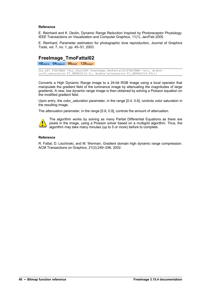#### **Reference**

E. Reinhard and K. Devlin, Dynamic Range Reduction Inspired by Photoreceptor Physiology. IEEE Transactions on Visualization and Computer Graphics, 11(1), Jan/Feb 2005.

E. Reinhard, Parameter estimation for photographic tone reproduction, Journal of Graphics Tools, vol. 7, no. 1, pp. 45–51, 2003.

# **FreeImage\_TmoFattal02**

48RGB16 64RGBA16 96RGBF 128RGBAF

DLL API FIBITMAP \*DLL CALLCONV FreeImage TmoFattal02(FIBITMAP \*src, double color saturation FI\_DEFAULT(0.5), double attenuation FI\_DEFAULT(0.85));

Converts a High Dynamic Range image to a 24-bit RGB image using a local operator that manipulate the gradient field of the luminance image by attenuating the magnitudes of large gradients. A new, low dynamic range image is then obtained by solving a Poisson equation on the modified gradient field.

Upon entry, the *color\_saturation* parameter, in the range [0.4, 0.6], controls color saturation in the resulting image.

The *attenuation* parameter, in the range [0.8, 0.9], controls the amount of attenuation.



The algorithm works by solving as many Partial Differential Equations as there are pixels in the image, using a Poisson solver based on a multigrid algorithm. Thus, the algorithm may take many minutes (up to 5 or more) before to complete.

#### **Reference**

R. Fattal, D. Lischinski, and M. Werman, Gradient domain high dynamic range compression. ACM Transactions on Graphics, 21(3):249–256, 2002.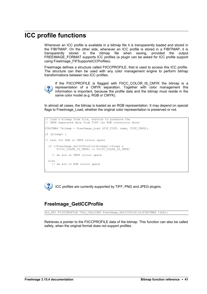# **ICC profile functions**

Whenever an ICC profile is available in a bitmap file it is transparently loaded and stored in the FIBITMAP. On the other side, whenever an ICC profile is stored in a FIBITMAP, it is transparently stored in the bitmap file when saving, provided the output FREEIMAGE\_FORMAT supports ICC profiles (a plugin can be asked for ICC profile support using [FreeImage\\_FIFSupportsICCProfiles\)](#page-51-0).

FreeImage defines a structure called FIICCPROFILE, that is used to access this ICC profile. The structure can then be used with any color management engine to perform bitmap transformations between two ICC profiles.



}

If the FIICCPROFILE is flagged with FIICC COLOR IS CMYK the bitmap is a representation of a CMYK separation. Together with color management this information is important, because the profile data and the bitmap must reside in the same color model (e.g. RGB or CMYK).

In almost all cases, the bitmap is loaded as an RGB representation. It may depend on special flags to FreeImage Load, whether the original color representation is preserved or not.

```
// load a bitmap from file, enforce to preserve the
// CMYK separated data from TIFF (no RGB conversion done)
FIBITMAP *bitmap = FreeImage Load (FIF TIFF, name, TIFF CMYK);
if (bitmap) {
// test for RGB or CMYK colour space
  if ((FreeImage_GetICCProfile(bitmap)->flags & 
      FIICC COLOR IS CMYK) == FIICC COLOR IS CMYK)
     // we are in CMYK colour space
  else
    // we are in RGB colour space
```
ICC profiles are currently supported by TIFF, PNG and JPEG plugins.

# **FreeImage\_GetICCProfile**

DLL\_API FIICCPROFILE \*DLL\_CALLCONV FreeImage GetICCProfile(FIBITMAP \*dib);

Retrieves a pointer to the FIICCPROFILE data of the bitmap. This function can also be called safely, when the original format does not support profiles.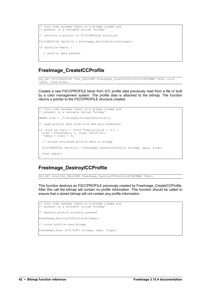```
this code assumes there is a bitmap loaded and
// present in a variable called 'bitmap'
// retrieve a pointer to FIICCPROFILE structure
FIICCPROFILE *profile = FreeImage GetICCProfile(bitmap);
If (profile->data) {
   // profile data present
}
```
### **FreeImage\_CreateICCProfile**

```
DLL_API FIICCPROFILE *DLL_CALLCONV FreeImage CreateICCProfile(FIBITMAP *dib, void
*data, long size);
```
Creates a new FIICCPROFILE block from ICC profile data previously read from a file or built by a color management system. The profile data is attached to the bitmap. The function returns a pointer to the FIICCPROFILE structure created.

```
// this code assumes there is a bitmap loaded and 
// present in a variable called 'bitmap'
DWORD size = filelength(fileno(hProfit));// read profile data from file and zero-terminate
if (size && (data = (void *)malloc(size + 1))) {
 size = fread(data, 1, size, hProfile);
*(data + size) = 0; // attach retrieved profile data to bitmap
 FIICCPROFILE *profile = FreeImage CreateICCProfile (bitmap, data, size);
  free (data);
}
```
### **FreeImage\_DestroyICCProfile**

DLL\_API void DLL\_CALLCONV FreeImage\_DestroyICCProfile(FIBITMAP \*dib);

This function destroys an FIICCPROFILE previously created by FreeImage CreateICCProfile. After this call the bitmap will contain no profile information. This function should be called to ensure that a stored bitmap will not contain any profile information.

```
// this code assumes there is a bitmap loaded and 
// present in a variable called 'bitmap'
// destroy profile possibly present
FreeImage DestroyICCProfile(bitmap);
// store profile-less bitmap
FreeImage Save (FIF TIFF, bitmap, name, flags);
```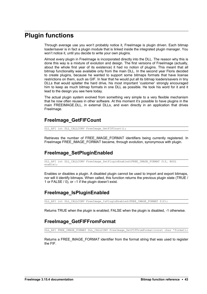# **Plugin functions**

Through average use you won't probably notice it, FreeImage is plugin driven. Each bitmap loader/saver is in fact a plugin module that is linked inside the integrated plugin manager. You won't notice it, until you decide to write your own plugins.

Almost every plugin in FreeImage is incorporated directly into the DLL. The reason why this is done this way is a mixture of evolution and design. The first versions of FreeImage (actually, about the whole first year of its existence) it had no notion of plugins. This meant that all bitmap functionality was available only from the main DLL. In the second year Floris decided to create plugins, because he wanted to support some bitmaps formats that have license restrictions on them, such as GIF. In fear that he would put all its bitmap loaders/savers in tiny DLLs that would splatter the hard drive, his most important 'customer' strongly encouraged him to keep as much bitmap formats in one DLL as possible. He took his word for it and it lead to the design you see here today.

The actual plugin system evolved from something very simple to a very flexible mechanism that he now often reuses in other software. At this moment it's possible to have plugins in the main FREEIMAGE.DLL, in external DLLs, and even directly in an application that drives FreeImage.

### **FreeImage\_GetFIFCount**

DLL\_API int DLL\_CALLCONV FreeImage\_GetFIFCount();

Retrieves the number of FREE\_IMAGE\_FORMAT identifiers being currently registered. In FreeImage FREE\_IMAGE\_FORMAT became, through evolution, synonymous with plugin.

# **FreeImage\_SetPluginEnabled**

DLL API int DLL CALLCONV FreeImage SetPluginEnabled(FREE IMAGE FORMAT fif, BOOL  $enable$ );

Enables or disables a plugin. A disabled plugin cannot be used to import and export bitmaps, nor will it identify bitmaps. When called, this function returns the previous plugin state (TRUE / 1 or FALSE / 0), or –1 if the plugin doesn't exist.

# **FreeImage\_IsPluginEnabled**

DLL\_API int DLL\_CALLCONV FreeImage\_IsPluginEnabled(FREE\_IMAGE\_FORMAT\_fif);

Returns TRUE when the plugin is enabled, FALSE when the plugin is disabled, -1 otherwise.

# **FreeImage\_GetFIFFromFormat**

DLL API FREE IMAGE FORMAT DLL CALLCONV FreeImage GetFIFFromFormat(const char \*format);

Returns a FREE\_IMAGE\_FORMAT identifier from the format string that was used to register the FIF.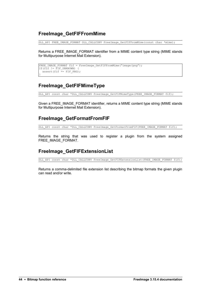# **FreeImage\_GetFIFFromMime**

DLL API FREE IMAGE FORMAT DLL CALLCONV FreeImage\_GetFIFFromMime(const char \*mime);

Returns a FREE\_IMAGE\_FORMAT identifier from a MIME content type string (MIME stands for Multipurpose Internet Mail Extension).

```
FREE IMAGE FORMAT fif = FreeImage GetFIFFromMime("image/png");
If(fif != FIF_UNKNOWN) { 
assert(fif == FIF PNG);
}
```
# **FreeImage\_GetFIFMimeType**

DLL API const char \*DLL CALLCONV FreeImage GetFIFMimeType (FREE IMAGE FORMAT fif);

Given a FREE\_IMAGE\_FORMAT identifier, returns a MIME content type string (MIME stands for Multipurpose Internet Mail Extension).

### **FreeImage\_GetFormatFromFIF**

DLL API const char \*DLL CALLCONV FreeImage GetFormatFromFIF(FREE IMAGE FORMAT fif);

Returns the string that was used to register a plugin from the system assigned FREE\_IMAGE\_FORMAT.

# **FreeImage\_GetFIFExtensionList**

DLL API const char \*DLL CALLCONV FreeImage GetFIFExtensionList(FREE IMAGE FORMAT fif);

Returns a comma-delimited file extension list describing the bitmap formats the given plugin can read and/or write.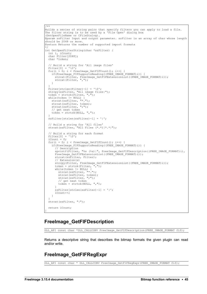```
/**
Builds a series of string pairs that specify filters you can apply to load a file.
The filter string is to be used by a 'File Open' dialog box
(GetOpenFileName or CFileDialog).
@param szFilter Input and output parameter. szFilter is an array of char whose length
should be 2048 or more.
@return Returns the number of supported import formats
*/
int GetOpenFilterString(char *szFilter) {
 int i, iCount;
 char Filter[2048];
  char *token;
   // Build a string for 'All image files'
 Filter[0] = ' \ 0';
 for(i = 0; i < respectively; FreeImage_GetFIFCount(); i++) {
    if(FreeImage_FIFSupportsReading((FREE_IMAGE_FORMAT)i)) {
strcat(Filter, FreeImage GetFIFExtensionList((FREE IMAGE FORMAT)i));
 strcat(Filter, ",");
    }
 }
 Filter[strlen(Filter)-1] = '\0;
 strcpy(szFilter, "All image files|");
 token = strtok(Filter, ",");
  while(token != NULL) {
   strcat(szFilter, "*.");
    strcat(szFilter, token);
    strcat(szFilter, ";");
     // get next token
   \text{token} = \text{strtok}(\text{NULL}, "," }
  szFilter[strlen(szFilter)-1] = '|';
  // Build a string for 'All files'
  strcat(szFilter, "All Files (*.*)|*.*|");
   // Build a string for each format
 Filter[0] = \sqrt{0};
iCount = 0;
 for(i = 0; i < FreeImage_GetFIFCount(); i++) {
     if(FreeImage_FIFSupportsReading((FREE_IMAGE_FORMAT)i)) {
       // Description
      sprintf(Filter, "%s (%s)|", FreeImage GetFIFDescription((FREE IMAGE FORMAT)i),
       FreeImage_GetFIFExtensionList((FREE_IMAGE_FORMAT)i));
       strcat(szFilter, Filter);
       // Extension(s)
      strcpy(Filter, FreeImage_GetFIFExtensionList((FREE_IMAGE_FORMAT)i));<br>token = strtok(Filter, ",");
      token = strtok(Filter,
       while(token != NULL) {
       strcat(szFilter, "*.");
strcat(szFilter, token);
strcat(szFilter, ";");
        // get next token
         token = strtok(NULL, ",");
      \lambda szFilter[strlen(szFilter)-1] = '|';
      iCount++;
     }
 }
  strcat(szFilter, "|");
  return iCount;
}
```
#### **FreeImage\_GetFIFDescription**

DLL API const char \*DLL CALLCONV FreeImage GetFIFDescription(FREE IMAGE FORMAT fif);

Returns a descriptive string that describes the bitmap formats the given plugin can read and/or write.

### **FreeImage\_GetFIFRegExpr**

DLL\_API const char \* DLL\_CALLCONV FreeImage GetFIFRegExpr(FREE\_IMAGE\_FORMAT fif);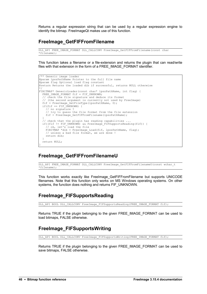Returns a regular expression string that can be used by a regular expression engine to identify the bitmap. FreeImageQt makes use of this function.

# <span id="page-49-0"></span>**FreeImage\_GetFIFFromFilename**

DLL\_API FREE\_IMAGE\_FORMAT DLL\_CALLCONV FreeImage\_GetFIFFromFilename(const char  $*$ filename);

This function takes a filename or a file-extension and returns the plugin that can read/write files with that extension in the form of a FREE\_IMAGE\_FORMAT identifier.

```
/** Generic image loader
@param lpszPathName Pointer to the full file name
@param flag Optional load flag constant
ereturn Returns the loaded dib if successful, returns NULL otherwise
*/
FIBITMAP* GenericLoader(const char* lpszPathName, int flag) {
 FREE IMAGE FORMAT fif = FIF UNKNOWN;
   // check the file signature and deduce its format
    (the second argument is currently not used by FreeImage)
 fif = FreeImage GetFileType(lpszPathName, 0);
 if(fif == FIF UNKNOWN) {
    // no signature ?
     // try to guess the file format from the file extension
    fif = FreeImage GetFIFFromFilename(lpszPathName);
 }
 // check that the plugin has reading capabilities ...
if((fif != FIF UNKNOWN) && FreeImage FIFSupportsReading(fif)) {
 // ok, let's load the file
   FIBITMAP *dib = FreeImage Load(fif, lpszPathName, flag);
     // unless a bad file format, we are done !
     return dib;
 }
  return NULL;
}
```
# **FreeImage\_GetFIFFromFilenameU**

DLL\_API FREE\_IMAGE\_FORMAT\_DLL\_CALLCONV FreeImage\_GetFIFFromFilenameU(const wchar\_t \*filename);

This function works exactly like [FreeImage\\_GetFIFFromFilename](#page-49-0) but supports UNICODE filenames. Note that this function only works on MS Windows operating systems. On other systems, the function does nothing and returns FIF\_UNKNOWN.

# **FreeImage\_FIFSupportsReading**

DLL\_API BOOL DLL\_CALLCONV FreeImage\_FIFSupportsReading(FREE IMAGE FORMAT fif);

Returns TRUE if the plugin belonging to the given FREE\_IMAGE\_FORMAT can be used to load bitmaps, FALSE otherwise.

# **FreeImage\_FIFSupportsWriting**

DLL API BOOL DLL CALLCONV FreeImage FIFSupportsWriting(FREE IMAGE FORMAT fif);

Returns TRUE if the plugin belonging to the given FREE\_IMAGE\_FORMAT can be used to save bitmaps, FALSE otherwise.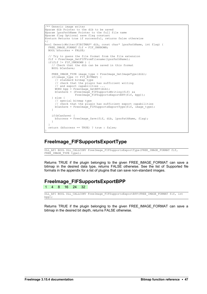```
/** Generic image writer
@param dib Pointer to the dib to be saved
@param lpszPathName Pointer to the full file name
@param flag Optional save flag constant
@return Returns true if successful, returns false otherwise
*/
bool GenericWriter(FIBITMAP* dib, const char* lpszPathName, int flag) {
 FREE IMAGE FORMAT fif = FIF UNKNOWN;
  BOOL bSuccess = FALSE;
   // Try to guess the file format from the file extension
 fif = FreeImage GetFIFFromFilename(lpszPathName);
 if(fif != FIT UNKNOWN ) {
     // Check that the dib can be saved in this format
    BOOL bCanSave;
   \texttt{FREE}\_\texttt{IMAGE}\_\texttt{TPE} image_type = FreeImage GetImageType(dib);
    if(image type == FITBITMAP) {
       // standard bitmap type
       // check that the plugin has sufficient writing
      // and export capabilities .
      WORD bpp = FreeImage_GetBPP(dib);
      bCanSave = (FreeImage_FIFSupportsWriting(fif) && 
                  FreeImage_FIFSupportsExportBPP(fif, bpp));
     } else {
      // special bitmap type
       // check that the plugin has sufficient export capabilities
      bCanSave = FreeImage FIFSupportsExportType(fif, image type);
     }
    if(bCanSave) {
     bSuccess = FreeImage Save(fif, dib, lpszPathName, flag);
     }
   }
  return (bSuccess == TRUE) ? true : false;
}
```
# **FreeImage\_FIFSupportsExportType**

DLL\_API BOOL DLL\_CALLCONV FreeImage\_FIFSupportsExportType(FREE\_IMAGE\_FORMAT\_fif, FREE IMAGE TYPE  $\overline{t}$ ype);

Returns TRUE if the plugin belonging to the given FREE IMAGE FORMAT can save a bitmap in the desired data type, returns FALSE otherwise. See the list of [Supported file](#page-110-0) [formats](#page-110-0) in the appendix for a list of plugins that can save non-standard images.

### **FreeImage\_FIFSupportsExportBPP**

1 4 8 16 24 32

```
DLL API BOOL DLL CALLCONV FreeImage FIFSupportsExportBPP(FREE IMAGE FORMAT fif, int
bpp\overline{)};
```
Returns TRUE if the plugin belonging to the given FREE\_IMAGE\_FORMAT can save a bitmap in the desired bit depth, returns FALSE otherwise.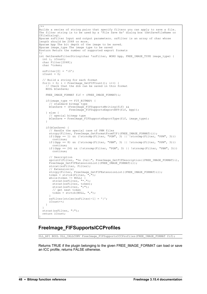```
/**
Builds a series of string pairs that specify filters you can apply to save a file.
The filter string is to be used by a 'File Save As' dialog box (GetSaveFileName or
CFileDialog).
@param szFilter Input and output parameters. szFilter is an array of char whose
length should be 2048 or more.
@param bpp The bit depth of the image to be saved.
@param image_type The image type to be saved
@return Return the number of supported export formats
*/
int GetSaveAsFilterString(char *szFilter, WORD bpp, FREE IMAGE TYPE image type) {
  int i, iCount;
  char Filter[2048];
  char *token;
 szFilter[0] = '\\0';iCount = 0;
   // Build a string for each format
 for(i = 0; i < FreeImage GetFIFCount(); i++) {
     // Check that the dib can be saved in this format
     BOOL bCanSave;
    FREE IMAGE FORMAT fif = (FREE IMAGE FORMAT)i;
     if(image_type == FIT_BITMAP) {
       // standard bitmap type
      bCanSave = (FreeImage FIFSupportsWriting(fif) &&
                 FreeImage FIFSupportsExportBPP(fif, bpp));
     } else {
       // special bitmap type
     bCanSave = FreeImage FIFSupportsExportType(fif, image type);
 }
    if(bCanSave) {
       // Handle the special case of PNM files
      strcpy(Filter, FreeImage GetFormatFromFIF((FREE IMAGE FORMAT)i));
     if((bpp == 1) && (!strncmp(Filter, "PGM", 3) || !strncmp(Filter, "PPM", 3)))
        continue;
      if((bpp == 8) && (!strncmp(Filter, "PBM", 3) || !strncmp(Filter, "PPM", 3)))
 continue;
if((bpp == 24) \&\& (!strncmp(Filter, "PGM", 3) || !strncmp(Filter, "PBM", 3)))
        continue;
       // Description
       sprintf(Filter, "%s (%s)|", FreeImage_GetFIFDescription((FREE_IMAGE_FORMAT)i), 
      FreeImage GetFIFExtensionList((FREE IMAGE FORMAT)i));
      strcat(szFilter, Filter);
       // Extension(s)
strcpy(Filter, FreeImage GetFIFExtensionList((FREE_IMAGE_FORMAT)i));
 token = strtok(Filter, ",");
       while(token != NULL) {
 strcat(szFilter, "*.");
strcat(szFilter, token);
strcat(szFilter, ";");
         // get next token
        token = strtok(NULL, ",");
       }
      szFilter[strlen(szFilter)-1] = '|';
      iCount++;
    }
   }
  strcat(szFilter, "|");
  return iCount;
}
```
# <span id="page-51-0"></span>**FreeImage\_FIFSupportsICCProfiles**

DLL API BOOL DLL CALLCONV FreeImage FIFSupportsICCProfiles(FREE IMAGE FORMAT fif);

Returns TRUE if the plugin belonging to the given FREE\_IMAGE\_FORMAT can load or save an ICC profile, returns FALSE otherwise.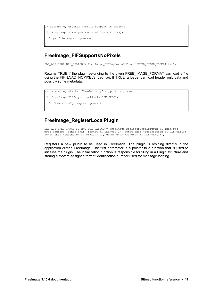```
// determine, whether profile support is present
if (FreeImage_FIFSupportsICCProfiles(FIF_TIFF)) {
   // profile support present
```
# **FreeImage\_FIFSupportsNoPixels**

}

}

DLL API BOOL DLL CALLCONV FreeImage FIFSupportsNoPixels(FREE IMAGE FORMAT fif);

Returns TRUE if the plugin belonging to the given FREE\_IMAGE\_FORMAT can load a file using the FIF\_LOAD\_NOPIXELS load flag. If TRUE, a loader can load header only data and possibly some metadata;

```
// determine, whether 'header only' support is present
if (FreeImage_FIFSupportsNoPixels(FIF_JPEG)) {
  // 'header only' support present
```
# **FreeImage\_RegisterLocalPlugin**

DLL\_API FREE\_IMAGE\_FORMAT DLL\_CALLCONV FreeImage\_RegisterLocalPlugin(FI\_InitProc proc\_address, const char \*format FI\_DEFAULT(0), const char \*description FI\_DEFAULT(0), const char \*extension FI\_DEFAULT(0), const char \*regexpr FI\_DEFAULT(0));

Registers a new plugin to be used in FreeImage. The plugin is residing directly in the application driving FreeImage. The first parameter is a pointer to a function that is used to initialise the plugin. The initialization function is responsible for filling in a Plugin structure and storing a system-assigned format identification number used for message logging.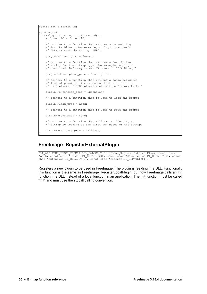```
static int s format id;
void stdcall
Init(Plugin *plugin, int format_id) {
s format id = format id;
    // pointer to a function that returns a type-string
 // for the bitmap. For example, a plugin that loads
 // BMPs returns the string "BMP".
    plugin->format_proc = Format;
     // pointer to a function that returns a descriptive
 // string for the bitmap type. For example, a plugin
 // that loads BMPs may return "Windows or OS/2 Bitmap"
    plugin->description_proc = Description;
     // pointer to a function that returns a comma delimited
     // list of possible file extension that are valid for
    // this plugin. A JPEG plugin would return "jpeg,jif,jfif"
    plugin->extension_proc = Extension;
     // pointer to a function that is used to load the bitmap
    plugin->load_proc = Load;
     // pointer to a function that is used to save the bitmap
    plugin->save_proc = Save;
       // pointer to a function that will try to identify a 
    // bitmap by looking at the first few bytes of the bitmap.
    plugin->validate_proc = Validate;
}
```
## **FreeImage\_RegisterExternalPlugin**

DLL\_API FREE\_IMAGE\_FORMAT\_DLL\_CALLCONV FreeImage\_RegisterExternalPlugin(const char \*path, const char \*format FI\_DEFAULT(0), const char \*description FI\_DEFAULT(0), const char \*extension FI DEFAULT(0), const char \*regexpr FI DEFAULT(0));

Registers a new plugin to be used in FreeImage. The plugin is residing in a DLL. Functionally this function is the same as FreeImage\_RegisterLocalPlugin, but now FreeImage calls an Init function in a DLL instead of a local function in an application. The Init function must be called "Init" and must use the stdcall calling convention.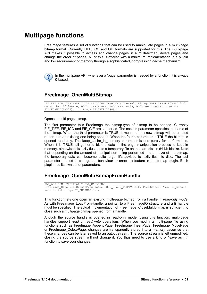# **Multipage functions**

FreeImage features a set of functions that can be used to manipulate pages in a multi-page bitmap format. Currently TIFF, ICO and GIF formats are supported for this. The multi-page API makes it possible to access and change pages in a multi-bitmap, delete pages and change the order of pages. All of this is offered with a minimum implementation in a plugin and low requirement of memory through a sophisticated, compressing cache mechanism.



In the multipage API, whenever a 'page' parameter is needed by a function, it is always 0-based.

## <span id="page-54-0"></span>**FreeImage\_OpenMultiBitmap**

DLL API FIMULTIBITMAP \* DLL CALLCONV FreeImage OpenMultiBitmap(FREE IMAGE FORMAT fif, const char \*filename, BOOL create\_new, BOOL read\_only, BOOL keep\_cache\_in\_memory FI\_DEFAULT(FALSE), int flags FI\_DEFAULT(0));

Opens a multi-page bitmap.

The first parameter tells FreeImage the bitmap-type of bitmap to be opened. Currently FIF\_TIFF, FIF\_ICO and FIF\_GIF are supported. The second parameter specifies the name of the bitmap. When the third parameter is TRUE, it means that a new bitmap will be created rather than an existing one being opened. When the fourth parameter is TRUE the bitmap is opened read-only. The keep cache in memory parameter is one purely for performance. When it is TRUE, all gathered bitmap data in the page manipulation process is kept in memory, otherwise it is lazily flushed to a temporary file on the hard disk in 64 Kb blocks. Note that depending on the amount of manipulation being performed and the size of the bitmap, the temporary data can become quite large. It's advised to lazily flush to disc. The last parameter is used to change the behaviour or enable a feature in the bitmap plugin. Each plugin has its own set of parameters.

# **FreeImage\_OpenMultiBitmapFromHandle**

DLL\_API FIMULTIBITMAP \* DLL\_CALLCONV FreeImage OpenMultiBitmapFromHandle(FREE IMAGE FORMAT fif, FreeImageIO \*io, fi handle handle,  $int$  flags FI DEFAULT(0));

This function lets one open an existing multi-page bitmap from a handle in *read-only mode*. As with Freelmage LoadFromHandle, a pointer to a FreelmageIO structure and a fi handle must be specified. The actual implementation of [FreeImage\\_CloseMultiBitmap](#page-57-0) is sufficient, to close such a multipage bitmap opened from a handle.

Altough the source handle is opened in read-only mode, using this function, multi-page handles support *read* or *read*/*write* operations. When you modify a multi-page file using functions such as FreeImage\_AppendPage, FreeImage\_InsertPage, FreeImage\_MovePage or FreeImage\_DeletePage, changes are transparently stored into a *memory cache* so that these changes can be later saved to an output stream. The source stream is left unmodified: closing the source stream will not change it. You thus need to use a kind of "save as …" function to save your changes.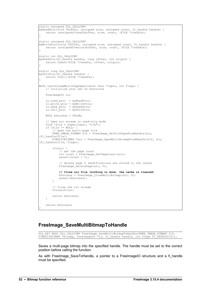```
static unsigned DLL CALLCONV
myReadProc(void *buffer, unsigned size, unsigned count, fi_handle handle) {
   return (unsigned)fread(buffer, size, count, (FILE *)handle);
}
static unsigned DLL CALLCONV
myWriteProc(void *buffer, unsigned size, unsigned count, fi_handle handle) {
return (unsigned)fwrite(buffer, size, count, (FILE *)handle);
}
static int DLL CALLCONV
mySeekProc(fi handle handle, long offset, int origin) {
     return fseek((FILE *)handle, offset, origin);
}
static long DLL_CALLCONV
myTellProc(fi_handle handle) {
    return ftell((FILE *)handle);
}
BOOL testStreamMultiPageOpen(const char *input, int flags) {
    // initialize your own IO functions
    FreeImageIO io;
    io.read_proc = myReadProc;
 io.write_proc = myWriteProc;
 io.seek_proc = mySeekProc;
   \overrightarrow{10}.tell\overrightarrow{p}roc = myTellProc;
    BOOL bSuccess = FALSE;
     // Open src stream in read-only mode
    FILE * file = fopen(input, "r+b");
    if (file != NULL)
         // Open the multi-page file
        FREE IMAGE FORMAT fif = FreeImage GetFileTypeFromHandle(\deltaio,
(fi_handle)file);
        FIMULTIBITMAP *src = FreeImage OpenMultiBitmapFromHandle(fif, &io,
(fi_handle)file, flags);
         if(src) {
             // get the page count
             int count = FreeImage_GetPageCount(src);
            assert(count > 1);
             // delete page 0 (modifications are stored to the cache)
            FreeImage DeletePage(src, 0);
             // Close src file (nothing is done, the cache is cleared)
            bSuccess = FreeImage CloseMultiBitmap(src, 0);
             assert(bSuccess);
         }
         // Close the src stream
         fclose(file);
         return bSuccess;
     }
     return bSuccess;
}
```
# **FreeImage\_SaveMultiBitmapToHandle**

DLL API BOOL DLL CALLCONV FreeImage SaveMultiBitmapToHandle(FREE IMAGE FORMAT fif, FIMULTIBITMAP \*bitmap, FreeImageIO \*io, fi\_handle handle, int flags FI\_DEFAULT(0));

Saves a multi-page bitmap into the specified handle. The handle must be set to the correct position before calling the function.

As with [FreeImage\\_SaveToHandle,](#page-14-0) a pointer to a FreeImageIO structure and a fi\_handle must be specified.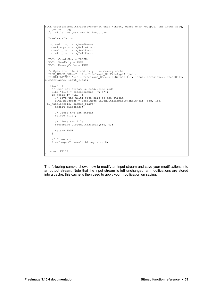```
BOOL testStreamMultiPageSave(const char *input, const char *output, int input_flag,
int output flag) {
  // initialize your own IO functions
  FreeImageIO io;
 io.read proc = myReadProc;
  io.write_proc = myWriteProc;
io.seek proc = mySeekProc;
io.tell proc = myTellProc;
 BOOL bCreateNew = FALSE;
 BOOL bReadOnly = TRUE;
 BOOL bMemoryCache = TRUE;
 // Open src file (read-only, use memory cache)
FREE IMAGE FORMAT fif = FreeImage GetFileType(input);
 FIMULTIBITMAP *src = FreeImage OpenMultiBitmap(fif, input, bCreateNew, bReadOnly,
bMemoryCache, input_flag);
   if(src) {
    // Open dst stream in read/write mode
 FILE *file = fopen(output, "w+b"); 
 if (file != NULL) {
      // Save the multi-page file to the stream
      BOOL bSuccess = FreeImage_SaveMultiBitmapToHandle(fif, src, &io,
(fi_handle)file, output flag);
     assert(bSuccess);
       // Close the dst stream
      fclose(file);
       // Close src file
     FreeImage CloseMultiBitmap(src, 0);
      return TRUE;
    \lambda // Close src
    FreeImage_CloseMultiBitmap(src, 0);
   }
   return FALSE;
}
```
The following sample shows how to modify an input stream and save your modifications into an output stream. Note that the input stream is left unchanged: all modifications are stored into a cache; this cache is then used to apply your modification on saving.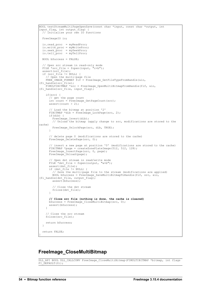```
BOOL testStreamMultiPageOpenSave(const char *input, const char *output, int
input flag, int output flag) {
  // initialize your own IO functions
  FreeImageIO io;
 io.read proc = myReadProc;
 \overline{\text{in}} proc = myWriteProc;
io.seek proc = mySeekProc;
io.tell proc = myTellProc;
  BOOL bSuccess = FALSE;
   // Open src stream in read-only mode
 FILE *src_file = fopen(input, "r+b");
 assert(src_file);
 if (src file != NULL) {
     // Open the multi-page file
     FREE_IMAGE_FORMAT fif = FreeImage_GetFileTypeFromHandle(&io,
(fi_handle)src_file);
     FIMULTIBITMAP *src = FreeImage_OpenMultiBitmapFromHandle(fif, &io,
(fi_handle)src_file, input_flag);
     if(src) {
       // get the page count
      int count = r = r = FreeImage GetPageCount(src);
     assert(count > 2);
       // Load the bitmap at position '2'
      FIBITMAP *dib = FreeImage LockPage(src, 2);
       if(dib) {
FreeImage Invert(dib);
 // Unload the bitmap (apply change to src, modifications are stored to the
cache)
       FreeImage UnlockPage(src, dib, TRUE);
 }
       // delete page 0 (modifications are stored to the cache)
     FreeImage DeletePage(src, 0);
 // insert a new page at position '0' (modifications are stored to the cache)
 FIBITMAP *page = createZonePlateImage(512, 512, 128);
      FreeImage_InsertPage(src, 0, page);
       FreeImage_Unload(page);
       // Open dst stream in read/write mode
       FILE *dst_file = fopen(output, "w+b"); 
      assert(ds\bar{t} file);
      if (dst file != NULL) {
         // Save the multi-page file to the stream (modifications are applied)
       BOOL bSuccess = FreeImage SaveMultiBitmapToHandle(fif, src, &io,
(fi_handle)dst_file, output_flag);
       assert(bSuccess);
         // Close the dst stream
        fclose(dst_file);
      }
      // Close src file (nothing is done, the cache is cleared)
     bSuccess = FreeImage CloseMultiBitmap(src, 0);
      assert(bSuccess);
     }
     // Close the src stream
    fclose(src_file);
    return bSuccess;
 \lambda return FALSE;
}
```
#### <span id="page-57-0"></span>**FreeImage\_CloseMultiBitmap**

DLL\_API BOOL DLL\_CALLCONV FreeImage\_CloseMultiBitmap(FIMULTIBITMAP \*bitmap, int flags FI  $\overline{DEFAULT(0)}$ ;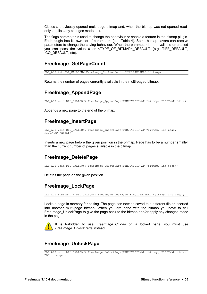Closes a previously opened multi-page bitmap and, when the bitmap was not opened readonly, applies any changes made to it.

The flags parameter is used to change the behaviour or enable a feature in the bitmap plugin. Each plugin has its own set of parameters (see [Table 4\)](#page-14-1). Some bitmap savers can receive parameters to change the saving behaviour. When the parameter is not available or unused you can pass the value 0 or <TYPE OF BITMAP> DEFAULT (e.g. TIFF DEFAULT, ICO\_DEFAULT, etc).

#### **FreeImage\_GetPageCount**

DLL\_API int DLL\_CALLCONV FreeImage GetPageCount(FIMULTIBITMAP \*bitmap);

Returns the number of pages currently available in the multi-paged bitmap.

#### <span id="page-58-2"></span>**FreeImage\_AppendPage**

DLL API void DLL CALLCONV FreeImage AppendPage(FIMULTIBITMAP \*bitmap, FIBITMAP \*data);

Appends a new page to the end of the bitmap.

## <span id="page-58-1"></span>**FreeImage\_InsertPage**

DLL\_API void DLL\_CALLCONV FreeImage\_InsertPage(FIMULTIBITMAP \*bitmap, int page, FIBITMAP \*data);

Inserts a new page before the given position in the bitmap. Page has to be a number smaller than the current number of pages available in the bitmap.

# <span id="page-58-0"></span>**FreeImage\_DeletePage**

DLL\_API void DLL\_CALLCONV FreeImage\_DeletePage(FIMULTIBITMAP \*bitmap, int page);

Deletes the page on the given position.

### **FreeImage\_LockPage**

DLL API FIBITMAP \* DLL CALLCONV FreeImage LockPage(FIMULTIBITMAP \*bitmap, int page);

Locks a page in memory for editing. The page can now be saved to a different file or inserted into another multi-page bitmap. When you are done with the bitmap you have to call FreeImage UnlockPage to give the page back to the bitmap and/or apply any changes made in the page.



It is forbidden to use *FreeImage\_Unload* on a locked page: you must use *FreeImage\_UnlockPage* instead.

# **FreeImage\_UnlockPage**

DLL\_API void DLL\_CALLCONV FreeImage\_UnlockPage(FIMULTIBITMAP \*bitmap, FIBITMAP \*data, BOOL changed);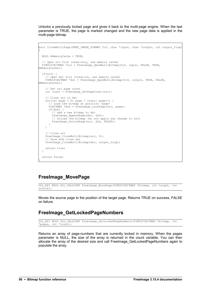Unlocks a previously locked page and gives it back to the multi-page engine. When the last parameter is TRUE, the page is marked changed and the new page data is applied in the multi-page bitmap.

```
bool CloneMultiPage(FREE IMAGE FORMAT fif, char *input, char *output, int output flag)
{
  BOOL bMemoryCache = TRUE;
  // Open src file (read-only, use memory cache)
  FIMULTIBITMAP *src = FreeImage_OpenMultiBitmap(fif, input, FALSE, TRUE,
bMemoryCache);
  if(src) {
     // Open dst file (creation, use memory cache)
   FIMULTIBITMAP *dst = FreeImage OpenMultiBitmap(fif, output, TRUE, FALSE,
bMemoryCache);
     // Get src page count
   int count = FreeImage GetPageCount(src);
     // Clone src to dst
   for(int page = 0; page < count; page++) {
       // Load the bitmap at position 'page'
     FIBITMAP *dib = FreeImage LockPage(src, page);
      if(dib) {
        // add a new bitmap to dst
       FreeImage AppendPage(dst, dib);
 // Unload the bitmap (do not apply any change to src)
FreeImage UnlockPage(src, dib, FALSE);
      }
     }
     // Close src
   FreeImage CloseMultiBitmap(src, 0);
    // Save and close dst
   FreeImage CloseMultiBitmap(dst, output_flag);
    return true;
  }
  return false;
}
```
### <span id="page-59-0"></span>**FreeImage\_MovePage**

DLL\_API BOOL DLL\_CALLCONV FreeImage\_MovePage(FIMULTIBITMAP \*bitmap, int target, int source);

Moves the source page to the position of the target page. Returns TRUE on success, FALSE on failure.

# **FreeImage\_GetLockedPageNumbers**

DLL API BOOL DLL CALLCONV FreeImage GetLockedPageNumbers(FIMULTIBITMAP \*bitmap, int \*pages, int \*count);

Returns an array of page-numbers that are currently locked in memory. When the pages parameter is NULL, the size of the array is returned in the count variable. You can then allocate the array of the desired size and call FreeImage\_GetLockedPageNumbers again to populate the array.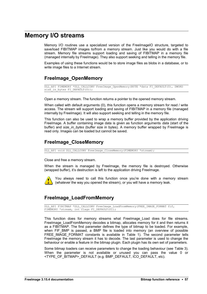# **Memory I/O streams**

Memory I/O routines use a specialized version of the FreeImageIO structure, targeted to save/load FIBITMAP images to/from a memory stream. Just like you would do with a file stream. Memory file streams support loading and saving of FIBITMAP in a memory file (managed internally by FreeImage). They also support seeking and telling in the memory file.

Examples of using these functions would be to store image files as blobs in a database, or to write image files to a Internet stream.

# **FreeImage\_OpenMemory**

```
DLL_API FIMEMORY *DLL_CALLCONV FreeImage_OpenMemory(BYTE *data FI_DEFAULT(0), DWORD
size in bytes FI DEFAULT(0));
```
Open a memory stream. The function returns a pointer to the opened memory stream.

When called with default arguments (0), this function opens a memory stream for read / write access. The stream will support loading and saving of FIBITMAP in a memory file (managed internally by FreeImage). It will also support seeking and telling in the memory file.

This function can also be used to wrap a memory buffer provided by the application driving FreeImage. A buffer containing image data is given as function arguments *data* (start of the buffer) and *size in bytes* (buffer size in bytes). A memory buffer wrapped by FreeImage is read only. Images can be loaded but cannot be saved.

## **FreeImage\_CloseMemory**

DLL\_API void DLL\_CALLCONV FreeImage\_CloseMemory(FIMEMORY \*stream);

Close and free a memory stream.

When the stream is managed by FreeImage, the memory file is destroyed. Otherwise (wrapped buffer), it's destruction is left to the application driving FreeImage.



You always need to call this function once you're done with a memory stream (whatever the way you opened the stream), or you will have a memory leak.

# **FreeImage\_LoadFromMemory**

DLL API FIBITMAP \*DLL CALLCONV FreeImage LoadFromMemory(FREE IMAGE FORMAT fif, FIMEMORY \*stream, int flags FI DEFAULT(0));

This function does for memory streams what [FreeImage\\_Load](#page-10-0) does for file streams. FreeImage\_LoadFromMemory decodes a bitmap, allocates memory for it and then returns it as a FIBITMAP. The first parameter defines the type of bitmap to be loaded. For example, when FIF\_BMP is passed, a BMP file is loaded into memory (an overview of possible FREE IMAGE FORMAT constants is available in [Table 1\)](#page-8-0). The second parameter tells FreeImage the memory stream it has to decode. The last parameter is used to change the behaviour or enable a feature in the bitmap plugin. Each plugin has its own set of parameters.

Some bitmap loaders can receive parameters to change the loading behaviour (see [Table 3\)](#page-11-0). When the parameter is not available or unused you can pass the value 0 or <TYPE\_OF\_BITMAP>\_DEFAULT (e.g. BMP\_DEFAULT, ICO\_DEFAULT, etc).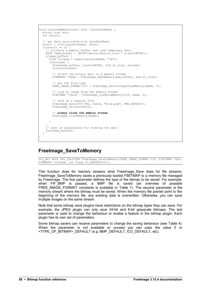```
void testLoadMemIO(const char *lpszPathName) {
  struct stat buf;
  int result;
  // get data associated with lpszPathName
 result = stat(1pszPathName, \&but);if(result == 0) {
     // allocate a memory buffer and load temporary data
    BYTE *mem buffer = (BYTE*)malloc(buf.st_size * sizeof(BYTE));
     if(mem_buffer) {
     FILE<sup>*</sup>stream = fopen(lpszPathName, "rb");
      if(stream) {
        fread(mem_buffer, sizeof(BYTE), buf.st size, stream);
        fclose(stream);
        // attach the binary data to a memory stream
       FIMEMORY *hmem = FreeImage OpenMemory(mem buffer, buf.st size);
         // get the file type
       FREE IMAGE FORMAT fif = FreeImage GetFileTypeFromMemory(hmem, 0);
         // load an image from the memory stream
       FIBITMAP *check = FreeImage LoadFromMemory(fif, hmem, 0);
         // save as a regular file
       FreeImage Save(FIF PNG, check, "blob.png", PNG DEFAULT);
       FreeImage<sup>-</sup>Unload(check);
         // always close the memory stream
       FreeImage CloseMemory(hmem);
      }
 }
     // user is responsible for freeing the data
     free(mem_buffer);
  }
}
```
# <span id="page-61-0"></span>**FreeImage\_SaveToMemory**

DLL\_API BOOL DLL\_CALLCONV FreeImage\_SaveToMemory(FREE\_IMAGE\_FORMAT fif, FIBITMAP \*dib, FIMEMORY \*stream, int flags FI\_DEFAULT(0));

This function does for memory streams what [FreeImage\\_Save](#page-12-1) does for file streams. [FreeImage\\_SaveToMemory](#page-61-0) saves a previously loaded FIBITMAP to a memory file managed by FreeImage. The first parameter defines the type of the bitmap to be saved. For example, when FIF BMP is passed, a BMP file is saved (an overview of possible FREE\_IMAGE\_FORMAT constants is available in [Table 1\)](#page-8-0). The second parameter is the memory stream where the bitmap must be saved. When the memory file pointer point to the beginning of the memory file, any existing data is overwritten. Otherwise, you can save multiple images on the same stream.

Note that some bitmap save plugins have restrictions on the bitmap types they can save. For example, the JPEG plugin can only save 24-bit and 8-bit greyscale bitmaps. The last parameter is used to change the behaviour or enable a feature in the bitmap plugin. Each plugin has its own set of parameters.

Some bitmap savers can receive parameters to change the saving behaviour (see [Table 4\)](#page-14-1). When the parameter is not available or unused you can pass the value 0 or <TYPE\_OF\_BITMAP>\_DEFAULT (e.g. BMP\_DEFAULT, ICO\_DEFAULT, etc).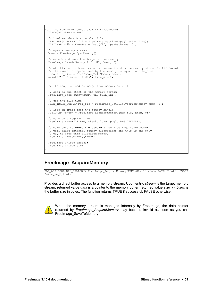```
void testSaveMemIO(const char *lpszPathName) {
 FIMEMORY *hmem = NULL;
  // load and decode a regular file
FREE IMAGE FORMAT fif = FreeImage GetFileType(lpszPathName);
FIBITMAP *dib = FreeImage Load(fif, lpszPathName, 0);
  // open a memory stream
 hmem = FreeImage OpenMemory();
  // encode and save the image to the memory
 FreeImage_SaveToMemory(fif, dib, hmem, 0);
  // at this point, hmem contains the entire data in memory stored in fif format. 
// the amount of space used by the memory is equal to file size
long file size = FreeImage TellMemory(hmem);
 printf("File size : %ld\n", file size);
  // its easy to load an image from memory as well
   // seek to the start of the memory stream
 FreeImage SeekMemory(hmem, OL, SEEK SET);
  // get the file type
 FREE IMAGE FORMAT mem fif = FreeImage GetFileTypeFromMemory(hmem, 0);
  // load an image from the memory handle 
 FIBITMAP *check = FreeImage LoadFromMemory(mem fif, hmem, 0);
  // save as a regular file
 FreeImage Save(FIF PNG, check, "dump.png", PNG DEFAULT);
  // make sure to close the stream since FreeImage_SaveToMemory 
 // will cause internal memory allocations and this is the only
   // way to free this allocated memory
 FreeImage CloseMemory(hmem);
  FreeImage_Unload(check);
 FreeImage Unload(dib);
}
```
### **FreeImage\_AcquireMemory**

DLL\_API BOOL DLL\_CALLCONV FreeImage\_AcquireMemory(FIMEMORY \*stream, BYTE \*\*data, DWORD \*size in bytes);

Provides a direct buffer access to a memory stream. Upon entry, *stream* is the target memory stream, returned value *data* is a pointer to the memory buffer, returned value *size\_in\_bytes* is the buffer size in bytes. The function returns TRUE if successful, FALSE otherwise.



When the memory stream is managed internally by FreeImage, the data pointer returned by *FreeImage\_AcquireMemory* may become invalid as soon as you call [FreeImage\\_SaveToMemory.](#page-61-0)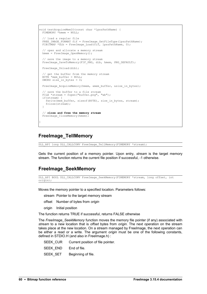```
void testAcquireMemIO(const char *lpszPathName) {
 FIMEMORY *hmem = NULL;
  // load a regular file
FREE IMAGE FORMAT fif = FreeImage GetFileType(lpszPathName);
FIBITMAP *dib = FreeImage Load(fif, lpszPathName, 0);
  // open and allocate a memory stream
  hmem = FreeImage_OpenMemory();
  // save the image to a memory stream
  FreeImage_SaveToMemory(FIF_PNG, dib, hmem, PNG_DEFAULT);
 FreeImage Unload(dib);
  // get the buffer from the memory stream
 BYTE *mem buffer = NULL;
 DWORD size in bytes = 0;
  FreeImage_AcquireMemory(hmem, &mem_buffer, &size_in_bytes);
 // save the buffer to a file stream
FILE *stream = fopen("buffer.png", "wb");
  if(stream) {
   fwrite(mem_buffer, sizeof(BYTE), size_in_bytes, stream);
    fclose(stream);
 }
  // close and free the memory stream
  FreeImage_CloseMemory(hmem);
}
```
### **FreeImage\_TellMemory**

DLL\_API long DLL\_CALLCONV FreeImage\_TellMemory(FIMEMORY \*stream);

Gets the current position of a memory pointer. Upon entry, *stream* is the target memory stream. The function returns the current file position if successful, -1 otherwise.

### **FreeImage\_SeekMemory**

```
DLL API BOOL DLL CALLCONV FreeImage SeekMemory(FIMEMORY *stream, long offset, int
\overline{\text{origin}});
```
Moves the memory pointer to a specified location. Parameters follows:

stream Pointer to the target memory stream

- offset Number of bytes from *origin*
- origin Initial position

The function returns TRUE if successful, returns FALSE otherwise

The *FreeImage\_SeekMemory* function moves the memory file pointer (if any) associated with *stream* to a new location that is *offset* bytes from *origin*. The next operation on the stream takes place at the new location. On a stream managed by FreeImage, the next operation can be either a read or a write. The argument *origin* must be one of the following constants, defined in STDIO.H (and also in FreeImage.h) :

|                       | SEEK CUR Current position of file pointer. |
|-----------------------|--------------------------------------------|
| SEEK END End of file. |                                            |
| SEEK SET              | Beginning of file.                         |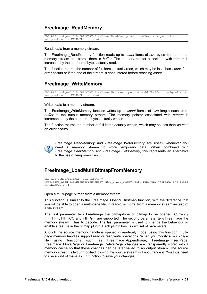### **FreeImage\_ReadMemory**

```
DLL API unsigned DLL CALLCONV FreeImage ReadMemory(void *buffer, unsigned size,
unsigned count, FIMEMORY *stream);
```
Reads data from a memory stream.

The FreeImage\_ReadMemory function reads up to *count* items of *size* bytes from the input memory stream and stores them in *buffer*. The memory pointer associated with *stream* is increased by the number of bytes actually read.

The function returns the number of full items actually read, which may be less than *count* if an error occurs or if the end of the stream is encountered before reaching *count*.

# **FreeImage\_WriteMemory**

DLL API unsigned DLL CALLCONV FreeImage WriteMemory(const void \*buffer, unsigned size, unsigned count, FIMEMORY \*stream);

Writes data to a memory stream.

The FreeImage\_WriteMemory function writes up to *count* items, of *size* length each, from *buffer* to the output memory stream. The memory pointer associated with *stream* is incremented by the number of bytes actually written.

The function returns the number of full items actually written, which may be less than *count* if an error occurs.



*FreeImage\_ReadMemory* and *FreeImage\_WriteMemory* are useful whenever you need a memory stream to store temporary data. When combined with *FreeImage\_SeekMemory* and *FreeImage\_TellMemory*, this represents an alternative to the use of temporary files.

### **FreeImage\_LoadMultiBitmapFromMemory**

```
DLL_API FIMULTIBITMAP *DLL_CALLCONV
FreeImage_LoadMultiBitmapFromMemory(FREE_IMAGE_FORMAT_fif, FIMEMORY *stream, int flags
FI DEFAULT(0));
```
Open a multi-page bitmap from a memory stream.

This function is similar to the [FreeImage\\_OpenMultiBitmap](#page-54-0) function, with the difference that you will be able to open a multi-page file, in *read-only mode*, from a memory stream instead of a file stream.

The first parameter tells FreeImage the bitmap-type of bitmap to be opened. Currently FIF\_TIFF, FIF\_ICO and FIF\_GIF are supported. The second parameter tells FreeImage the memory stream it has to decode. The last parameter is used to change the behaviour or enable a feature in the bitmap plugin. Each plugin has its own set of parameters.

Altough the source memory handle is opened in read-only mode, using this function, multipage memory handles support read or read/write operations. When you modify a multi-page file using functions such as [FreeImage\\_AppendPage,](#page-58-2) [FreeImage\\_InsertPage,](#page-58-1) [FreeImage\\_MovePage](#page-59-0) or [FreeImage\\_DeletePage,](#page-58-0) changes are transparently stored into a memory cache so that these changes can be later saved to an output stream. The source memory stream is left unmodified: closing the source stream will not change it. You thus need to use a kind of "save as …" function to save your changes.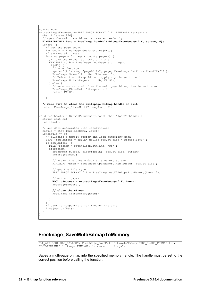```
static BOOL 
extractPagesFromMemory(FREE_IMAGE_FORMAT fif, FIMEMORY *stream) {
  char filename[256];
   // open the multipage bitmap stream as read-only
 FIMULTIBITMAP *src = FreeImage LoadMultiBitmapFromMemory(fif, stream, 0);
  if(src) {
     // get the page count
     int count = FreeImage_GetPageCount(src);
 // extract all pages
for(int page = 0; page < count; page++) {
       // load the bitmap at position 'page'
      FIBITMAP *dib = r = reeImage LockPage(src, page);
       if(dib) {
         // save the page
        sprintf(filename, "page%d.%s", page, FreeImage GetFormatFromFIF(fif));
        FreeImage Save(fif, dib, filename, 0);
         // Unload the bitmap (do not apply any change to src)
       FreeImage UnlockPage(src, dib, FALSE);
       } else {
         // an error occured: free the multipage bitmap handle and return
        FreeImage CloseMultiBitmap(src, 0);
        return FALSE;
      }
    }
 }
  // make sure to close the multipage bitmap handle on exit
 return FreeImage CloseMultiBitmap(src, 0);
}
void testLoadMultiBitmapFromMemory(const char *lpszPathName) {
  struct stat buf;
  int result;
   // get data associated with lpszPathName
  result = stat(lpszPathName, &buf);
 if(result == 0) {
     // allocate a memory buffer and load temporary data
    BYTE *mem buffer = (BYTE*)malloc(buf.st size * sizeof(BYTE));
    if(mem buffer) {
      FILE^{-*}stream = fopen(lpszPathName, "rb"); if(stream) {
        fread(mem_buffer, sizeof(BYTE), buf.st size, stream);
       fclose(stream); // attach the binary data to a memory stream
       FIMEMORY *hmem = FreeImage OpenMemory(mem buffer, buf.st size);
         // get the file type
       FREE IMAGE FORMAT fif = FreeImage GetFileTypeFromMemory(hmem, 0);
         // extract pages 
        BOOL bSuccess = extractPagesFromMemory(fif, hmem);
       assert(bSuccess);
         // close the stream
       FreeImage CloseMemory(hmem);
       }
 }
     // user is responsible for freeing the data
    free(mem_buffer);
   }
}
```
#### **FreeImage\_SaveMultiBitmapToMemory**

```
DLL_API BOOL DLL_CALLCONV FreeImage_SaveMultiBitmapToMemory(FREE_IMAGE_FORMAT_fif,
FIMULTIBITMAP *bitmap, FIMEMORY *stream, int flags);
```
Saves a multi-page bitmap into the specified memory handle. The handle must be set to the correct position before calling the function.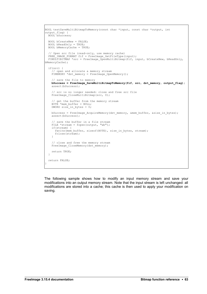```
BOOL testSaveMultiBitmapToMemory(const char *input, const char *output, int
output flac) {
  BOOL bSuccess;
  BOOL bCreateNew = FALSE;
 BOOL bReadOnly = TRUE;
  BOOL bMemoryCache = TRUE;
 // Open src file (read-only, use memory cache)
FREE IMAGE FORMAT fif = FreeImage GetFileType(input);
 FIMULTIBITMAP *src = FreeImage OpenMultiBitmap(fif, input, bCreateNew, bReadOnly,
bMemoryCache);
  if(src) {
     // open and allocate a memory stream
   FIMEMORY *dst memory = FreeImage OpenMemory();
     // save the file to memory
   bSuccess = FreeImage SaveMultiBitmapToMemory(fif, src, dst memory, output flag);
   assert(bSuccess);
     // src is no longer needed: close and free src file
   FreeImage CloseMultiBitmap(src, 0);
     // get the buffer from the memory stream
   BYTE *mem buffer = NULL;
   DWORD size in bytes = 0;
    bSuccess = FreeImage_AcquireMemory(dst_memory, &mem_buffer, &size_in_bytes);
    assert(bSuccess);
 // save the buffer in a file stream
FILE *stream = fopen(output, "wb");
    if(stream) {
      fwrite(mem_buffer, sizeof(BYTE), size_in_bytes, stream);
      fclose(stream);
     }
     // close and free the memory stream
   FreeImage CloseMemory(dst memory);
    return TRUE;
 \overline{1} return FALSE;
}
```
The following sample shows how to modify an input memory stream and save your modifications into an output memory stream. Note that the input stream is left unchanged: all modifications are stored into a cache; this cache is then used to apply your modification on saving.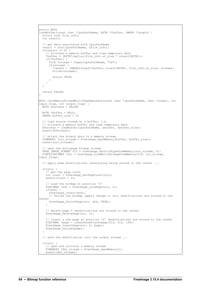```
static BOOL 
loadBuffer(const char *lpszPathName, BYTE **buffer, DWORD *length) {
 struct stat file info;
  int result;
  // get data associated with lpszPathName
  result = stat(lpszPathName, &file_info);
 if(result == 0) {
 // allocate a memory buffer and load temporary data
*buffer = (BYTE*) malloc(file info.st size * sizeof(BYTE));
    if(*buffer) {
      FILE *stream = fopen(lpszPathName, "rb");
 if(stream) {
*length = (DWORD)fread(*buffer, sizeof(BYTE), file info.st size, stream);
        fclose(stream);
        return TRUE;
      }
    }
  }
  return FALSE;
}
BOOL testMemoryStreamMultiPageOpenSave(const char *lpszPathName, char *output, int
input_flag, int output_flag) {
 BOOL bSuccess = FALSE;
  BYTE *buffer = NULL;
 DWORD buffer size = 0;
    load source stream as a buffer, i.e.
  // allocate a memory buffer and load temporary data
  bSuccess = loadBuffer(lpszPathName, &buffer, &buffer_size);
 assert(bSuccess);
  // attach the binary data to a memory stream
 FIMEMORY *src_stream = FreeImage OpenMemory(buffer, buffer_size);
 assert(src_stream);
   // open the multipage bitmap stream
 FREE IMAGE FORMAT fif = FreeImage GetFileTypeFromMemory(src_stream, 0);
 FIMULTIBITMAP *src = FreeImage_LoadMultiBitmapFromMemory(fif, src_stream,
input_flag);
   // apply some modifications (everything being stored to the cache) ...
  if(src) {
     // get the page count
    int count = FreeImage GetPageCount(src);
   assert(count > 2);
     // Load the bitmap at position '2'
   FIBITMAP *dib = FreeImage LockPage(src, 2);
     if(dib) {
      FreeImage Invert(dib);
       // Unload the bitmap (apply change to src, modifications are stored to the
cache)
     FreeImage UnlockPage(src, dib, TRUE);
    }
     // delete page 0 (modifications are stored to the cache)
   FreeImage DeletePage(src, 0);
      insert a new page at position '0' (modifications are stored to the cache)
   FIBITMAP *page = \text{createst-oneplateImage}(512, 512, 128);
FreeImage InsertPage(src, 0, page);
FreeImage Unload(page);
 }
  // save the modification into the output stream ...
  if(src) {
    // open and allocate a memory stream
    FIMEMORY *dst_stream = FreeImage_OpenMemory();
    assert(dst_stream);
```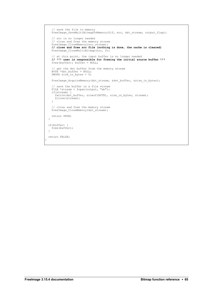```
 // save the file to memory
   FreeImage_SaveMultiBitmapToMemory(fif, src, dst_stream, output_flag);
    // src is no longer needed
 // close and free the memory stream
FreeImage CloseMemory(src stream);
    // close and free src file (nothing is done, the cache is cleared)
    FreeImage_CloseMultiBitmap(src, 0);
    // at this point, the input buffer is no longer needed
    // !!! user is responsible for freeing the initial source buffer !!!
    free(buffer); buffer = NULL;
     // get the dst buffer from the memory stream
   BYTE *dst buffer = NULL;
   DWORD size in bytes = 0;
    FreeImage_AcquireMemory(dst_stream, &dst_buffer, &size_in_bytes);
    // save the buffer in a file stream
   FILE *stream = fopen(output, "wb");
    if(stream) {
     fwrite(dst buffer, sizeof(BYTE), size in bytes, stream);
      fclose(stream);
     }
 // close and free the memory stream
FreeImage CloseMemory(dst stream);
    return TRUE;
 \rightarrow if(buffer) {
    free(buffer);
 \overline{1} return FALSE;
```
}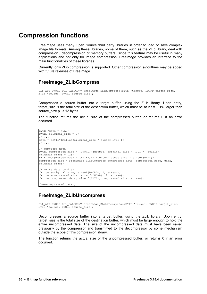# **Compression functions**

FreeImage uses many Open Source third party libraries in order to load or save complex image file formats. Among these libraries, some of them, such as the ZLib library, deal with compression / decompression of memory buffers. Since this feature may be useful in many applications and not only for image compression, FreeImage provides an interface to the main functionalities of these libraries.

Currently, only ZLib compression is supported. Other compression algorithms may be added with future releases of FreeImage.

## **FreeImage\_ZLibCompress**

```
DLL API DWORD DLL CALLCONV FreeImage ZLibCompress(BYTE *target, DWORD target size,
BYTE *source, DWORD source size);
```
Compresses a source buffer into a target buffer, using the ZLib library. Upon entry, target size is the total size of the destination buffer, which must be at least 0.1% larger than source size plus 12 bytes.

The function returns the actual size of the compressed buffer, or returns 0 if an error occurred.

```
BYTE *data = NULL; 
DWORD original size = 0;// ... 
data = (BYTE*)malloc(original_size * sizeof(BYTE)); 
\frac{1}{2}...
// compress data 
DWORD compressed size = (DWORD)((double) original size + (0.1 * (double))original size) + 12);
BYTE *compressed data = (BYTE*)malloc(compressed size * sizeof(BYTE));
compressed size = FreeImage ZLibCompress(compressed data, compressed size, data,
original_size); 
// write data to disk 
fwrite(&original_size, sizeof(DWORD), 1, stream); 
fwrite(&compressed_size, sizeof(DWORD), 1, stream); 
fwrite(compressed data, sizeof(BYTE), compressed size, stream);
free(compressed_data);
```
### **FreeImage\_ZLibUncompress**

DLL\_API DWORD DLL\_CALLCONV FreeImage\_ZLibUncompress(BYTE \*target, DWORD target\_size, BYTE \*source, DWORD source size);

Decompresses a source buffer into a target buffer, using the ZLib library. Upon entry, target size is the total size of the destination buffer, which must be large enough to hold the entire uncompressed data. The size of the uncompressed data must have been saved previously by the compressor and transmitted to the decompressor by some mechanism outside the scope of this compression library.

The function returns the actual size of the uncompressed buffer, or returns 0 if an error occurred.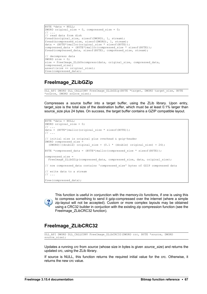```
BYTE *data = NULL; 
DWORD original size = 0, compressed size = 0;
// ... 
// read data from disk 
fread(&original_size, sizeof(DWORD), 1, stream);
fread(&compressed_size, sizeof(DWORD), 1, stream); 
data = (BYTE*)malloc(original_size * sizeof(BYTE)); 
compressed data = (BYTE*)malloc(compressed size * sizeof(BYTE));
fread(compressed data, sizeof(BYTE), compressed size, stream);
// decompress data 
DWORD size = 0; 
size = FreeImage_ZLibUncompress(data, original_size, compressed_data,
compressed_size); 
assert(size == original size);
free(compressed data);
```
# **FreeImage\_ZLibGZip**

```
DLL API DWORD DLL CALLCONV FreeImage ZLibGZip(BYTE *target, DWORD target size, BYTE
*source, DWORD source size);
```
Compresses a source buffer into a target buffer, using the ZLib library. Upon entry, target size is the total size of the destination buffer, which must be at least 0.1% larger than source\_size plus 24 bytes. On success, the target buffer contains a GZIP compatible layout.

```
BYTE *data = NULL;
DWORD original size = 0;// ... 
data = (BYTE*) malloc (original size * sizeof(BYTE));
\frac{1}{2}...
// initial size is original plus overhead & gzip-header
DWORD compressed size
  (DWORD)((double) original size + (0.1 * (double) original size) + 24);
BYTE *compressed data = (BYTE*)malloc(compressed size * sizeof(BYTE));
compressed_size = 
 FreeImage ZLibGZip(compressed data, compressed size, data, original size);
// now compressed_data contains 'compressed_size' bytes of GZIP compressed data
// write data to a stream 
// ... 
free(compressed data);
```


This function is useful in conjunction with the memory-i/o functions, if one is using this to compress something to send it gzip-compressed over the internet (where a simple zip-layout will not be accepted). Custom or more complex layouts may be obtained using a CRC32 builder in conjuction with the existing zip compression function (see the FreeImage\_ZLibCRC32 function).

# **FreeImage\_ZLibCRC32**

DLL\_API DWORD DLL\_CALLCONV FreeImage\_ZLibCRC32(DWORD crc, BYTE \*source, DWORD source size);

Updates a running *crc* from *source* (whose size in bytes is given *source\_size*) and returns the updated crc, using the ZLib library.

If source is NULL, this function returns the required initial value for the crc. Otherwise, it returns the new crc value.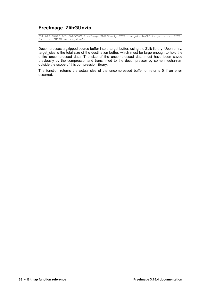## **FreeImage\_ZlibGUnzip**

DLL API DWORD DLL CALLCONV FreeImage ZLibGUnzip(BYTE \*target, DWORD target size, BYTE \*source, DWORD source size);

Decompresses a gzipped source buffer into a target buffer, using the ZLib library. Upon entry, target size is the total size of the destination buffer, which must be large enough to hold the entire uncompressed data. The size of the uncompressed data must have been saved previously by the compressor and transmitted to the decompressor by some mechanism outside the scope of this compression library.

The function returns the actual size of the uncompressed buffer or returns 0 if an error occurred.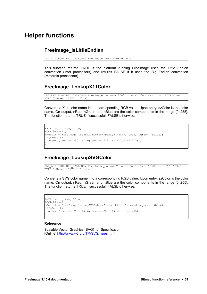# **Helper functions**

#### **FreeImage\_IsLittleEndian**

DLL\_API BOOL DLL\_CALLCONV FreeImage\_IsLittleEndian();

This function returns TRUE if the platform running FreeImage uses the Little Endian convention (Intel processors) and returns FALSE if it uses the Big Endian convention (Motorola processors).

#### **FreeImage\_LookupX11Color**

DLL\_API BOOL DLL\_CALLCONV FreeImage\_LookupX11Color(const char \*szColor, BYTE \*nRed, BYTE \*nGreen, BYTE \*nBlue);

Converts a X11 color name into a corresponding RGB value. Upon entry, szColor is the color name. On output, nRed, nGreen and nBlue are the color components in the range [0..255]. The function returns TRUE if successful, FALSE otherwise.

```
BYTE red, green, blue;
BOOL bResult;
bResult = FreeImage LookupX11Color("papaya whip", &red, &green, &blue);
if(bResult) {
 \arccos( (red == 255) && (green == 239) && (blue == 213));
}
```
### **FreeImage\_LookupSVGColor**

DLL API BOOL DLL CALLCONV FreeImage LookupSVGColor(const char \*szColor, BYTE \*nRed, BYTE \*nGreen, BYTE \*nBlue);

Converts a SVG color name into a corresponding RGB value. Upon entry, szColor is the color name. On output, nRed, nGreen and nBlue are the color components in the range [0..255]. The function returns TRUE if successful, FALSE otherwise.

```
BYTE red, green, blue;
BOOL bResult;
bResult = FreeImage LookupSVGColor("lemonchiffon", &red, &green, &blue);
if(bResult) {
 assert((red == 255) && (green == 250) && (blue == 205));
}
```
#### **Reference**

Scalable Vector Graphics (SVG) 1.1 Specification. [Online]<http://www.w3.org/TR/SVG/types.html>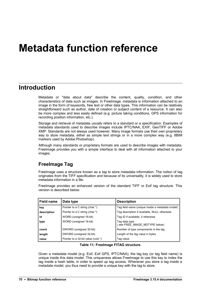# **Metadata function reference**

# **Introduction**

Metadata or "data about data" describe the content, quality, condition, and other characteristics of data such as images. In FreeImage, metadata is information attached to an image in the form of keywords, free text or other data types. This information can be relatively straightforward such as author, date of creation or subject content of a resource. It can also be more complex and less easily defined (e.g. picture taking conditions, GPS information for recording position information, etc.).

Storage and retrieval of metadata *usually* refers to a standard or a specification. Examples of metadata standards used to describe images include IPTC/NAA, EXIF, GeoTIFF or Adobe XMP. Standards are not always used however. Many image formats use their own proprietary way to store metadata, either as simple text strings or in a more complex way (e.g. 8BIM markers used by Adobe Photoshop).

Although many standards or proprietary formats are used to describe images with metadata, FreeImage provides you with a simple interface to deal with all information attached to your images.

#### **FreeImage Tag**

FreeImage uses a structure known as a *tag* to store metadata information. The notion of tag originates from the TIFF specification and because of its universality, it is widely used to store metadata information in a file.

FreeImage provides an enhanced version of the standard TIFF or Exif tag structure. This version is described below:

| Field name<br>Data type |                                    | <b>Description</b>                              |  |  |
|-------------------------|------------------------------------|-------------------------------------------------|--|--|
| key                     | Pointer to a C string (char *)     | Tag field name (unique inside a metadata model) |  |  |
| description             | Pointer to a C string (char *)     | Tag description if available, NULL otherwise    |  |  |
| id                      | WORD (unsigned 16-bit)             | Tag ID if available, 0 otherwise                |  |  |
| type                    | WORD (unsigned 16-bit)             | Tag data type<br>(see FREE IMAGE MDTYPE below)  |  |  |
| count                   | DWORD (unsigned 32-bit)            | Number of type components in the tag            |  |  |
| length                  | DWORD (unsigned 32-bit)            | Length of the tag value in bytes                |  |  |
| value                   | Pointer to a 32-bit value (void *) | Tag value                                       |  |  |

#### **Table 11: FreeImage FITAG structure.**

Given a metadata model (e.g. Exif, Exif GPS, IPTC/NAA), the tag key (or tag field name) is unique inside this data model. This uniqueness allows FreeImage to use this key to index the tag inside a hash table, in order to speed up tag access. Whenever you store a tag inside a metadata model, you thus need to provide a unique key with the tag to store.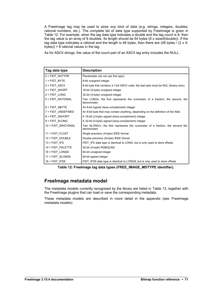A FreeImage tag may be used to store *any* kind of data (e.g. strings, integers, doubles, rational numbers, etc.). The complete list of data type supported by FreeImage is given in [Table 12.](#page-74-0) For example, when the tag data type indicates a double and the tag count is 8, then the tag value is an array of 8 doubles. Its length should be 64 bytes (8 x sizeof(double)). If the tag data type indicates a rational and the length is 48 bytes, then there are (48 bytes / (2 x 4bytes)) = 6 rational values in the tag.

As for ASCII strings, the value of the count part of an ASCII tag entry includes the NULL.

| Tag data type       | <b>Description</b>                                                                           |
|---------------------|----------------------------------------------------------------------------------------------|
| $0 =$ FIDT NOTYPE   | Placeholder (do not use this type)                                                           |
| $1 = FIDT BYTE$     | 8-bit unsigned integer                                                                       |
| 2 = FIDT ASCII      | 8-bit byte that contains a 7-bit ASCII code; the last byte must be NUL (binary zero)         |
| 3 = FIDT_SHORT      | 16-bit (2-byte) unsigned integer                                                             |
| $4 = FIDT$ LONG     | 32-bit (4-byte) unsigned integer                                                             |
| 5 = FIDT RATIONAL   | Two LONGs: the first represents the numerator of a fraction; the second, the<br>denominator  |
| 6 = FIDT SBYTE      | An 8-bit signed (twos-complement) integer                                                    |
| 7 = FIDT UNDEFINED  | An 8-bit byte that may contain anything, depending on the definition of the field.           |
| 8 = FIDT SSHORT     | A 16-bit (2-byte) signed (twos-complement) integer                                           |
| 9 = FIDT SLONG      | A 32-bit (4-byte) signed (twos-complement) integer                                           |
| 10 = FIDT SRATIONAL | Two SLONG's: the first represents the numerator of a fraction, the second the<br>denominator |
| 11 = FIDT FLOAT     | Single precision (4-byte) IEEE format                                                        |
| 12 = FIDT_DOUBLE    | Double precision (8-byte) IEEE format                                                        |
| $13 = FIDT$ IFD     | FIDT IFD data type is identical to LONG, but is only used to store offsets                   |
| 14 = FIDT_PALETTE   | 32-bit (4-byte) RGBQUAD                                                                      |
| $16 = FIDT_LONG8$   | 64-bit unsigned integer                                                                      |
| 17 = FIDT SLONG8    | 64-bit signed integer                                                                        |
| $18 = FIDT$ IFD8    | FIDT IFD8 data type is identical to LONG8, but is only used to store offsets                 |

<span id="page-74-0"></span>**Table 12: FreeImage tag data types (FREE\_IMAGE\_MDTYPE identifier).** 

#### **FreeImage metadata model**

The metadata models currently recognized by the library are listed in [Table 13,](#page-75-0) together with the FreeImage plugins that can load or save the corresponding metadata.

These metadata models are described in more detail in the appendix (see [FreeImage](#page-119-0) [metadata models\)](#page-119-0).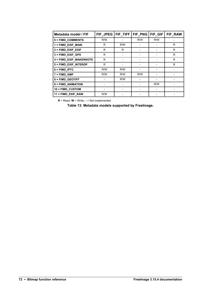| Metadata model / FIF    | FIF JPEG | $FIF_$ TIFF | FIF_PNG | FIF_GIF | FIF_RAW |
|-------------------------|----------|-------------|---------|---------|---------|
| 0 = FIMD_COMMENTS       | R/W      |             | R/W     | R/W     |         |
| 1 = FIMD_EXIF_MAIN      | R        | R/W         |         |         | R.      |
| 2 = FIMD_EXIF_EXIF      | R        | R.          |         |         | R.      |
| 3 = FIMD_EXIF_GPS       | R        |             |         |         | R       |
| 4 = FIMD_EXIF_MAKERNOTE | R        |             |         |         | R       |
| 5 = FIMD_EXIF_INTEROP   | R        |             |         |         | R       |
| $6 =$ FIMD_IPTC         | R/W      | R/W         |         |         |         |
| $7 =$ FIMD_XMP          | R/W      | R/W         | R/W     |         |         |
| 8 = FIMD_GEOTIFF        |          | R/W         |         |         |         |
| 9 = FIMD_ANIMATION      |          |             |         | R/W     |         |
| 10 = FIMD_CUSTOM        |          |             |         |         |         |
| 11 = FIMD_EXIF_RAW      | R/W      |             |         |         |         |

 **R** = Read, **W** = Write, **-** = Not implemented

<span id="page-75-0"></span>**Table 13: Metadata models supported by FreeImage.**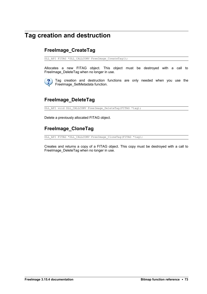# **Tag creation and destruction**

### **FreeImage\_CreateTag**

DLL\_API FITAG \*DLL\_CALLCONV FreeImage CreateTag();

Allocates a new FITAG object. This object must be destroyed with a call to FreeImage\_DeleteTag when no longer in use.



Tag creation and destruction functions are only needed when you use the [FreeImage\\_SetMetadata](#page-81-0) function.

### **FreeImage\_DeleteTag**

DLL\_API void DLL\_CALLCONV FreeImage\_DeleteTag(FITAG \*tag);

Delete a previously allocated FITAG object.

# **FreeImage\_CloneTag**

DLL\_API FITAG \*DLL\_CALLCONV FreeImage\_CloneTag(FITAG \*tag);

Creates and returns a copy of a FITAG object. This copy must be destroyed with a call to FreeImage\_DeleteTag when no longer in use.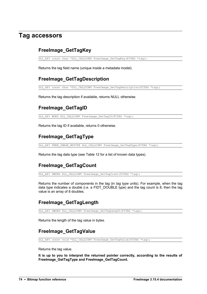# **Tag accessors**

## **FreeImage\_GetTagKey**

DLL\_API const char \*DLL CALLCONV FreeImage GetTagKey(FITAG \*tag);

Returns the tag field name (unique inside a metadata model).

### <span id="page-77-0"></span>**FreeImage\_GetTagDescription**

DLL API const char \*DLL CALLCONV FreeImage GetTagDescription(FITAG \*tag);

Returns the tag description if available, returns NULL otherwise.

#### **FreeImage\_GetTagID**

DLL\_API WORD DLL\_CALLCONV FreeImage\_GetTagID(FITAG \*tag);

Returns the tag ID if available, returns 0 otherwise.

#### **FreeImage\_GetTagType**

DLL API FREE IMAGE MDTYPE DLL\_CALLCONV FreeImage\_GetTagType(FITAG \*tag);

Returns the tag data type (see [Table 12](#page-74-0) for a list of known data types).

### **FreeImage\_GetTagCount**

DLL\_API DWORD DLL\_CALLCONV FreeImage GetTagCount(FITAG \*tag);

Returns the number of components in the tag (in *tag type* units). For example, when the tag data type indicates a double (i.e. a FIDT\_DOUBLE type) and the tag count is 8, then the tag value is an array of 8 doubles.

### **FreeImage\_GetTagLength**

DLL\_API DWORD DLL\_CALLCONV FreeImage GetTagLength(FITAG \*tag);

Returns the length of the tag value in bytes.

#### **FreeImage\_GetTagValue**

DLL API const void \*DLL CALLCONV FreeImage\_GetTagValue(FITAG \*tag);

Returns the tag value.

**It is up to you to interpret the returned pointer correctly, according to the results of FreeImage\_GetTagType and FreeImage\_GetTagCount.**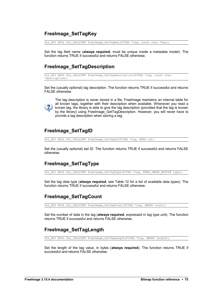### **FreeImage\_SetTagKey**

DLL API BOOL DLL CALLCONV FreeImage SetTagKey(FITAG \*tag, const char \*key);

Set the tag field name (**always required**, must be unique inside a metadata model). The function returns TRUE if successful and returns FALSE otherwise.

#### **FreeImage\_SetTagDescription**

```
DLL_API BOOL DLL_CALLCONV FreeImage_SetTagDescription(FITAG *tag, const char
*description);
```
Set the (usually optional) tag description. The function returns TRUE if successful and returns FALSE otherwise.



The tag description is never stored in a file. FreeImage maintains an internal table for all known tags, together with their description when available. Whenever you read a known tag, the library is able to give the tag description (provided that the tag is known by the library) using [FreeImage\\_GetTagDescription.](#page-77-0) However, you will never have to provide a tag description when storing a tag.

#### **FreeImage\_SetTagID**

DLL\_API BOOL DLL\_CALLCONV FreeImage\_SetTagID(FITAG \*tag, WORD id);

Set the (usually optional) tad ID. The function returns TRUE if successful and returns FALSE otherwise.

### **FreeImage\_SetTagType**

DLL API BOOL DLL CALLCONV FreeImage SetTagType(FITAG \*tag, FREE IMAGE MDTYPE type);

Set the tag data type (**always required**, see [Table 12](#page-74-0) for a list of available data types). The function returns TRUE if successful and returns FALSE otherwise.

#### **FreeImage\_SetTagCount**

DLL API BOOL DLL CALLCONV FreeImage SetTagCount(FITAG \*tag, DWORD count);

Set the number of data in the tag (**always required**, expressed in *tag type* unit). The function returns TRUE if successful and returns FALSE otherwise.

#### **FreeImage\_SetTagLength**

DLL API BOOL DLL CALLCONV FreeImage SetTagLength(FITAG \*tag, DWORD length);

Set the length of the tag value, in bytes (**always required**). The function returns TRUE if successful and returns FALSE otherwise.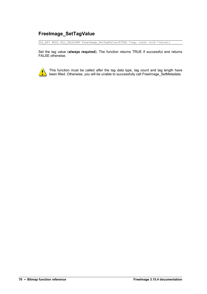# **FreeImage\_SetTagValue**

DLL\_API BOOL DLL\_CALLCONV FreeImage\_SetTagValue(FITAG \*tag, const void \*value);

Set the tag value (**always required**). The function returns TRUE if successful and returns FALSE otherwise.



This function must be called *after* the tag data type, tag count and tag length have been filled. Otherwise, you will be unable to successfully call [FreeImage\\_SetMetadata.](#page-81-0)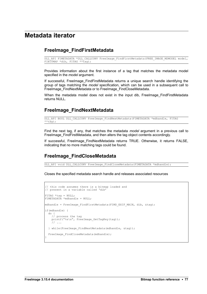# **Metadata iterator**

#### **FreeImage\_FindFirstMetadata**

```
DLL API FIMETADATA *DLL CALLCONV FreeImage FindFirstMetadata(FREE_IMAGE_MDMODEL model,
FIBITMAP *dib, FITAG **\overline{t}ag);
```
Provides information about the first instance of a tag that matches the metadata model specified in the *model* argument.

If successful, FreeImage FindFirstMetadata returns a unique search handle identifying the group of tags matching the *model* specification, which can be used in a subsequent call to FreeImage\_FindNextMetadata or to FreeImage\_FindCloseMetadata.

When the metadata model does not exist in the input dib, FreeImage FindFirstMetadata returns NULL.

#### **FreeImage\_FindNextMetadata**

DLL\_API BOOL DLL\_CALLCONV FreeImage\_FindNextMetadata(FIMETADATA \*mdhandle, FITAG  $***$ tag);

Find the next tag, if any, that matches the metadata *model* argument in a previous call to FreeImage\_FindFirstMetadata, and then alters the tag object contents accordingly.

If successful, FreeImage FindNextMetadata returns TRUE. Otherwise, it returns FALSE, indicating that no more matching tags could be found.

#### **FreeImage\_FindCloseMetadata**

DLL API void DLL CALLCONV FreeImage FindCloseMetadata(FIMETADATA \*mdhandle);

Closes the specified metadata search handle and releases associated resources

```
// this code assumes there is a bitmap loaded and
// present in a variable called 'dib'
FITAG *tag = NULL;
FIMETADATA *mdhandle = NULL;
mdhandle = FreeImage FindFirstMetadata(FIMD EXIF MAIN, dib, &tag);
if(mdhandle) {
 do {
 // process the tag
   printf("%s\n", FreeImage GetTagKey(tag));
    11... } while(FreeImage_FindNextMetadata(mdhandle, &tag));
 FreeImage FindCloseMetadata(mdhandle);
}
```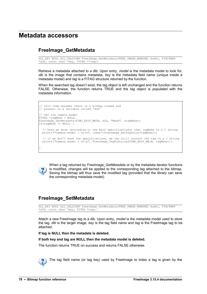# **Metadata accessors**

#### **FreeImage\_GetMetadata**

```
DLL_API BOOL DLL_CALLCONV FreeImage_GetMetadata(FREE_IMAGE_MDMODEL model, FIBITMAP
\stardib, const char \starkey, FITAG \star\startag);
```
Retrieve a metadata attached to a dib. Upon entry, *model* is the metadata model to look for, *dib* is the image that contains metadata, *key* is the metadata field name (unique inside a metadata model) and *tag* is a FITAG structure returned by the function.

When the searched tag doesn't exist, the tag object is left unchanged and the function returns FALSE. Otherwise, the function returns TRUE and the tag object is populated with the metadata information.

```
// this code assumes there is a bitmap loaded and
// present in a variable called 'dib'
// Get the camera model
FITAG *ta\alpha Make = NULL;FreeImage GetMetadata(FIMD_EXIF_MAIN, dib, "Make", &tagMake);
if(taqMake != NULL) {
 // here we know (according to the Exif specifications) that tagMake is a C string
printf("Camera model : %s\n", (char*)FreeImage GetTagValue(tagMake));
   // if we don't have the specifications, we can still convert the tag to a C string
 printf("Camera model : %s\n", FreeImage_TagToString(FIMD_EXIF_MAIN, tagMake));
}
```


When a tag returned by *FreeImage\_GetMetadata* or by the metadata iterator functions is modified, changes will be applied to the corresponding tag attached to the bitmap. Saving the bitmap will thus save the modified tag (provided that the library can save the corresponding metadata model).

### <span id="page-81-0"></span>**FreeImage\_SetMetadata**

```
DLL_API BOOL DLL_CALLCONV FreeImage_SetMetadata(FREE_IMAGE_MDMODEL model, FIBITMAP
*dib, const char *key, FITAG *tag;
```
Attach a new FreeImage tag to a dib. Upon entry, *model* is the metadata model used to store the tag, *dib* is the target image, *key* is the tag field name and *tag* is the FreeImage tag to be attached.

**If tag is NULL then the metadata is deleted.** 

**If both key and tag are NULL then the metadata model is deleted.** 

The function returns TRUE on success and returns FALSE otherwise.



The tag field name (or tag key) used by FreeImage to index a tag is given by the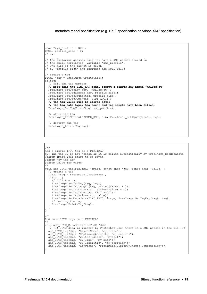metadata model specification (e.g. EXIF specification or Adobe XMP specification).

```
char *xmp profile = NULL;DWORD profile size = 0;
// ...
// the following assumes that you have a XML packet stored in 
// the (null terminated) variable 'xmp_profile'. 
// The size of the packet is given 
// by 'profile_size' and includes the NULL value
// create a tag
FITAG *tag = FreeImage_CreateTag();
if(tag) {
  // fill the tag members
  // note that the FIMD_XMP model accept a single key named "XMLPacket"
 FreeImage_SetTagKey(tag, "XMLPacket");
  FreeImage_SetTagLength(tag, profile_size);
 FreeImage<sup>-</sup>SetTagCount(tag, profile size);
 FreeImage<sup>-SetTagType(tag, FIDT ASCII);</sup>
  // the tag value must be stored after
  // the tag data type, tag count and tag length have been filled.
  FreeImage_SetTagValue(tag, xmp_profile);
   // store the tag
 FreeImage SetMetadata(FIMD XMP, dib, FreeImage GetTagKey(tag), tag);
   // destroy the tag
 FreeImage_DeleteTag(tag);
}
```

```
/ * *
```

```
Add a single IPTC tag to a FIBITMAP
NB: The tag ID is not needed as it is filled automatically by FreeImage SetMetadata
@param image Your image to be saved
@param key Tag key
@param value Tag value
*/
void add IPTC tag(FIBITMAP *image, const char *key, const char *value) {
  // create a tag
 FITAG *tag = FreeImage CreateTag();
  if(tag) {
     // fill the tag
    FreeImage_SetTagKey(tag, key);
 FreeImage_SetTagLength(tag, strlen(value) + 1);
FreeImage SetTagCount(tag, strlen(value) + 1);
FreeImage SetTagType(tag, FIDT ASCII);
 FreeImage_SetTagValue(tag, value);
FreeImage SetMetadata(FIMD IPTC, image, FreeImage GetTagKey(tag), tag);
 // destroy the tag
    FreeImage_DeleteTag(tag);
  }
}
/**
Add some IPTC tags to a FIBITMAP
*/
void add_IPTC_Metadata(FIBITMAP *dib) {
  // !!! IPTC data is ignored by Photoshop when there is a XML packet in the dib !!!
 add_IPTC_tag(dib, "ObjectName", "my title");
add IPTC tag(dib, "Caption-Abstract", "my caption");
add IPTC tag(dib, "Writer-Editor", "myself");
 add_IPTC_tag(dib, "By-line", "my name");
add IPTC tag(dib, "By-lineTitle", "my position");
add IPTC tag(dib, "Keywords", "FreeImage;Library;Images;Compression");
}
```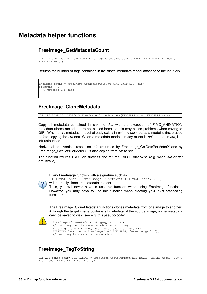# **Metadata helper functions**

#### **FreeImage\_GetMetadataCount**

DLL API unsigned DLL CALLCONV FreeImage GetMetadataCount (FREE IMAGE MDMODEL model,  $FIBITMAP *dib);$ 

Returns the number of tags contained in the *model* metadata model attached to the input dib.

```
unsigned count = FreeImage GetMetadataCount (FIMD EXIF GPS, dib);
if(count > 0) {
  // process GPS data
}
```
#### **FreeImage\_CloneMetadata**

DLL API BOOL DLL CALLCONV FreeImage CloneMetadata(FIBITMAP \*dst, FIBITMAP \*src);

Copy all metadata contained in *src* into *dst*, with the exception of FIMD\_ANIMATION metadata (these metadata are not copied because this may cause problems when saving to GIF). When a *src* metadata model already exists in *dst*, the *dst* metadata model is first erased before copying the *src* one. When a metadata model already exists in *dst* and not in *src*, it is left untouched.

Horizontal and vertical resolution info (returned by [FreeImage\\_GetDotsPerMeterX](#page-18-1) and by [FreeImage\\_GetDotsPerMeterY\)](#page-18-0) is also copied from *src* to *dst*.

The function returns TRUE on success and returns FALSE otherwise (e.g. when *src* or *dst* are invalid).



Every FreeImage function with a signature such as FIBITMAP \*dst = FreeImage Function(FIBITMAP \*src, ...) will internally clone src metadata into dst. Thus, you will never have to use this function when using FreeImage functions.

However, you may have to use this function when creating your *own* processing functions.

The FreeImage CloneMetadata functions clones metadata from one image to another. Although the target image contains all metadata of the source image, some metadata can't be saved to disk, see e.g. this pseudo-code:

```
FreeImage CloneMetadata(dst_jpeg, src_jpeg);
// dst jpeg has the same metadata as src jpeg
FreeImage Save(FIF JPEG, dst jpeg, "example.jpg", 0);
FIBITMAP *new jpeg = FreeImage Load(FIF JPEG, "example.jpg", 0);
 // new jpeg is missing some metadata
```
### **FreeImage\_TagToString**

DLL API const char\* DLL CALLCONV FreeImage TagToString(FREE IMAGE MDMODEL model, FITAG \*tag, char \*Make FI DEFAULT(NULL));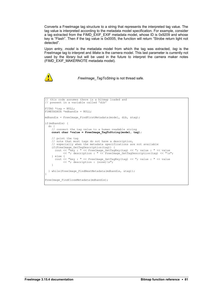Converts a FreeImage tag structure to a string that represents the interpreted tag value. The tag value is interpreted according to the metadata model specification. For example, consider a tag extracted from the FIMD\_EXIF\_EXIF metadata model, whose ID is 0x9209 and whose key is "Flash". Then if the tag value is 0x0005, the function will return "Strobe return light not detected".

Upon entry, *model* is the metadata model from which the tag was extracted, *tag* is the FreeImage tag to interpret and *Make* is the camera model. This last parameter is currently not used by the library but will be used in the future to interpret the camera maker notes (FIMD\_EXIF\_MAKERNOTE metadata model).



*FreeImage\_TagToString* is not thread safe.

```
// this code assumes there is a bitmap loaded and
// present in a variable called 'dib'
FITAG *tag = NULL;
FIMETADATA *mdhandle = NULL;
mdhandle = FreeImage FindFirstMetadata(model, dib, &tag);
if(mdhandle) {
 do {
 // convert the tag value to a human readable string
    const char *value = FreeImage_TagToString(model, tag);
    // print the tag 
    // note that most tags do not have a description, 
    // especially when the metadata specifications are not available
 if(FreeImage_GetTagDescription(tag)) {
 cout << "key : " << FreeImage_GetTagKey(tag) << "; value : " << value 
 << "; description : " << FreeImage_GetTagDescription(tag) << "\n";
    } else {
      cout << "key : " << FreeImage_GetTagKey(tag) << "; value : " << value 
           \ll "; description : (none) \n";
   \mathfrak{h} } while(FreeImage_FindNextMetadata(mdhandle, &tag));
}
FreeImage FindCloseMetadata(mdhandle);
```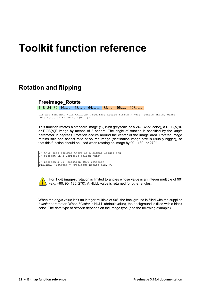# **Toolkit function reference**

# **Rotation and flipping**

#### **FreeImage\_Rotate**

1 8 24 32  $16$ UINT16  $48$ RGB16  $64$ RGBA16  $32$ FLOAT  $96$ RGBF  $128$ RGBAF

DLL\_API FIBITMAP \*DLL\_CALLCONV FreeImage\_Rotate(FIBITMAP \*dib, double angle, const void \*bkcolor FI DEFAULT(NULL));

This function rotates a standard image (1-, 8-bit greyscale or a 24-, 32-bit color), a RGB(A)16 or RGB(A)F image by means of 3 shears. The angle of rotation is specified by the *angle* parameter in degrees. Rotation occurs around the center of the image area. Rotated image retains size and aspect ratio of source image (destination image size is usually bigger), so that this function should be used when rotating an image by 90°, 180° or 270°.

```
this code assumes there is a bitmap loaded and
// present in a variable called 'dib' 
// perform a 90° rotation (CCW rotation) 
FIBITMAP *rotated = FreeImage Rotate(dib, 90);
```


For **1-bit images**, rotation is limited to angles whose value is an integer multiple of 90° (e.g. –90, 90, 180, 270). A NULL value is returned for other angles.

When the *angle* value isn't an integer multiple of 90°, the background is filled with the supplied *bkcolor* parameter. When *bkcolor* is NULL (default value), the background is filled with a black color. The data type of *bkcolor* depends on the image type (see the following example).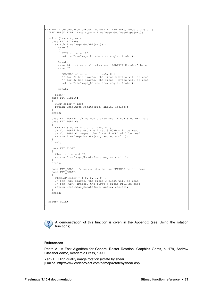```
FIBITMAP* testRotateWithBackground(FIBITMAP *src, double angle) {
 FREE IMAGE TYPE image type = FreeImage GetImageType(src);
  switch(image_type)
 case FIT_BITMAP:
 switch(FreeImage_GetBPP(src)) {
          case 8:
           {
            BYTE color = 128;
             return FreeImage_Rotate(src, angle, &color);
 }
          break;
          case 24: // we could also use 'RGBTRIPLE color' here
           case 32:
\left\{ \begin{array}{cc} 0 & 0 & 0 \\ 0 & 0 & 0 \\ 0 & 0 & 0 \\ 0 & 0 & 0 \\ 0 & 0 & 0 \\ 0 & 0 & 0 \\ 0 & 0 & 0 \\ 0 & 0 & 0 \\ 0 & 0 & 0 \\ 0 & 0 & 0 \\ 0 & 0 & 0 \\ 0 & 0 & 0 \\ 0 & 0 & 0 & 0 \\ 0 & 0 & 0 & 0 \\ 0 & 0 & 0 & 0 \\ 0 & 0 & 0 & 0 & 0 \\ 0 & 0 & 0 & 0 & 0 \\ 0 & 0 & 0 & 0 & 0 \\ 0 & 0 & 0 & 0 & 0 \\ 0 & 0 RGBQUAD color = { 0, 0, 255, 0 };
 // for 24-bit images, the first 3 bytes will be read
 // for 32-bit images, the first 4 bytes will be read
            return FreeImage Rotate(src, angle, &color);
 }
          break;
 }
        break;
     case FIT UINT16:
      {
       WORD color = 128;
       return FreeImage Rotate(src, angle, &color);
 }
     break;
     case FIT_RGB16: // we could also use 'FIRGB16 color' here
    case FIT_RGBA16:
\left\{\begin{array}{ccc} \end{array}\right\}FIRGBA16 color = \{ 0, 0, 255, 0 \};
 // for RGB16 images, the first 3 WORD will be read
        // for RGBA16 images, the first 4 WORD will be read
        return FreeImage_Rotate(src, angle, &color);
 }
     break;
     case FIT_FLOAT:
\left\{\begin{array}{ccc} \end{array}\right\}float color = 0.5F;
      return FreeImage Rotate(src, angle, &color);
 }
     break;
     case FIT_RGBF: // we could also use 'FIRGBF color' here
      case FIT_RGBAF:
\left\{\begin{array}{ccc} \end{array}\right\}FIRGBAF color = { 0, 0, 1, 0 };
        // for RGBF images, the first 3 float will be read
         // for RGBAF images, the first 4 float will be read
       return FreeImage Rotate(src, angle, &color);
 }
     break;
   }
   return NULL;
```
A demonstration of this function is given in the Appendix (see [Using the rotation](#page-116-0) [functions\)](#page-116-0).

#### **References**

}

Paeth A., A Fast Algorithm for General Raster Rotation. Graphics Gems, p. 179, Andrew Glassner editor, Academic Press, 1990.

Yariv E., High quality image rotation (rotate by shear). [Online] http://www.codeproject.com/bitmap/rotatebyshear.asp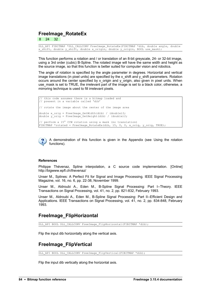#### **FreeImage\_RotateEx**

8 24 32

DLL\_API FIBITMAP \*DLL\_CALLCONV FreeImage\_RotateEx(FIBITMAP \*dib, double angle, double x shift, double y shift, double x origin, double y origin, BOOL use mask);

This function performs a rotation and / or translation of an 8-bit greyscale, 24- or 32-bit image, using a 3rd order (cubic) B-Spline. The rotated image will have the same width and height as the source image, so that this function is better suited for computer vision and robotics.

The angle of rotation is specified by the angle parameter in degrees. Horizontal and vertical image translations (in pixel units) are specified by the  $x$  shift and  $y$  shift parameters. Rotation occurs around the center specified by x origin and y origin, also given in pixel units. When use\_mask is set to TRUE, the irrelevant part of the image is set to a black color, otherwise, a mirroring technique is used to fill irrelevant pixels.

```
this code assumes there is a bitmap loaded and
// present in a variable called 'dib' 
// rotate the image about the center of the image area 
double x orig = FreeImage GetWidth(dib) / (double) 2;
double y orig = FreeImage GetHeight(dib) / (double)2;
// perform a 15° CCW rotation using a mask (no translation) 
FIBITMAP *rotated = FreeImage RotateEx(dib, 15, 0, 0, x orig, y orig, TRUE);
```


A demonstration of this function is given in the Appendix (see [Using the rotation](#page-116-0) [functions\)](#page-116-0).

#### **References**

Philippe Thévenaz, Spline interpolation, a C source code implementation. [Online] http://bigwww.epfl.ch/thevenaz/

Unser M., Splines: A Perfect Fit for Signal and Image Processing. IEEE Signal Processing Magazine, vol. 16, no. 6, pp. 22-38, November 1999.

Unser M., Aldroubi A., Eden M., B-Spline Signal Processing: Part I--Theory. IEEE Transactions on Signal Processing, vol. 41, no. 2, pp. 821-832, February 1993.

Unser M., Aldroubi A., Eden M., B-Spline Signal Processing: Part II--Efficient Design and Applications. IEEE Transactions on Signal Processing, vol. 41, no. 2, pp. 834-848, February 1993.

#### **FreeImage\_FlipHorizontal**

DLL API BOOL DLL CALLCONV FreeImage FlipHorizontal(FIBITMAP \*dib);

Flip the input dib horizontally along the vertical axis.

### **FreeImage\_FlipVertical**

DLL\_API BOOL DLL\_CALLCONV FreeImage\_FlipVertical(FIBITMAP \*dib);

Flip the input dib vertically along the horizontal axis.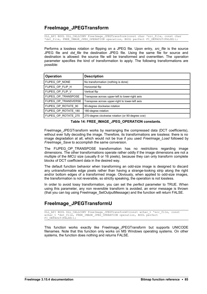#### <span id="page-88-0"></span>**FreeImage\_JPEGTransform**

DLL API BOOL DLL CALLCONV FreeImage JPEGTransform(const char \*src\_file, const char \*dst file, FREE TMAGE JPEG OPERATION operation, BOOL perfect FI DEFAULT(FALSE));

Performs a lossless rotation or flipping on a JPEG file. Upon entry, *src\_file* is the source JPEG file and *dst\_file* the destination JPEG file. Using the same file for source and destination is allowed: the source file will be transformed and overwritten. The *operation* parameter specifies the kind of transformation to apply. The following transformations are possible:

| <b>Operation</b>     | <b>Description</b>                               |  |  |
|----------------------|--------------------------------------------------|--|--|
| FIJPEG OP NONE       | No transformation (nothing is done)              |  |  |
| FIJPEG_OP_FLIP_H     | Horizontal flip                                  |  |  |
| FIJPEG_OP_FLIP_V     | Vertical flip                                    |  |  |
| FIJPEG OP TRANSPOSE  | Transpose across upper-left to lower-right axis  |  |  |
| FIJPEG OP TRANSVERSE | Transpose across upper-right to lower-left axis  |  |  |
| FIJPEG OP ROTATE 90  | 90-degree clockwise rotation                     |  |  |
| FIJPEG OP ROTATE 180 | 180-degree rotation                              |  |  |
| FIJPEG OP ROTATE 270 | 270-degree clockwise rotation (or 90-degree ccw) |  |  |

**Table 14: FREE\_IMAGE\_JPEG\_OPERATION constants.** 

FreeImage JPEGTransform works by rearranging the compressed data (DCT coefficients), without ever fully decoding the image. Therefore, its transformations are lossless: there is no image degradation at all, which would not be true if you used *FreeImage\_Load* followed by *FreeImage\_Save* to accomplish the same conversion.

The FIJPEG OP TRANSPOSE transformation has no restrictions regarding image dimensions. The other transformations operate rather oddly if the image dimensions are not a multiple of the iMCU size (usually 8 or 16 pixels), because they can only transform complete blocks of DCT coefficient data in the desired way.

The default function behavior when transforming an odd-size image is designed to discard any untransformable edge pixels rather than having a strange-looking strip along the right and/or bottom edges of a transformed image. Obviously, when applied to odd-size images, the transformation is not reversible, so strictly speaking, the operation is not lossless.

In order to avoid lossy transformation, you can set the *perfect* parameter to TRUE. When using this parameter, any non reversible transform is avoided, an error message is thrown (that you can log using [FreeImage\\_SetOutputMessage\)](#page-7-0) and the function will return FALSE.

### **FreeImage\_JPEGTransformU**

```
DLL_API BOOL DLL_CALLCONV FreeImage_JPEGTransformU(const wchar_t *src_file, const
wchar_t *dst_file, FREE_IMAGE_JPEG_OPERATION operation, BOOL perfect
FI_DEFAULT(FALSE));
```
This function works exactly like [FreeImage\\_JPEGTransform](#page-88-0) but supports UNICODE filenames. Note that this function only works on MS Windows operating systems. On other systems, the function does nothing and returns FALSE.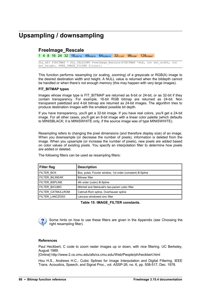# **Upsampling / downsampling**

#### <span id="page-89-0"></span>**FreeImage\_Rescale**

1 4 8 16 24 32 16 UINT16 48 RGB16 64 RGBA16 32 FLOAT 96 RGBF 128 RGBAF

DLL API FIBITMAP \* DLL CALLCONV FreeImage Rescale(FIBITMAP \*dib, int dst width, int dst\_height, FREE IMAGE\_FILTER filter);

This function performs resampling (or scaling, zooming) of a greyscale or RGB(A) image to the desired destination width and height. A NULL value is returned when the bitdepth cannot be handled or when there's not enough memory (this may happen with very large images).

#### **FIT\_BITMAP types**

Images whose image type is FIT\_BITMAP are returned as 8-bit or 24-bit, or as 32-bit if they contain transparency. For example, 16-bit RGB bitmap are returned as 24-bit. Non transparent palettized and 4-bit bitmap are returned as 24-bit images. The algorithm tries to produce destination images with the smallest possible bit depth.

If you have transparency, you'll get a 32-bit image. If you have real colors, you'll get a 24-bit image. For all other cases, you'll get an 8-bit image with a linear color palette (which defaults to MINISBLACK; it is MINISWHITE only, if the source image was of type MINISWHITE).

Resampling refers to changing the pixel dimensions (and therefore display size) of an image. When you downsample (or decrease the number of pixels), information is deleted from the image. When you upsample (or increase the number of pixels), new pixels are added based on color values of existing pixels. You specify an interpolation filter to determine how pixels are added or deleted.

| <b>Filter flag</b>       | <b>Description</b>                                        |
|--------------------------|-----------------------------------------------------------|
| <b>FILTER_BOX</b>        | Box, pulse, Fourier window, 1st order (constant) B-Spline |
| <b>FILTER BILINEAR</b>   | Bilinear filter                                           |
| FILTER BSPLINE           | 4th order (cubic) B-Spline                                |
| <b>FILTER BICUBIC</b>    | Mitchell and Netravali's two-param cubic filter           |
| <b>FILTER CATMULLROM</b> | Catmull-Rom spline, Overhauser spline                     |
| <b>FILTER LANCZOS3</b>   | Lanczos-windowed sinc filter                              |

The following filters can be used as resampling filters:

**Table 15: IMAGE\_FILTER constants.**

Some hints on how to use these filters are given in the Appendix (see [Choosing the](#page-112-0) [right resampling filter\)](#page-112-0).

#### **References**

Paul Heckbert, C code to zoom raster images up or down, with nice filtering. UC Berkeley, August 1989.

[Online] http://www-2.cs.cmu.edu/afs/cs.cmu.edu/Web/People/ph/heckbert.html

Hou H.S., Andrews H.C., Cubic Splines for Image Interpolation and Digital Filtering. IEEE Trans. Acoustics, Speech, and Signal Proc., vol. ASSP-26, no. 6, pp. 508-517, Dec. 1978.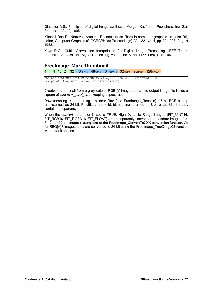Glassner A.S., Principles of digital image synthesis. Morgan Kaufmann Publishers, Inc, San Francisco, Vol. 2, 1995.

Mitchell Don P., Netravali Arun N., Reconstruction filters in computer graphics. In John Dill, editor, Computer Graphics (SIGGRAPH '88 Proceedings), Vol. 22, No. 4, pp. 221-228, August 1988.

Keys R.G., Cubic Convolution Interpolation for Digital Image Processing. IEEE Trans. Acoustics, Speech, and Signal Processing, vol. 29, no. 6, pp. 1153-1160, Dec. 1981.

#### **FreeImage\_MakeThumbnail**

1 4 8 16 24 32 16UINT16 48RGB16 64RGBA16 32FLOAT 96RGBF 128RGBAF

```
DLL_API FIBITMAP *DLL_CALLCONV FreeImage_MakeThumbnail(FIBITMAP *dib, int
max<sup>-</sup>pixel size, BOOL convert FI DEFAULT(TRUE));
```
Creates a thumbnail from a greyscale or RGB(A) image so that the output image fits inside a square of size *max\_pixel\_size*, keeping aspect ratio.

Downsampling is done using a bilinear filter (see FreeImage Rescale). 16-bit RGB bitmap are returned as 24-bit. Palettized and 4-bit bitmap are returned as 8-bit or as 32-bit if they contain transparency.

When the *convert* parameter is set to TRUE, High Dynamic Range images (FIT\_UINT16, FIT\_RGB16, FIT\_RGBA16, FIT\_FLOAT) are transparently converted to standard images (i.e. 8-, 24 or 32-bit images), using one of the FreeImage\_ConvertToXXX conversion function. As for RBG[A]F images, they are converted to 24-bit using the [FreeImage\\_TmoDrago03](#page-41-0) function with default options.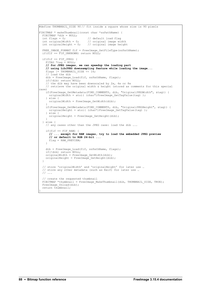```
#define THUMBNAIL_SIZE 90 // fit inside a square whose size is 90 pixels
FIBITMAP * makeThumbnail(const char *szPathName) {
 FIBITMAP *dib = NULL;<br>int flags = 0;
 int flags = 0; \frac{1}{2} // default load flag<br>int originalWidth = 0; // original image wid
int originalWidth = 0; // original image width
int originalHeight = 0; // original image height
 FREE IMAGE FORMAT fif = FreeImage GetFileType(szPathName);
 if(fif == \overline{F}IF UNKNOWN) return NULL;
if(fif == FIF JPEG) {
 FITAG *tag = NULL;
     // for JPEG images, we can speedup the loading part 
     // using LibJPEG downsampling feature while loading the image... 
    flags = THUMBNAIL SIZE << 16;
      load the dib
    dib = FreeImage Load(fif, szPathName, flags);
     if(!dib) return NULL;
     // the dib may have been downscaled by 2x, 4x or 8x
     // retrieve the original width & height (stored as comments for this special
case)
if(FreeImage GetMetadata(FIMD COMMENTS, dib, "OriginalJPEGWidth", &tag)) {
originalWidth = atoi( (char*)FreeImage GetTagValue(tag) );
     } else {
      originalWidth = FreeImage GetWidth(dib);
 }
    if(FreeImage_GetMetadata(FIMD_COMMENTS, dib, "OriginalJPEGHeight", &tag)) {
      originalHeight = atoi ( (char<sup>*</sup>) Free Image GetTagValue(tag) );
     } else {
     originalHeight = FreeImage GetHeight(dib);
 }
  } else {
    // any cases other than the JPEG case: load the dib ... 
   if(fif == FIF RAW) {
       // ... except for RAW images, try to load the embedded JPEG preview
       // or default to RGB 24-bit ...
     flag = RAW PREVIEW; }
 dib = FreeImage_Load(fif, szPathName, flags);
 if(!dib) return NULL;
    originalWidth = FreeImage GetWidth(dib);
   originalHeight = FreeImage GetHeight(dib);
 \lambda // store 'originalWidth' and 'originalHeight' for later use …
 // store any other metadata (such as Exif) for later use …
   // ...
   // create the requested thumbnail 
  FIBITMAP *thumbnail = FreeImage_MakeThumbnail(dib, THUMBNAIL_SIZE, TRUE);
 FreeImage Unload(dib);
  return thumbnail;
```
}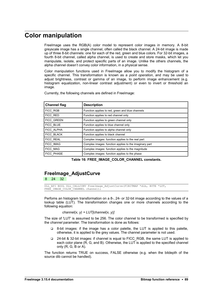# **Color manipulation**

FreeImage uses the RGB(A) color model to represent color images in memory. A 8-bit greyscale image has a single channel, often called the black channel. A 24-bit image is made up of three 8-bit channels: one for each of the red, green and blue colors. For 32-bit images, a fourth 8-bit channel, called alpha channel, is used to create and store masks, which let you manipulate, isolate, and protect specific parts of an image. Unlike the others channels, the alpha channel doesn't convey color information, in a physical sense.

Color manipulation functions used in FreeImage allow you to modify the histogram of a specific channel. This transformation is known as a *point operation*, and may be used to adjust brightness, contrast or gamma of an image, to perform image enhancement (e.g. histogram equalization, non-linear contrast adjustment) or even to invert or threshold an image.

| <b>Channel flag</b> | <b>Description</b>                                     |
|---------------------|--------------------------------------------------------|
| FICC RGB            | Function applies to red, green and blue channels       |
| FICC RED            | Function applies to red channel only                   |
| FICC_GREEN          | Function applies to green channel only                 |
| FICC BLUE           | Function applies to blue channel only                  |
| FICC ALPHA          | Function applies to alpha channel only                 |
| FICC BLACK          | Function applies to black channel                      |
| <b>FICC REAL</b>    | Complex images: function applies to the real part      |
| <b>FICC IMAG</b>    | Complex images: function applies to the imaginary part |
| FICC MAG            | Complex images: function applies to the magnitude      |
| <b>FICC PHASE</b>   | Complex images: function applies to the phase          |

Currently, the following channels are defined in FreeImage:

**Table 16: FREE\_IMAGE\_COLOR\_CHANNEL constants.**

#### <span id="page-92-0"></span>**FreeImage\_AdjustCurve**

8 24 32

DLL API BOOL DLL CALLCONV FreeImage AdjustCurve(FIBITMAP \*dib, BYTE \*LUT, FREE IMAGE COLOR CHANNEL channel);

Perfoms an histogram transformation on a 8-, 24- or 32-bit image according to the values of a lookup table (LUT). The transformation changes one or more channels according to the following equation:

```
channel(x, y) = LUT[channel(x, y)]
```
The size of 'LUT' is assumed to be 256. The color channel to be transformed is specified by the *channel* parameter. The transformation is done as follows:

- 8-bit images: if the image has a color palette, the LUT is applied to this palette, otherwise, it is applied to the grey values. The channel parameter is not used.
- 24-bit & 32-bit images: if channel is equal to FICC\_RGB, the same LUT is applied to each color plane (R, G, and B). Otherwise, the LUT is applied to the specified channel only (R, G, B or A).

The function returns TRUE on success, FALSE otherwise (e.g. when the bitdepth of the source dib cannot be handled).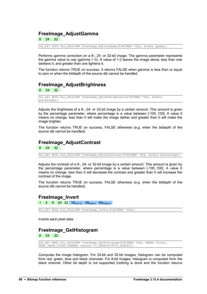#### **FreeImage\_AdjustGamma**

8 24 32

DLL\_API BOOL DLL\_CALLCONV FreeImage\_AdjustGamma(FIBITMAP \*dib, double gamma);

Performs gamma correction on a 8-, 24- or 32-bit image. The gamma parameter represents the gamma value to use (gamma > 0). A value of 1.0 leaves the image alone, less than one darkens it, and greater than one lightens it.

The function returns TRUE on success. It returns FALSE when gamma is less than or equal to zero or when the bitdepth of the source dib cannot be handled.

#### **FreeImage\_AdjustBrightness**

#### 24 32

DLL\_API BOOL DLL\_CALLCONV FreeImage\_AdjustBrightness(FIBITMAP \*dib, double percentage);

Adjusts the brightness of a 8-, 24- or 32-bit image by a certain amount. This amount is given by the percentage parameter, where percentage is a value between [-100..100]. A value 0 means no change, less than 0 will make the image darker and greater than 0 will make the image brighter.

The function returns TRUE on success, FALSE otherwise (e.g. when the bitdepth of the source dib cannot be handled).

#### **FreeImage\_AdjustContrast**

8 24 32

DLL API BOOL DLL CALLCONV FreeImage AdjustContrast(FIBITMAP \*dib, double percentage);

Adjusts the contrast of a 8-, 24- or 32-bit image by a certain amount. This amount is given by the percentage parameter, where percentage is a value between [-100..100]. A value 0 means no change, less than 0 will decrease the contrast and greater than 0 will increase the contrast of the image.

The function returns TRUE on success, FALSE otherwise (e.g. when the bitdepth of the source dib cannot be handled).

#### **FreeImage\_Invert**

4 8 24 32 16UINT16 48RGB16 64RGBA16

DLL API BOOL DLL CALLCONV FreeImage Invert(FIBITMAP \*dib);

Inverts each pixel data.

#### **FreeImage\_GetHistogram**

8 24 32

DLL\_API BOOL DLL\_CALLCONV FreeImage\_GetHistogram(FIBITMAP \*dib, DWORD \*histo, FREE IMAGE COLOR CHANNEL channel FI<sup>DEFAULT</sup>(FICC BLACK));

Computes the image histogram. For 24-bit and 32-bit images, histogram can be computed from red, green, blue and black channels. For 8-bit images, histogram is computed from the black channel. Other bit depth is not supported (nothing is done and the function returns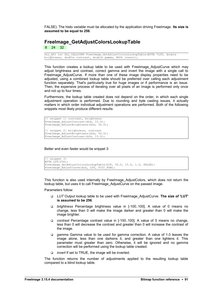FALSE). The histo variable must be allocated by the application driving FreeImage. **Its size is assumed to be equal to 256**.

#### <span id="page-94-0"></span>**FreeImage\_GetAdjustColorsLookupTable**

8 24 32

DLL\_API int DLL\_CALLCONV FreeImage\_GetAdjustColorsLookupTable(BYTE \*LUT, double brightness, double contrast, double gamma, BOOL invert);

This function creates a lookup table to be used with [FreeImage\\_AdjustCurve](#page-92-0) which may adjust brightness and contrast, correct gamma and invert the image with a single call to FreeImage AdjustCurve. If more than one of these image display properties need to be adjusted, using a combined lookup table should be preferred over calling each adjustment function separately. That's particularly true for huge images or if performance is an issue. Then, the expensive process of iterating over all pixels of an image is performed only once and not up to four times.

Furthermore, the lookup table created does not depend on the order, in which each single adjustment operation is performed. Due to rounding and byte casting issues, it actually matters in which order individual adjustment operations are performed. Both of the following snippets most likely produce different results:

```
// snippet 1: contrast, brightness
FreeImage_AdjustContrast(dib, 15.0);
FreeImage<sup>-</sup>AdjustBrightness(dib, 50.0);
// snippet 2: brightness, contrast
FreeImage AdjustBrightness(dib, 50.0);
FreeImage<sup>-</sup>AdjustContrast(dib, 15.0);
```
Better and even faster would be snippet 3:

```
// snippet 3:
BYTE LUT[256];
FreeImage GetAdjustColorsLookupTable(LUT, 50.0, 15.0, 1.0, FALSE);
FreeImage<sup>-</sup>AdjustCurve(dib, LUT, FICC RGB);
```
This function is also used internally by [FreeImage\\_AdjustColors,](#page-95-0) which does not return the lookup table, but uses it to call FreeImage\_AdjustCurve on the passed image.

Parameters follow:

- *LUT* Output lookup table to be used with FreeImage\_AdjustCurve. **The size of 'LUT' is assumed to be 256**.
- *brightness* Percentage brightness value in [-100..100]. A value of 0 means no change, less than 0 will make the image darker and greater than 0 will make the image brighter.
- *contrast* Percentage contrast value in [-100..100]. A value of 0 means no change, less than 0 will decrease the contrast and greater than 0 will increase the contrast of the image.
- *gamma* Gamma value to be used for gamma correction. A value of 1.0 leaves the image alone, less than one darkens it, and greater than one lightens it. This parameter must greater than zero. Otherwise, it will be ignored and no gamma correction will be performed using the lookup table created.
- *invert* If set to TRUE, the image will be inverted.

The function returns the number of adjustments applied to the resulting lookup table compared to a blind lookup table.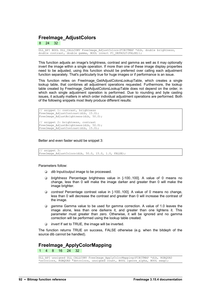#### <span id="page-95-0"></span>**FreeImage\_AdjustColors**

24 32

DLL\_API BOOL DLL\_CALLCONV FreeImage\_AdjustColors(FIBITMAP \*dib, double brightness, double contrast, double gamma, BOOL invert FI DEFAULT(FALSE));

This function adjusts an image's brightness, contrast and gamma as well as it may optionally invert the image within a single operation. If more than one of these image display properties need to be adjusted, using this function should be preferred over calling each adjustment function separately. That's particularly true for huge images or if performance is an issue.

This function relies on [FreeImage\\_GetAdjustColorsLookupTable,](#page-94-0) which creates a single lookup table, that combines all adjustment operations requested. Furthermore, the lookup table created by FreeImage GetAdjustColorsLookupTable does not depend on the order, in which each single adjustment operation is performed. Due to rounding and byte casting issues, it actually matters in which order individual adjustment operations are performed. Both of the following snippets most likely produce different results:

```
// snippet 1: contrast, brightness
FreeImage AdjustContrast(dib, 15.0);
FreeImage_AdjustBrightness(dib, 50.0); 
// snippet 2: brightness, contrast
FreeImage AdjustBrightness(dib, 50.0);
FreeImage<sup>-</sup>AdjustContrast(dib, 15.0);
```
Better and even faster would be snippet 3:

// snippet 3: FreeImage AdjustColors(dib, 50.0, 15.0, 1.0, FALSE);

Parameters follow:

- *dib* Input/output image to be processed.
- *brightness* Percentage brightness value in [-100..100]. A value of 0 means no change, less than 0 will make the image darker and greater than 0 will make the image brighter.
- *contrast* Percentage contrast value in [-100..100]. A value of 0 means no change, less than 0 will decrease the contrast and greater than 0 will increase the contrast of the image.
- *gamma* Gamma value to be used for gamma correction. A value of 1.0 leaves the image alone, less than one darkens it, and greater than one lightens it. This parameter must greater than zero. Otherwise, it will be ignored and no gamma correction will be performed using the lookup table created.
- *invert* If set to TRUE, the image will be inverted.

The function returns TRUE on success, FALSE otherwise (e.g. when the bitdeph of the source dib cannot be handled).

#### <span id="page-95-1"></span>**FreeImage\_ApplyColorMapping**

1 4 8 16 24 32

DLL API unsigned DLL CALLCONV FreeImage ApplyColorMapping(FIBITMAP \*dib, RGBQUAD \*srccolors, RGBQUAD \*dstcolors, unsigned count, BOOL ignore alpha, BOOL swap);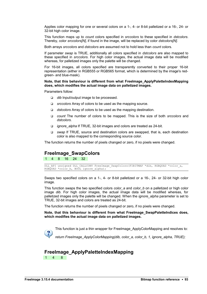Applies color mapping for one or several colors on a 1-, 4- or 8-bit palletized or a 16-, 24- or 32-bit high color image.

This function maps up to *count* colors specified in *srccolors* to these specified in *dstcolors*. Thereby, color *srccolors[N]*, if found in the image, will be replaced by color *dstcolors[N]*.

Both arrays *srccolors* and *dstcolors* are assumed not to hold less than *count* colors.

If parameter *swap* is TRUE, additionally all colors specified in *dstcolors* are also mapped to these specified in *srccolors*. For high color images, the actual image data will be modified whereas, for palletized images only the palette will be changed.

For 16-bit images, all colors specified are transparently converted to their proper 16-bit representation (either in RGB555 or RGB565 format, which is determined by the image's redgreen- and blue-mask).

#### **Note, that this behaviour is different from what [FreeImage\\_ApplyPaletteIndexMapping](#page-96-0) does, which modifies the actual image data on palletized images.**

Parameters follow:

- *dib* Input/output image to be processed.
- *srccolors* Array of colors to be used as the mapping source.
- *dstcolors* Array of colors to be used as the mapping destination.
- *count* The number of colors to be mapped. This is the size of both *srccolors* and *dstcolors*.
- *ignore\_alpha* If TRUE, 32-bit images and colors are treated as 24-bit.
- *swap* If TRUE, source and destination colors are swapped, that is, each destination color is also mapped to the corresponding source color.

The function returns the number of pixels changed or zero, if no pixels were changed.

#### <span id="page-96-1"></span>**FreeImage\_SwapColors**

1 4 8 16 24 32

DLL API unsigned DLL CALLCONV FreeImage SwapColors(FIBITMAP \*dib, RGBQUAD \*color a, RGBQUAD \*color\_b, BOOL ignore\_alpha);

Swaps two specified colors on a 1-, 4- or 8-bit palletized or a 16-, 24- or 32-bit high color image.

This function swaps the two specified colors *color\_a* and *color\_b* on a palletized or high color image *dib*. For high color images, the actual image data will be modified whereas, for palletized images only the palette will be changed. When the *ignore\_alpha* parameter is set to TRUE, 32-bit images and colors are treated as 24-bit.

The function returns the number of pixels changed or zero, if no pixels were changed.

**Note, that this behaviour is different from what [FreeImage\\_SwapPaletteIndices](#page-97-0) does, which modifies the actual image data on palletized images.** 

This function is just a thin wrapper for [FreeImage\\_ApplyColorMapping](#page-95-1) and resolves to:

*return FreeImage\_ApplyColorMapping(dib, color\_a, color\_b, 1, ignore\_alpha, TRUE);*

#### <span id="page-96-0"></span>**FreeImage\_ApplyPaletteIndexMapping** 1 4 8

**FreeImage 3.15.4 documentation Bitmap function reference •** 93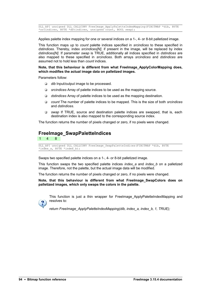DLL\_API unsigned DLL\_CALLCONV FreeImage\_ApplyPaletteIndexMapping(FIBITMAP \*dib, BYTE \*srcindices, BYTE \*dstindices, unsigned count, BOOL swap);

Applies palette index mapping for one or several indices on a 1-, 4- or 8-bit palletized image.

This function maps up to *count* palette indices specified in *srcindices* to these specified in *dstindices*. Thereby, index *srcindices[N]*, if present in the image, will be replaced by index *dstindices[N]*. If parameter *swap* is TRUE, additionally all indices specified in *dstindices* are also mapped to these specified in *srcindices*. Both arrays *srcindices* and *dstindices* are assumed not to hold less than *count* indices.

**Note, that this behaviour is different from what [FreeImage\\_ApplyColorMapping](#page-95-1) does, which modifies the actual image data on palletized images.**

Parameters follow:

- *dib* Input/output image to be processed.
- *srcindices* Array of palette indices to be used as the mapping source.
- *dstindices* Array of palette indices to be used as the mapping destination.
- *count* The number of palette indices to be mapped. This is the size of both *srcindices* and *dstindices*.
- *swap* If TRUE, source and destination palette indices are swapped, that is, each destination index is also mapped to the corresponding source index.

The function returns the number of pixels changed or zero, if no pixels were changed.

#### <span id="page-97-0"></span>**FreeImage\_SwapPaletteIndices**

1 4 8

DLL API unsigned DLL CALLCONV FreeImage SwapPaletteIndices(FIBITMAP \*dib, BYTE \*index a, BYTE \*index b);

Swaps two specified palette indices on a 1-, 4- or 8-bit palletized image.

This function swaps the two specified palette indices *index\_a* and *index\_b* on a palletized image. Therefore, not the palette, but the actual image data will be modified.

The function returns the number of pixels changed or zero, if no pixels were changed.

**Note, that this behaviour is different from what [FreeImage\\_SwapColors](#page-96-1) does on palletized images, which only swaps the colors in the palette.**



This function is just a thin wrapper for FreeImage ApplyPaletteIndexMapping and resolves to:

*return FreeImage\_ApplyPaletteIndexMapping(dib, index\_a, index\_b, 1, TRUE);*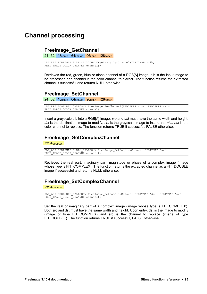# **Channel processing**

#### **FreeImage\_GetChannel**

24 32 48<sub>RGB16</sub> 64<sub>RGBA16</sub> 96<sub>RGBF</sub> 128<sub>RGBAF</sub>

DLL\_API FIBITMAP \*DLL\_CALLCONV FreeImage\_GetChannel(FIBITMAP \*dib, FREE IMAGE COLOR CHANNEL channel);

Retrieves the red, green, blue or alpha channel of a RGB[A] image. dib is the input image to be processed and channel is the color channel to extract. The function returns the extracted channel if successful and returns NULL otherwise.

#### **FreeImage\_SetChannel**

24 32 48<sub>RGB16</sub> 64<sub>RGBA16</sub> 96<sub>RGBF</sub> 128<sub>RGBAF</sub>

DLL API BOOL DLL CALLCONV FreeImage SetChannel(FIBITMAP \*dst, FIBITMAP \*src, FREE IMAGE COLOR CHANNEL channel);

Insert a greyscale dib into a RGB[A] image. *src* and *dst* must have the same width and height. *dst* is the destination image to modify, *src* is the greyscale image to insert and *channel* is the color channel to replace. The function returns TRUE if successful, FALSE otherwise.

#### **FreeImage\_GetComplexChannel**

2x64<sub>COMPLEX</sub>

```
DLL_API FIBITMAP * DLL_CALLCONV FreeImage_GetComplexChannel(FIBITMAP *src,
FREE IMAGE COLOR CHANNEL channel);
```
Retrieves the real part, imaginary part, magnitude or phase of a complex image (image whose type is FIT\_COMPLEX). The function returns the extracted channel as a FIT\_DOUBLE image if successful and returns NULL otherwise.

#### **FreeImage\_SetComplexChannel**

2x64<sub>COMPLEX</sub>

```
DLL API BOOL DLL CALLCONV FreeImage SetComplexChannel(FIBITMAP *dst, FIBITMAP *src,
FREE IMAGE COLOR CHANNEL channel);
```
Set the real or imaginary part of a complex image (image whose type is FIT COMPLEX). Both src and dst must have the same width and height. Upon entry, dst is the image to modify (image of type FIT COMPLEX) and src is the channel to replace (image of type FIT\_DOUBLE). The function returns TRUE if successful, FALSE otherwise.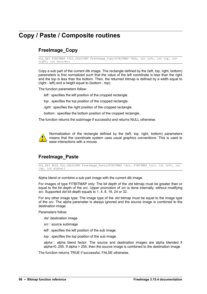# **Copy / Paste / Composite routines**

### <span id="page-99-0"></span>**FreeImage\_Copy**

DLL\_API FIBITMAP \*DLL\_CALLCONV FreeImage\_Copy(FIBITMAP \*dib, int left, int top, int right, int bottom);

Copy a sub part of the current dib image. The rectangle defined by the (left, top, right, bottom) parameters is first normalized such that the value of the left coordinate is less than the right and the top is less than the bottom. Then, the returned bitmap is defined by a width equal to (right - left) and a height equal to (bottom - top).

The function parameters follow:

*left* : specifies the left position of the cropped rectangle.

*top* : specifies the top position of the cropped rectangle.

*right* : specifies the right position of the cropped rectangle.

*bottom* : specifies the bottom position of the cropped rectangle.

The function returns the subimage if successful and returns NULL otherwise.



Normalization of the rectangle defined by the (left, top, right, bottom) parameters means that the coordinate system uses usual graphics conventions. This is used to ease interactions with a mouse.

#### **FreeImage\_Paste**

DLL API BOOL DLL CALLCONV FreeImage Paste(FIBITMAP \*dst, FIBITMAP \*src, int left, int top, int alpha);

Alpha blend or combine a sub part image with the current dib image.

For images of type FITBITMAP only: The bit depth of the *dst* bitmap must be greater than or equal to the bit depth of the *src*. Upper promotion of *src* is done internally, without modifying *src*. Supported *dst* bit depth equals to 1, 4, 8, 16, 24 or 32.

For any other image type: The image type of the *dst* bitmap must be equal to the image type of the *src*. The *alpha* parameter is always ignored and the source image is combined to the destination image.

Parameters follow:

*dst* :destination image

*src* : source subimage

*left* : specifies the left position of the sub image.

*top* : specifies the top position of the sub image.

*alpha* : alpha blend factor. The source and destination images are alpha blended if alpha=0..255. If alpha > 255, then the source image is combined to the destination image.

The function returns TRUE if successful, FALSE otherwise.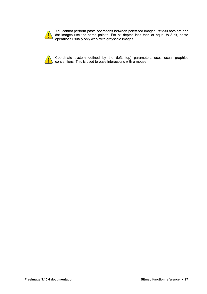

You cannot perform paste operations between palettized images, *unless* both src and dst images use the same palette. For bit depths less than or equal to 8-bit, paste operations usually only work with greyscale images.



Coordinate system defined by the (left, top) parameters uses usual graphics conventions. This is used to ease interactions with a mouse.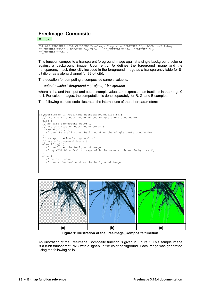#### **FreeImage\_Composite**

8 32

```
DLL_API FIBITMAP *DLL_CALLCONV FreeImage_Composite(FIBITMAP *fg, BOOL useFileBkg
FI_DEFAULT(FALSE), RGBQUAD *appBkColor FI_DEFAULT(NULL), FIBITMAP *bg
FI<sup>DEFAULT</sup>(NULL));
```
This function composite a transparent foreground image against a single background color or against a background image. Upon entry, *fg* defines the foreground image and the transparency mask (implicitly included in the foreground image as a transparency table for 8 bit dib or as a alpha channel for 32-bit dib).

The equation for computing a composited sample value is:

*output = alpha \* foreground + (1-alpha) \* background*

where alpha and the input and output sample values are expressed as fractions in the range 0 to 1. For colour images, the computation is done separately for R, G, and B samples.

The following pseudo-code illustrates the internal use of the other parameters:

```
if(useFileBkg && FreeImage_HasBackgroundColor(fg)) {
 // Use the file background as the single background color
} else {
 // no file background color …
 // use application background color ?
  if(appBkColor) {
   \frac{1}{2} use the application background as the single background color
 }
  // no application background color …
  // use a background image ?
  else if(bg) {
    // use bg as the background image
    // bg MUST BE a 24-bit image with the same width and height as fg
 }
  else {
     // default case
    // use a checkerboard as the background image
 }
}
```


<span id="page-101-0"></span>**Figure 1: Illustration of the FreeImage\_Composite function.**

An illustration of the FreeImage Composite function is given in [Figure 1.](#page-101-0) This sample image is a 8-bit transparent PNG with a light-blue file color background. Each image was generated using the following calls: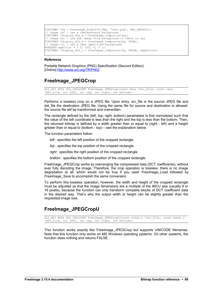```
FIBITMAP * fa = FreeImage Load(FIF PNG, "test.png", PNG DEFAULT);
// image (a) : use a checkerboard background
FIBITMAP *display dib a = FreeImage Composite(fg);
// image (b) : use the image file background if there is one
FIBITMAP *display_dib_b = FreeImage_Composite(fg, TRUE);
// image (c) : use a user specified background
RGBQUAD appColor = \{ 0, 255, 0, 0 \};
FIBITMAP *display dib c = FreeImage Composite(fg, FALSE, &appColor);
```
#### **Reference**

Portable Network Graphics (PNG) Specification (Second Edition). [Online]<http://www.w3.org/TR/PNG/>

#### <span id="page-102-0"></span>**FreeImage\_JPEGCrop**

DLL\_API BOOL DLL\_CALLCONV FreeImage\_JPEGCrop(const char \*src\_file, const char \*dst file, int left, int top, int right, int bottom);

Performs a lossless crop on a JPEG file. Upon entry, src file is the source JPEG file and dst file the destination JPEG file. Using the same file for source and destination is allowed: the source file will be transformed and overwritten.

The rectangle defined by the (left, top, right, bottom) parameters is first normalized such that the value of the left coordinate is less than the right and the top is less than the bottom. Then, the returned bitmap is defined by a width greater than or equal to (right - left) and a height greater than or equal to (bottom - top) – see the explanation below.

The function parameters follow:

- *left* : specifies the left position of the cropped rectangle.
- *top* : specifies the top position of the cropped rectangle.
- *right* : specifies the right position of the cropped rectangle.
- *bottom* : specifies the bottom position of the cropped rectangle.

FreeImage\_JPEGCrop works by rearranging the compressed data (DCT coefficients), without ever fully decoding the image. Therefore, the crop operation is lossless: there is no image degradation at all, which would not be true if you used *FreeImage\_Load* followed by *FreeImage\_Save* to accomplish the same conversion.

To perform this lossless operation, however, the width and height of the cropped rectangle must be adjusted so that the image dimensions are a multiple of the iMCU size (usually 8 or 16 pixels), because the function can only transform complete blocks of DCT coefficient data in the desired way. That's why the output width or height can be slightly greater than the requested image size.

#### **FreeImage\_JPEGCropU**

DLL API BOOL DLL CALLCONV FreeImage JPEGCropU(const wchar t \*src file, const wchar t \*dst file, int left, int top, int right, int bottom);

This function works exactly like FreeImage JPEGCrop but supports UNICODE filenames. Note that this function only works on MS Windows operating systems. On other systems, the function does nothing and returns FALSE.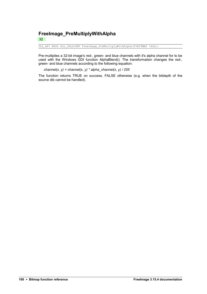### **FreeImage\_PreMultiplyWithAlpha**

32

DLL\_API BOOL DLL\_CALLCONV FreeImage\_PreMultiplyWithAlpha(FIBITMAP \*dib);

Pre-multiplies a 32-bit image's red-, green- and blue channels with it's alpha channel for to be used with the Windows GDI function AlphaBlend(). The transformation changes the red-, green- and blue channels according to the following equation:

*channel(x, y) = channel(x, y) \* alpha\_channel(x, y) / 255* 

The function returns TRUE on success, FALSE otherwise (e.g. when the bitdepth of the source dib cannot be handled).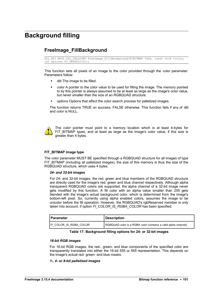# **Background filling**

#### <span id="page-104-0"></span>**FreeImage\_FillBackground**

```
DLL_API BOOL DLL_CALLCONV FreeImage_FillBackground(FIBITMAP *dib, const void *color,
int options FI_DEFAULT(0));
```
This function sets all pixels of an image to the color provided through the *color* parameter. Parameters follow:

- **dib** The image to be filled.
- *color* A pointer to the color value to be used for filling the image. The memory pointed to by this pointer is always assumed to be at least as large as the image's color value, but never smaller than the size of an RGBQUAD structure.
- *options* Options that affect the color search process for palletized images.

The function returns TRUE on success, FALSE otherwise. This function fails if any of *dib* and *color* is NULL.



The *color* pointer must point to a memory location which is at least 4-bytes for FIT BITMAP types, and at least as large as the image's color value, if this size is greater than 4 bytes.

#### **FIT\_BITMAP image type**

The *color* parameter MUST BE specified through a RGBQUAD structure for all images of type FIT\_BITMAP (including all palletized images), the size of this memory is thus the size of the RGBQUAD structure, which uses 4 bytes.

#### *24- and 32-bit images*

For 24- and 32-bit images, the red, green and blue members of the RGBQUAD structure are directly used for the image's red, green and blue channel respectively. Although alpha transparent RGBQUAD colors are supported, the alpha channel of a 32-bit image never gets modified by this function. A fill color with an alpha value smaller than 255 gets blended with the image's actual background color, which is determined from the image's bottom-left pixel. So, currently using alpha enabled colors, assumes the image to be unicolor before the fill operation. However, the RGBQUAD's rgbReserved member is only taken into account, if option *FI\_COLOR\_IS\_RGBA\_COLOR* has been specified.

| ∥ Parameter            | <b>Description</b>                                             |  |  |
|------------------------|----------------------------------------------------------------|--|--|
| FI COLOR IS RGBA COLOR | RGBQUAD color is a RGBA color (contains a valid alpha channel) |  |  |

#### **Table 17: Background filling options for 24- or 32-bit images**

#### *16-bit RGB images*

For 16-bit RGB images, the red-, green- and blue components of the specified color are transparently translated into either the 16-bit 555 or 565 representation. This depends on the image's actual red- green- and blue masks.

#### *1-, 4- or 8-bit palletized images*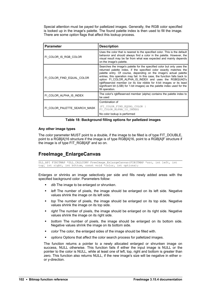Special attention must be payed for palletized images. Generally, the RGB color specified is looked up in the image's palette. The found palette index is then used to fill the image. There are some *option* flags that affect this lookup process.

| <b>Parameter</b>             | <b>Description</b>                                                                                                                                                                                                                                                                                                                                                                                                                                                                                                              |  |  |
|------------------------------|---------------------------------------------------------------------------------------------------------------------------------------------------------------------------------------------------------------------------------------------------------------------------------------------------------------------------------------------------------------------------------------------------------------------------------------------------------------------------------------------------------------------------------|--|--|
| FI COLOR IS RGB COLOR        | Uses the color that is nearest to the specified color. This is the default<br>behavior and should always find a color in the palette. However, the<br>visual result may be far from what was expected and mainly depends<br>on the image's palette.                                                                                                                                                                                                                                                                             |  |  |
| FI COLOR FIND EQUAL COLOR    | Searches the image's palette for the specified color but only uses the<br>returned palette index, if the specified color exactly matches the<br>palette entry. Of course, depending on the image's actual palette<br>entries, this operation may fail. In this case, the function falls back to<br>option FI COLOR ALPHA IS INDEX and uses the RGBQUAD's<br>rgbReserved member (or its low nibble for 4-bit images or its least<br>significant bit (LSB) for 1-bit images) as the palette index used for the<br>fill operation. |  |  |
| FI COLOR ALPHA IS INDEX      | The color's rgbReserved member (alpha) contains the palette index to<br>be used                                                                                                                                                                                                                                                                                                                                                                                                                                                 |  |  |
|                              | Combination of                                                                                                                                                                                                                                                                                                                                                                                                                                                                                                                  |  |  |
| FI_COLOR_PALETTE_SEARCH_MASK | (FI COLOR FIND EQUAL COLOR<br>FI COLOR ALPHA IS INDEX)                                                                                                                                                                                                                                                                                                                                                                                                                                                                          |  |  |
|                              | No color lookup is performed                                                                                                                                                                                                                                                                                                                                                                                                                                                                                                    |  |  |

|  | Table 18: Background filling options for palletized images |  |  |  |
|--|------------------------------------------------------------|--|--|--|
|--|------------------------------------------------------------|--|--|--|

#### **Any other image types**

The *color* parameter MUST point to a double, if the image to be filled is of type FIT\_DOUBLE, point to a RGB[A]16 structure if the image is of type RGB[A]16, point to a RGB[A]F structure if the image is of type FIT\_RGB[A]F and so on.

#### **FreeImage\_EnlargeCanvas**

DLL\_API FIBITMAP \*DLL\_CALLCONV FreeImage\_EnlargeCanvas(FIBITMAP \*src, int left, int top, int right, int bottom, const void \*color, int options);

Enlarges or shrinks an image selectively per side and fills newly added areas with the specified background color. Parameters follow:

- *dib* The image to be enlarged or shrunken.
- *left* The number of pixels, the image should be enlarged on its left side. Negative values shrink the image on its left side.
- *top* The number of pixels, the image should be enlarged on its top side. Negative values shrink the image on its top side.
- *right* The number of pixels, the image should be enlarged on its right side. Negative values shrink the image on its right side.
- *bottom* The number of pixels, the image should be enlarged on its bottom side. Negative values shrink the image on its bottom side.
- *color* The color, the enlarged sides of the image should be filled with.
- *options* Options that affect the color search process for palletized images.

The function returns a pointer to a newly allocated enlarged or shrunken image on success, NULL otherwise. This function fails if either the input image is NULL or the pointer to the color is NULL, while at least one of left, top, right and bottom is greater than zero. This function also returns NULL, if the new image's size will be negative in either xor y-direction.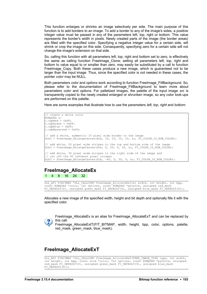This function enlarges or shrinks an image selectively per side. The main purpose of this function is to add borders to an image. To add a border to any of the image's sides, a positive integer value must be passed in any of the parameters left, top, right or bottom. This value represents the border's width in pixels. Newly created parts of the image (the border areas) are filled with the specified color. Specifying a negative integer value for a certain side, will shrink or crop the image on this side. Consequently, specifying zero for a certain side will not change the image's extension on that side.

So, calling this function with all parameters left, top, right and bottom set to zero, is effectively the same as calling function [FreeImage\\_Clone;](#page-15-0) setting all parameters left, top, right and bottom to value equal to or smaller than zero, may easily be substituted by a call to function [FreeImage\\_Copy.](#page-99-0) Both these cases produce a new image, which is guaranteed not to be larger than the input image. Thus, since the specified color is not needed in these cases, the pointer *color* may be NULL.

Both parameters *color* and *options* work according to function [FreeImage\\_FillBackground.](#page-104-0) So, please refer to the documentation of [FreeImage\\_FillBackground](#page-104-0) to learn more about parameters *color* and *options*. For palletized images, the palette of the input image *src* is transparently copied to the newly created enlarged or shrunken image, so any color look-ups are performed on this palette.

Here are some examples that illustrate how to use the parameters *left*, *top*, *right* and *bottom*:

```
// create a white color
RGBQUAD c;
c.\overline{rqbRed} = 0xFF;c.\overline{r}dbGreen = 0 \times FF;
c.\rmb{r} \ddot{b} \ddot{b} = 0xFF;
c.\nrightleftharpoons 0x00;// add a white, symmetric 10 pixel wide border to the image
dib2 = FreeImage EnlargeCanvas(dib, 10, 10, 10, 10, &c, FI COLOR IS RGB COLOR);
// add white, 20 pixel wide stripes to the top and bottom side of the image
dib3 = FreeImage EnlargeCanvas(dib, 0, 20, 0, 20, \&c, FI COLOR IS RGB COLOR);
// add white, 30 pixel wide stripes to the right side of the image and
// cut off the 40 leftmost pixel columns
dib3 = FreeImage EnlargeCanvas(dib, -40, 0, 30, 0, &c, FI COLOR IS RGB COLOR);
```
#### **FreeImage\_AllocateEx**

1 4 8 16 24 32

DLL API FIBITMAP \*DLL CALLCONV FreeImage AllocateEx(int width, int height, int bpp, const RGBQUAD \*color, int options, const RGBQUAD \*palette, unsigned red mask FI\_DEFAULT(0), unsigned green mask FI\_DEFAULT(0), unsigned blue mask FI\_DEFAULT(0));

Allocates a new image of the specified width, height and bit depth and optionally fills it with the specified color.



FreeImage\_AllocateEx is an alias for FreeImage\_AllocateExT and can be replaced by this call:

FreeImage\_AllocateExtT(FIT\_BITMAP,\_width,\_height,\_bpp,\_color,\_options,\_palette, red\_mask, green\_mask, blue\_mask);

#### **FreeImage\_AllocateExT**

```
DLL_API FIBITMAP *DLL_CALLCONV FreeImage_AllocateExT(FREE_IMAGE_TYPE_type, int width,
int height, int bpp, const void *color, int options, const RGBQUAD *palette, unsigned
red mask FI_DEFAULT(0), unsigned green mask FI_DEFAULT(0), unsigned blue mask
FI DEFAULT(0));
```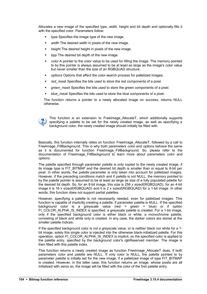Allocates a new image of the specified type, width, height and bit depth and optionally fills it with the specified color. Parameters follow:

- *type* Specifies the image type of the new image.
- *width* The desired width in pixels of the new image.
- *height* The desired height in pixels of the new image.
- *bpp* The desired bit depth of the new image.
- *color* A pointer to the color value to be used for filling the image. The memory pointed to by this pointer is always assumed to be at least as large as the image's color value but never smaller than the size of an RGBQUAD structure.
- *options* Options that affect the color search process for palletized images.
- *red\_mask* Specifies the bits used to store the red components of a pixel.
- **F** *green mask* Specifies the bits used to store the green components of a pixel.
- *blue\_mask* Specifies the bits used to store the blue components of a pixel.

The function returns a pointer to a newly allocated image on success, returns NULL otherwise.



This function is an extension to [FreeImage\\_AllocateT,](#page-9-0) which additionally supports specifying a palette to be set for the newly created image, as well as specifying a background color, the newly created image should initially be filled with.

Basically, this function internally relies on function FreeImage AllocateT, followed by a call to [FreeImage\\_FillBackground.](#page-104-0) This is why both parameters *color* and *options* behave the same as it is documented for function FreeImage FillBackground. So, please refer to the documentation of [FreeImage\\_FillBackground](#page-104-0) to learn more about parameters *color* and *options*.

The palette specified through parameter *palette* is only copied to the newly created image, if its image type is FIT\_BITMAP and the desired bit depth is smaller than or equal to 8-bit per pixel. In other words, the *palette* parameter is only taken into account for palletized images. However, if the preceding conditions match and if *palette* is not NULL, the memory pointed to by the *palette* pointer is assumed to be at least as large as size of a fully populated palette for the desired bit depth. So, for an 8-bit image, this size is 256 x sizeof(RGBQUAD), for an 4-bit image it is 16 x sizeof(RGBQUAD) and it is 2 x sizeof(RGBQUAD) for a 1-bit image. In other words, this function does not support partial palettes.

However, specifying a palette is not necessarily needed, even for palletized images. This function is capable of implicitly creating a palette, if parameter palette is NULL. If the specified background color is a greyscale value (red = green = blue) or if option FI\_COLOR\_ALPHA\_IS\_INDEX is specified, a greyscale palette is created. For a 1-bit image, only if the specified background color is either black or white, a monochrome palette, consisting of black and white only is created. In any case, the darker colors are stored at the smaller palette indices.

If the specified background color is not a greyscale value, or is neither black nor white for a 1 bit image, solely this single color is injected into the otherwise black-initialized palette. For this operation, option FI\_COLOR\_ALPHA\_IS\_INDEX is implicit, so the specified color is applied to the palette entry, specified by the background color's rgbReserved member. The image is then filled with this palette index.

This function returns a newly created image as function FreeImage\_AllocateT does, if both parameters *color* and *palette* are NULL. If only color is NULL, the palette pointed to by parameter *palette* is initially set for the new image, if a palletized image of type FIT\_BITMAP is created. However, in the latter case, this function returns an image, whose pixels are all initialized with zeros so, the image will be filled with the color of the first palette entry.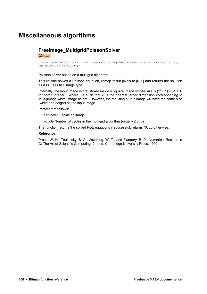# **Miscellaneous algorithms**

### **FreeImage\_MultigridPoissonSolver**

 $32<sub>FLOAT</sub>$ 

```
DLL_API FIBITMAP *DLL_CALLCONV FreeImage_MultigridPoissonSolver(FIBITMAP *Laplacian,
int<sub>T</sub>ncycle FI DEFAULT(3));
```
Poisson solver based on a multigrid algorithm.

This routine solves a Poisson equation, remap result pixels to [0..1] and returns the solution as a FIT\_FLOAT image type.

Internally, the input image is first stored inside a square image whose size is  $(2^j + 1) \times (2^j + 1)$ for some integer j, where j is such that  $2^{j}$  is the nearest larger dimension corresponding to MAX(image width, image height). However, the resulting output image will have the same size (width and height) as the input image.

#### Parameters follows:

*Laplacian* Laplacian image

*ncycle* Number of cycles in the multigrid algorithm (usually 2 or 3)

The function returns the solved PDE equations if successful, returns NULL otherwise.

#### **Reference**

Press, W. H., Teukolsky, S. A., Vetterling, W. T., and Flannery, B. P., Numerical Recipes in C: The Art of Scientific Computing, 2nd ed. Cambridge University Press. 1992.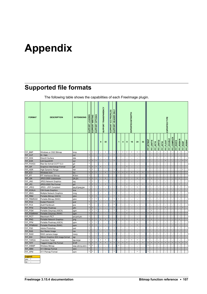# **Appendix**

# **Supported file formats**

The following table shows the capabilities of each FreeImage plugin.

| <b>FORMAT</b>         | <b>DESCRIPTION</b>                     | <b>EXTENSIONS</b> | SUPPORT LOADING | <b>SUPPORT WRITING</b> | <b>SUPPORT OPTIONS</b> |           | SUPPORT TRANSPARENCY     | ICC PROFILES<br>SUPPORT  | SUPPORT HEADER ONLY |                |                |           | EXPORTED BITDEPTH        |                                |                          |               |            |           |                |           | EXPORTED TYPE    |           |             |           |            |           |                |
|-----------------------|----------------------------------------|-------------------|-----------------|------------------------|------------------------|-----------|--------------------------|--------------------------|---------------------|----------------|----------------|-----------|--------------------------|--------------------------------|--------------------------|---------------|------------|-----------|----------------|-----------|------------------|-----------|-------------|-----------|------------|-----------|----------------|
|                       |                                        |                   |                 |                        |                        | 8         | 32                       |                          |                     | 1              | 4              | 8         | 16                       | 24                             | 32                       | $FT\_BITMAXF$ | FIT_UINT16 | FIT_INT16 | FIT_UINT32     | FIT_INT32 | <b>FIT_FLOAT</b> | FIT DOUBL | FIT_COMPLEX | FIT_RGB16 | FIT_RGBA16 | FIT_RGBF  | FIT_RGBAI      |
| FIF_BMP               | Windows or OS/2 Bitmap                 | bmp               | $\bullet$       | $\bullet$              | $\bullet$              |           | $\bullet$                | $\overline{\phantom{a}}$ | $\bullet$           | $\bullet$      | $\bullet$      | $\bullet$ | $\bullet$                | $\bullet$                      | $\bullet$                | $\bullet$     |            |           |                |           |                  |           |             |           |            |           |                |
| FIF CUT               | Dr. Halo                               | cut               | $\bullet$       |                        |                        |           |                          |                          | $\bullet$           |                |                |           |                          | r.                             |                          |               |            |           |                |           |                  |           |             |           |            |           |                |
| FIF DDS               | DirectX Surface                        | dds               | $\bullet$       |                        | $\overline{a}$         | ÷         | $\overline{a}$           | $\overline{a}$           |                     | J.             | $\overline{a}$ | ÷.        | ÷                        | $\sim$                         | $\overline{a}$           | ÷.            |            |           | $\overline{a}$ |           |                  |           |             |           | ÷,         |           | $\overline{a}$ |
| FIF_EXR               | <b>ILM OpenEXR</b>                     | exr               | $\bullet$       | $\bullet$              | $\bullet$              | ×,        | ÷.                       |                          | $\bullet$           | E,             | ×,             | ×,        | ٠                        | ×,                             | $\overline{\phantom{a}}$ |               |            |           |                |           | $\bullet$        |           |             |           |            | $\bullet$ | $\bullet$      |
| FIF FAXG3             | Raw fax format CCITT G.3               | g3                | $\bullet$       |                        |                        |           |                          |                          |                     |                |                |           | ÷                        | ÷.                             |                          |               |            |           |                |           |                  |           |             |           |            |           |                |
| FIF GIF               | Graphics Interchange Format            | gif               |                 | $\bullet$              | $\bullet$              | $\bullet$ |                          |                          |                     |                |                | $\bullet$ |                          | ×,                             | ä,                       |               |            |           |                |           |                  |           |             |           |            |           |                |
| FIF HDR               | High Dynamic Range                     | hdr               | $\bullet$       | $\bullet$              |                        | J.        |                          |                          | ٠                   |                |                | J.        | ÷                        | ÷,                             | ÷,                       |               |            |           |                |           |                  |           |             |           |            | $\bullet$ |                |
| FIF_ICO               | Windows Icon                           | <b>co</b>         |                 |                        | $\bullet$              |           | $\bullet$                |                          |                     |                | $\bullet$      | $\bullet$ | $\bullet$                | $\bullet$                      | $\bullet$                |               |            |           |                |           |                  |           |             |           |            |           |                |
| FIF IFF               | IFF Interleaved Bitmap                 | iff,Ibm           | $\bullet$       |                        |                        |           | $\overline{a}$           |                          |                     |                |                |           | ÷                        | $\overline{a}$                 | L.                       |               |            |           |                |           |                  |           |             |           |            |           |                |
| FIF_J2K               | JPEG-2000 codestream                   | 2k,j2c            | $\bullet$       | $\bullet$              | $\bullet$              |           | $\bullet$                |                          |                     |                |                | $\bullet$ | $\overline{\phantom{a}}$ | $\bullet$                      | $\bullet$                | $\bullet$     | $\bullet$  |           |                |           |                  |           |             | $\bullet$ | $\bullet$  |           |                |
| FIF_JNG               | JPEG Network Graphics                  | ing               | $\bullet$       | $\bullet$              |                        | J.        | ÷                        | ÷                        | $\bullet$           | J.             | J.             | J.        | ÷                        | $\overline{a}$                 | ÷.                       | ÷             |            |           | J.             |           |                  |           |             |           | J.         | ÷,        |                |
| FIF JP2               | JPEG-2000 File Format                  | jp2               | $\bullet$       | $\bullet$              | $\bullet$              | ×.        | $\bullet$                |                          |                     |                |                | $\bullet$ | ÷                        | $\bullet$                      | $\bullet$                | $\bullet$     | $\bullet$  |           |                |           |                  |           |             | $\bullet$ | $\bullet$  |           |                |
| FIF_JPEG              | JPEG - JFIF Compliant                  | jpg,jif,jpeg,jpe  | ٠               | $\bullet$              | ٠                      |           |                          | $\bullet$                | $\bullet$           |                |                | $\bullet$ | $\overline{\phantom{a}}$ | $\bullet$                      | $\overline{\phantom{a}}$ |               |            |           |                |           |                  |           |             |           |            |           |                |
| FIF_KOALA             | C64 Koala Graphics                     | koa               | $\bullet$       |                        |                        |           |                          |                          | ٠                   |                |                |           |                          | L,                             | ÷,                       |               |            |           |                |           |                  |           |             |           |            |           |                |
| FIF_MNG               | Multiple Network Graphics              | mng               | $\bullet$       | $\bullet$              | $\bullet$              |           |                          |                          | $\bullet$           |                |                |           | ٠                        |                                | ÷.                       |               |            |           |                |           |                  |           |             |           |            |           |                |
| FIF_PBM<br>FIF_PBMRAW | Portable Bitmap (ASCII)                | pbm               | $\bullet$       | $\bullet$              | $\bullet$              |           | ÷                        |                          | $\bullet$           | $\bullet$      | J.             |           | $\overline{a}$           | $\overline{\phantom{a}}$<br>÷, | $\overline{a}$           | $\bullet$     |            |           |                |           |                  |           |             |           |            |           |                |
| FIF_PCD               | Portable Bitmap (RAW)<br>Kodak PhotoCD | pbm<br>pcd        | $\bullet$       |                        | $\bullet$              |           |                          |                          | $\bullet$           |                |                |           |                          | ÷,                             | ×,                       |               |            |           |                |           |                  |           |             |           |            |           |                |
| FIF_PCX               | Zsoft Paintbrush                       |                   | $\bullet$       |                        |                        | ÷,        | $\sim$                   | $\overline{a}$           | $\bullet$           | $\overline{a}$ | L,             | ÷,        | $\overline{\phantom{a}}$ | $\overline{\phantom{a}}$       | $\overline{\phantom{a}}$ | ÷,            |            |           |                |           |                  |           |             |           | Ĭ.         |           |                |
| FIF_PFM               | Portable Floatmap                      | pcx<br>pfm        | $\bullet$       | $\bullet$              |                        |           | ÷                        |                          | $\bullet$           |                |                |           | ÷                        | ×.                             | ÷.                       |               |            |           |                |           | $\bullet$        |           |             |           |            | $\bullet$ |                |
| FIF PGM               | Portable Greymap (ASCII)               | pgm               | $\bullet$       | $\bullet$              | $\bullet$              | J.        | ÷                        |                          | ٠                   | L.             | $\overline{a}$ | $\bullet$ | $\sim$                   | $\sim$                         | ÷.                       | $\bullet$     | $\bullet$  |           |                |           |                  |           |             |           | J.         |           |                |
| FIF_PGMRAW            | Portable Greymap (RAW)                 | pgm               |                 |                        | $\bullet$              |           |                          |                          |                     |                |                |           |                          | ×,                             | ÷,                       |               |            |           |                |           |                  |           |             |           |            |           |                |
| FIF PICT              | Macintosh PICT                         | pct,pict,pic      | $\bullet$       |                        |                        |           |                          |                          |                     |                | L,             | L,        | $\sim$                   | $\overline{\phantom{a}}$       | L,                       | ÷,            |            |           | J.             |           |                  |           |             |           | J.         |           |                |
| FIF PNG               | Portable Network Graphics              | png               | $\bullet$       | $\bullet$              | $\bullet$              | $\bullet$ | $\bullet$                | $\bullet$                | $\bullet$           | $\bullet$      | $\bullet$      | $\bullet$ | ÷.                       | $\bullet$                      | $\bullet$                |               | $\bullet$  |           |                |           |                  |           |             | $\bullet$ |            |           |                |
| FIF_PPM               | Portable Pixelmap (ASCII)              | ppm               | $\bullet$       | $\bullet$              | $\bullet$              |           | $\overline{\phantom{a}}$ |                          | ٠                   |                |                |           | $\sim$                   | $\bullet$                      | ÷,                       | ٠             |            |           |                |           |                  |           |             | $\bullet$ |            |           |                |
| FIF_PPMRAW            | Portable Pixelmap (RAW)                | ppm               |                 |                        |                        |           |                          |                          |                     |                |                |           |                          | $\bullet$                      | ÷.                       |               |            |           |                |           |                  |           |             |           |            |           |                |
| FIF_PSD               | Adobe Photoshop                        | psd               | ٠               |                        |                        |           |                          | $\overline{\phantom{a}}$ | $\bullet$           |                |                |           | $\sim$                   | $\overline{\phantom{a}}$       | $\overline{\phantom{a}}$ |               |            |           |                |           |                  |           |             |           |            |           |                |
| FIF_RAS               | Sun Raster Image                       | ras               |                 |                        |                        |           | ٠                        |                          | $\bullet$           |                |                |           | ×.                       | ×.                             | $\overline{\phantom{a}}$ |               |            |           |                |           |                  |           |             |           |            |           |                |
| FIF_RAW               | RAW camera image                       | many              | $\bullet$       |                        | $\bullet$              | ÷         | $\overline{\phantom{a}}$ | ä,                       | ٠                   | L,             | $\overline{a}$ | ÷.        | $\overline{\phantom{a}}$ | $\overline{\phantom{a}}$       | ÷,                       | ä,            | L.         |           | J.             |           |                  |           | J.          | ÷.        | ÷,         |           |                |
| FIF SGI               | Silicon Graphics SGI image format      | sgi               |                 |                        |                        |           |                          |                          |                     |                |                |           |                          |                                |                          |               |            |           |                |           |                  |           |             |           |            |           |                |
| FIF TARGA             | Truevision Targa                       | tga,targa         | $\bullet$       | $\bullet$              | $\bullet$              | $\bullet$ | $\bullet$                |                          | $\bullet$           |                |                | $\bullet$ | $\bullet$                | $\bullet$                      | $\bullet$                | $\bullet$     |            |           |                |           |                  |           |             |           |            |           |                |
| FIF_TIFF              | Tagged Image File Format               | tif, tiff         | $\bullet$       | $\bullet$              | $\bullet$              | $\bullet$ | $\bullet$                | $\bullet$                | $\bullet$           | $\bullet$      | $\bullet$      | $\bullet$ | ÷                        | $\bullet$                      | $\bullet$                |               | $\bullet$  | $\bullet$ |                | $\bullet$ | $\bullet$        | $\bullet$ | $\bullet$   | $\bullet$ | $\bullet$  | $\bullet$ | $\bullet$      |
| FIF WBMP              | Wireless Bitmap                        | wap,wbmp,wbm      | $\bullet$       | $\bullet$              |                        |           | i.                       |                          |                     | ٠              |                |           | $\overline{a}$           | $\overline{a}$                 | $\overline{a}$           | $\bullet$     |            |           |                |           |                  |           |             |           |            |           |                |
| FIF_XBM               |                                        |                   |                 |                        |                        |           |                          |                          |                     |                |                |           |                          |                                |                          |               |            |           |                |           |                  |           |             |           |            |           |                |
|                       | X11 Bitmap Format                      | xbm               |                 |                        |                        |           |                          |                          |                     |                |                |           |                          |                                |                          |               |            |           |                |           |                  |           |             |           |            |           |                |

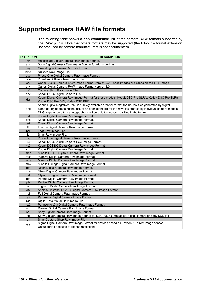# **Supported camera RAW file formats**

The following table shows a **non exhaustive list** of the camera RAW formats supported by the RAW plugin. Note that others formats may be supported (the RAW file format extension list produced by camera manufacturers is not documented).

| <b>EXTENSION</b> | <b>DESCRIPTION</b>                                                                                         |
|------------------|------------------------------------------------------------------------------------------------------------|
| 3fr              | Hasselblad Digital Camera Raw Image Format.                                                                |
| arw              | Sony Digital Camera Raw Image Format for Alpha devices.                                                    |
| bay              | Casio Digital Camera Raw File Format.                                                                      |
| bmq              | NuCore Raw Image File.                                                                                     |
| cap              | Phase One Digital Camera Raw Image Format.                                                                 |
| cine             | Phantom Software Raw Image File.                                                                           |
| cr2              | Canon Digital Camera RAW Image Format version 2.0. These images are based on the TIFF image                |
| crw              | Canon Digital Camera RAW Image Format version 1.0.                                                         |
| cs1              | Capture Shop Raw Image File.                                                                               |
| dc2              | Kodak DC25 Digital Camera File.                                                                            |
| dcr              | Kodak Digital Camera Raw Image Format for these models: Kodak DSC Pro SLR/c, Kodak DSC Pro SLR/n,          |
|                  | Kodak DSC Pro 14N, Kodak DSC PRO 14nx.                                                                     |
|                  | Adobe Digital Negative: DNG is publicly available archival format for the raw files generated by digital   |
| dng              | cameras. By addressing the lack of an open standard for the raw files created by individual camera models, |
|                  | DNG helps ensure that photographers will be able to access their files in the future.                      |
| drf              | Kodak Digital Camera Raw Image Format.                                                                     |
| dsc              | Kodak Digital Camera Raw Image Format.                                                                     |
| erf              | Epson Digital Camera Raw Image Format.                                                                     |
| fff              | Imacon Digital Camera Raw Image Format.                                                                    |
| hdr              | Leaf Raw Image File.                                                                                       |
| ia               | Sinar Raw Image File.                                                                                      |
| iiq              | Phase One Digital Camera Raw Image Format.                                                                 |
| k25              | Kodak DC25 Digital Camera Raw Image Format.                                                                |
| kc <sub>2</sub>  | Kodak DCS200 Digital Camera Raw Image Format.                                                              |
| kdc              | Kodak Digital Camera Raw Image Format.                                                                     |
| mdc              | Minolta RD175 Digital Camera Raw Image Format.                                                             |
| mef              | Mamiya Digital Camera Raw Image Format.                                                                    |
| mos              | Mamiya Digital Camera Raw Image Format.                                                                    |
| mrw              | Minolta Dimage Digital Camera Raw Image Format.                                                            |
| nef              | Nikon Digital Camera Raw Image Format.                                                                     |
| nrw              | Nikon Digital Camera Raw Image Format.                                                                     |
| orf              | Olympus Digital Camera Raw Image Format.                                                                   |
| pef              | Pentax Digital Camera Raw Image Format.                                                                    |
| ptx              | Pentax Digital Camera Raw Image Format.                                                                    |
| pxn              | Logitech Digital Camera Raw Image Format.                                                                  |
| qtk              | Apple Quicktake 100/150 Digital Camera Raw Image Format.                                                   |
| raf              | Fuji Digital Camera Raw Image Format.                                                                      |
| raw              | Panasonic Digital Camera Image Format.                                                                     |
| rdc              | Digital Foto Maker Raw Image File.                                                                         |
| rw <sub>2</sub>  | Panasonic LX3 Digital Camera Raw Image Format.                                                             |
| rwz              | Rawzor Digital Camera Raw Image Format.                                                                    |
| sr2              | Sony Digital Camera Raw Image Format.                                                                      |
| srf              | Sony Digital Camera Raw Image Format for DSC-F828 8 megapixel digital camera or Sony DSC-R1                |
| sti              | Sinar Capture Shop Raw Image File.                                                                         |
| x3f              | Sigma Digital Camera Raw Image Format for devices based on Foveon X3 direct image sensor.                  |
|                  | Unsupported because of license restrictions.                                                               |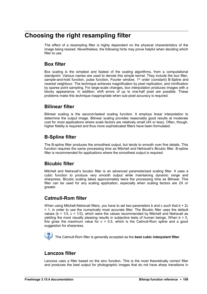# **Choosing the right resampling filter**

The effect of a resampling filter is highly dependant on the physical characteristics of the image being resized. Nevertheless, the following hints may prove helpful when deciding which filter to use.

#### **Box filter**

Box scaling is the simplest and fastest of the scaling algorithms, from a computational standpoint. Various names are used to denote this simple kernel. They include the box filter, sample-and-hold function, pulse function, Fourier window, 1<sup>st</sup> order (constant) B-Spline and nearest neighbour. The technique achieves magnification by pixel replication, and minification by sparse point sampling. For large-scale changes, box interpolation produces images with a blocky appearance. In addition, shift errors of up to one-half pixel are possible. These problems make this technique inappropriate when sub-pixel accuracy is required.

#### **Bilinear filter**

Bilinear scaling is the second-fastest scaling function. It employs linear interpolation to determine the output image. Bilinear scaling provides reasonably good results at moderate cost for most applications where scale factors are relatively small (4X or less). Often, though, higher fidelity is required and thus more sophisticated filters have been formulated.

### **B-Spline filter**

The B-spline filter produces the smoothest output, but tends to smooth over fine details. This function requires the same processing time as Mitchell and Netravali's Bicubic filter. B-spline filter is recommended for applications where the smoothest output is required.

#### **Bicubic filter**

Mitchell and Netravali's bicubic filter is an advanced parameterized scaling filter. It uses a cubic function to produce very smooth output while maintaining dynamic range and sharpness. Bicubic scaling takes approximately twice the processing time as Bilinear. This filter can be used for any scaling application, especially when scaling factors are 2X or greater.

### **Catmull-Rom filter**

When using Mitchell-Netravali filters, you have to set two parameters b and c such that b + 2c = 1, in order to use the numerically most accurate filter. The Bicubic filter uses the default values ( $b = 1/3$ ,  $c = 1/3$ ), which were the values recommended by Mitchell and Netravali as yielding the most visually pleasing results in subjective tests of human beings. When  $b = 0$ , this gives the maximum value for  $c = 0.5$ , which is the Catmull-Rom spline and a good suggestion for sharpness.

The Catmull-Rom filter is generally accepted as the **best cubic interpolant filter**.

### **Lanczos filter**

Lanczos uses a filter based on the sinc function. This is the most theoretically correct filter and produces the best output for photographic images that do not have sharp transitions in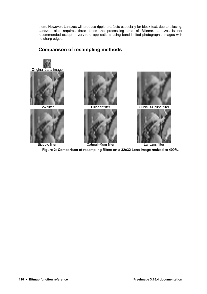them. However, Lanczos will produce ripple artefacts especially for block text, due to aliasing. Lanczos also requires three times the processing time of Bilinear. Lanczos is not recommended except in very rare applications using band-limited photographic images with no sharp edges.



### **Comparison of resampling methods**

**Figure 2: Comparison of resampling filters on a 32x32 Lena image resized to 400%.**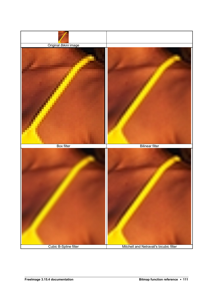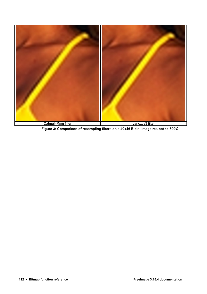

**Figure 3: Comparison of resampling filters on a 40x46 Bikini image resized to 800%.**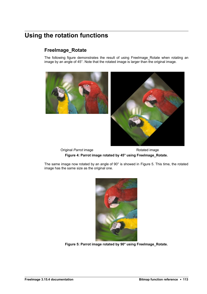# **Using the rotation functions**

### **FreeImage\_Rotate**

The following figure demonstrates the result of using FreeImage Rotate when rotating an image by an angle of 45°. Note that the rotated image is larger than the original image.





Original *Parrot* image **Rotated image** Rotated image **Figure 4: Parrot image rotated by 45° using FreeImage\_Rotate.**

The same image now rotated by an angle of 90° is showed in [Figure 5.](#page-116-0) This time, the rotated image has the same size as the original one.

<span id="page-116-0"></span>

**Figure 5: Parrot image rotated by 90° using FreeImage\_Rotate.**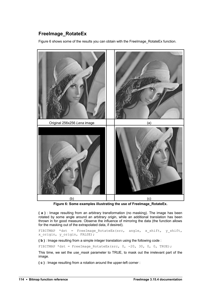### **FreeImage\_RotateEx**

[Figure 6](#page-117-0) shows some of the results you can obtain with the FreeImage\_RotateEx function.



**Figure 6: Some examples illustrating the use of FreeImage\_RotateEx.**

<span id="page-117-0"></span>**( a )** : Image resulting from an arbitrary transformation (no masking). The image has been rotated by some angle around an arbitrary origin, while an additional translation has been thrown in for good measure. Observe the influence of mirroring the data (the function allows for the masking out of the extrapolated data, if desired).

FIBITMAP \*dst = FreeImage RotateEx(src, angle, x shift, y shift, x\_origin, y\_origin, FALSE);

**( b )** : Image resulting from a simple integer translation using the following code :

FIBITMAP \*dst = FreeImage RotateEx(src,  $0, -20, 30, 0, 0, \text{TRUE}$ );

This time, we set the *use\_mask* parameter to TRUE, to mask out the irrelevant part of the image.

**( c )** : Image resulting from a rotation around the upper-left corner :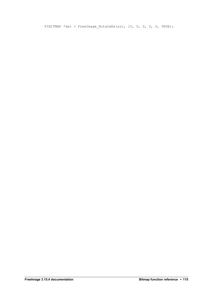FIBITMAP \*dst = FreeImage\_RotateEx(src, 15, 0, 0, 0, 0, TRUE);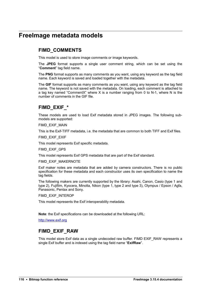## **FreeImage metadata models**

### **FIMD\_COMMENTS**

This model is used to store image comments or image keywords.

The **JPEG** format supports a single user comment string, which can be set using the "**Comment**" tag field name.

The **PNG** format supports as many comments as you want, using any keyword as the tag field name. Each keyword is saved and loaded together with the metadata.

The **GIF** format supports as many comments as you want, using any keyword as the tag field name. The keyword is not saved with the metadata. On loading, each comment is attached to a tag key named "CommentX" where X is a number ranging from 0 to N-1, where N is the number of comments in the GIF file.

### **FIMD\_EXIF\_\***

These models are used to load Exif metadata stored in JPEG images. The following submodels are supported:

FIMD\_EXIF\_MAIN

This is the Exif-TIFF metadata, i.e. the metadata that are common to both TIFF and Exif files.

FIMD\_EXIF\_EXIF

This model represents Exif specific metadata.

FIMD\_EXIF\_GPS

This model represents Exif GPS metadata that are part of the Exif standard.

FIMD\_EXIF\_MAKERNOTE

Exif maker notes are metadata that are added by camera constructors. There is no public specification for these metadata and each constructor uses its own specification to name the tag fields.

The following makers are currently supported by the library: Asahi, Canon, Casio (type 1 and type 2), Fujifilm, Kyocera, Minolta, Nikon (type 1, type 2 and type 3), Olympus / Epson / Agfa, Panasonic, Pentax and Sony.

FIMD\_EXIF\_INTEROP

This model represents the Exif interoperability metadata.

**Note**: the Exif specifications can be downloaded at the following URL:

[http://www.exif.org](http://www.exif.org/)

### **FIMD\_EXIF\_RAW**

This model store Exif data as a single undecoded raw buffer. FIMD EXIF\_RAW represents a single Exif buffer and is indexed using the tag field name "**ExifRaw**".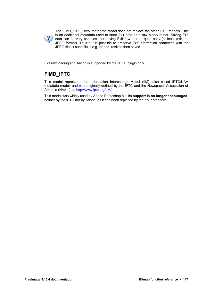

The FIMD\_EXIF\_RAW metadata model does not replace the other EXIF models. This is an additional metadata used to store Exif data as a raw binary buffer. Saving Exif data can be very complex, but saving Exif raw data is quite easy (at least with the JPEG format). Thus if it is possible to preserve Exif information connected with the JPEG files if such file is e.g. loaded, resized then saved.

Exif raw loading and saving is supported by the JPEG plugin only.

### **FIMD\_IPTC**

This model represents the Information Interchange Model (IIM), also called IPTC/NAA metadata model, and was originally defined by the IPTC and the Newspaper Association of America (NAA) (see [http://www.iptc.org/IIM/\)](http://www.iptc.org/IIM/).

This model was widely used by Adobe Photoshop but **its support is no longer encouraged**, neither by the IPTC nor by Adobe, as it has been replaced by the XMP standard.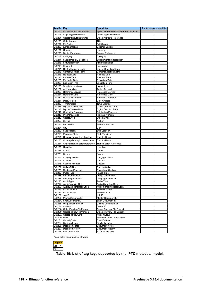| Tag ID           | Key                                        | <b>Description</b>                        | <b>Photoshop compatible</b>                |
|------------------|--------------------------------------------|-------------------------------------------|--------------------------------------------|
| 0x0200           | ApplicationRecordVersion                   | Application Record Version (not editable) | $\bullet$                                  |
| 0x0203           | ObjectTypeReference                        | Object Type Reference                     |                                            |
| 0x0204           | ObjectAttributeReference                   | <b>Object Attribute Reference</b>         | $\blacksquare$                             |
| 0x0205           | ObjectName                                 | Title                                     | ٠                                          |
| 0x0207           | EditStatus                                 | <b>Edit Status</b>                        | $\overline{\phantom{a}}$                   |
| 0x0208           | EditorialUpdate                            | <b>Editorial Update</b>                   |                                            |
| 0x020A           | Urgency                                    | Urgency                                   | $\bullet$                                  |
| 0x020C           | SubjectReference                           | Subject Reference                         |                                            |
| 0x020F           | Category                                   | Category                                  | $\bullet$                                  |
| 0x0214           | SupplementalCategories                     | Supplemental Categories*                  | $\bullet$                                  |
|                  | 0x0216 FixtureIdentifier                   | Fixture Identifier                        | $\blacksquare$<br>$\bullet$                |
| 0x0219<br>0x021A | Keywords<br>ContentLocationCode            | Keywords*<br><b>Content Location Code</b> | $\blacksquare$                             |
| 0x021B           | ContentLocationName                        | <b>Content Location Name</b>              |                                            |
| 0x021E           | ReleaseDate                                | Release Date                              |                                            |
| 0x0223           | ReleaseTime                                | Release Time                              | $\blacksquare$                             |
| 0x0225           | ExpirationDate                             | <b>Expiration Date</b>                    |                                            |
| 0x0226           | ExpirationTime                             | <b>Expiration Time</b>                    | ÷.                                         |
| 0x0228           | SpecialInstructions                        | Instructions                              | $\bullet$                                  |
| 0x022A           | ActionAdvised                              | <b>Action Advised</b>                     | $\overline{a}$                             |
| 0x022D<br>0x022F | ReferenceService                           | Reference Service                         | $\overline{\phantom{a}}$                   |
| 0x0232           | ReferenceDate<br>ReferenceNumber           | Reference Date<br>Reference Number        | $\blacksquare$                             |
| 0x0237           | <b>DateCreated</b>                         | Date Created                              | ٠                                          |
| 0x023C           | TimeCreated                                | <b>Time Created</b>                       |                                            |
| 0x023E           | DigitalCreationDate                        | <b>Digital Creation Date</b>              |                                            |
| 0x023F           | DigitalCreationTime                        | <b>Digital Creation Time</b>              |                                            |
| 0x0241           | OriginatingProgram                         | <b>Originating Program</b>                |                                            |
| 0x0246           | ProgramVersion                             | Program Version                           |                                            |
| 0x024B           | ObjectCycle                                | Object Cycle                              |                                            |
| 0x0250           | By-line                                    | Author                                    | ٠                                          |
| 0x0255           | <b>By-lineTitle</b>                        | Author's Position                         | ٠                                          |
| 0x025A           | City                                       | City                                      | ٠                                          |
| 0x025C           | SubLocation                                | Sub-Location                              |                                            |
| 0x025F           | Province-State                             | State/Province                            | ٠                                          |
| 0x0264           | Country-PrimaryLocationCode                | Country Code                              |                                            |
| 0x0265           | Country-PrimaryLocationName                | <b>Country Name</b>                       | ٠                                          |
| 0x0267           | OriginalTransmissionReference              | <b>Transmission Reference</b>             | ٠                                          |
| 0x0269           | Headline                                   | Headline                                  | ٠                                          |
| 0x026E           | Credit                                     | Credit                                    | ٠                                          |
| 0x0273           | Source                                     | Source                                    | ٠                                          |
| 0x0274           | CopyrightNotice                            | <b>Copyright Notice</b>                   | $\bullet$                                  |
| 0x0276           | Contact                                    | Contact                                   |                                            |
| 0x0278           | Caption-Abstract                           | Caption                                   | ٠                                          |
| 0x027A           | Writer-Editor                              | <b>Caption Writer</b>                     | ٠                                          |
|                  | 0x027D RasterizedCaption                   | Rasterized Caption                        |                                            |
| 0x0282           | ImageType                                  | Image Type                                |                                            |
| 0x0283           | <b>ImageOrientation</b>                    | Image Orientation                         |                                            |
| 0x0287<br>0x0296 | LanguageIdentifier<br>AudioType            | Language Identifier<br>Audio Type         |                                            |
| 0x0297           | AudioSamplingRate                          | <b>Audio Sampling Rate</b>                |                                            |
| 0x0298           | AudioSamplingResolution                    | Audio Sampling Resolution                 | $\overline{\phantom{a}}$                   |
| 0x0299           | AudioDuration                              | <b>Audio Duration</b>                     | $\blacksquare$                             |
| 0x029A           | <b>AudioOutcue</b>                         | Audio Outcue                              | $\blacksquare$                             |
| 0x02B8 JobID     |                                            | Job ID                                    | $\blacksquare$                             |
|                  | 0x02B9 MasterDocumentID<br>ShortDocumentID | Master Document ID                        | ÷,                                         |
| 0x02BA           | 0x02BB UniqueDocumentID                    | Short Document ID<br>Unique Document ID   | $\frac{1}{2}$<br>$\blacksquare$            |
|                  | 0x02BC OwnerID                             | Owner ID                                  | $\frac{1}{2}$                              |
|                  | 0x02C8 ObjectPreviewFileFormat             | <b>Object Preview File Format</b>         | $\blacksquare$                             |
|                  | 0x02C9 ObjectPreviewFileVersion            | <b>Object Preview File Version</b>        | $\equiv$                                   |
|                  | 0x02CA ObjectPreviewData                   | Audio Outcue                              | $\overline{\phantom{0}}$                   |
| 0x02DD Prefs     |                                            | PhotoMechanic preferences                 | $\blacksquare$                             |
|                  | 0x02E1 ClassifyState                       | Classify State                            | $\equiv$                                   |
| 0x02E4<br>0x02E6 | SimilarityIndex<br>DocumentNotes           | Similarity Index<br>Document Notes        | $\overline{\phantom{0}}$<br>$\blacksquare$ |
| 0x02E7           | <b>DocumentHistory</b>                     | Document History                          | $\blacksquare$                             |
| 0x02E8           | ExifCameraInfo                             | Exif Camera Info                          | -                                          |
|                  |                                            |                                           |                                            |

\* semicolon separated list of words



**Table 19: List of tag keys supported by the IPTC metadata model.**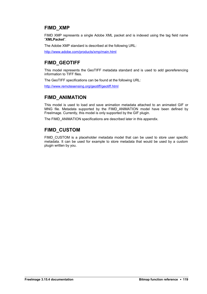### **FIMD\_XMP**

FIMD XMP represents a single Adobe XML packet and is indexed using the tag field name "**XMLPacket**".

The Adobe XMP standard is described at the following URL:

<http://www.adobe.com/products/xmp/main.html>

### **FIMD\_GEOTIFF**

This model represents the GeoTIFF metadata standard and is used to add georeferencing information to TIFF files.

The GeoTIFF specifications can be found at the following URL:

<http://www.remotesensing.org/geotiff/geotiff.html>

### **FIMD\_ANIMATION**

This model is used to load and save animation metadata attached to an animated GIF or MNG file. Metadata supported by the FIMD\_ANIMATION model have been defined by FreeImage. Currently, this model is only supported by the GIF plugin.

The FIMD\_ANIMATION specifications are described later in this appendix.

### **FIMD\_CUSTOM**

FIMD\_CUSTOM is a placeholder metadata model that can be used to store user specific metadata. It can be used for example to store metadata that would be used by a custom plugin written by you.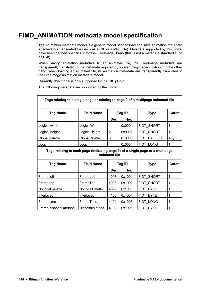# **FIMD\_ANIMATION metadata model specification**

The Animation metadata model is a generic model used to load and save animation metadata attached to an animated file (such as a GIF or a MNG file). Metadata supported by this model have been defined specifically for the FreeImage library (this is not a metadata standard such as Exif).

When saving animation metadata to an animated file, the Freelmage metadata are transparently translated to the metadata required by a given plugin specification. On the other hand, when loading an animated file, its animation metadata are transparently translated to the FreeImage animation metadata model.

Currently, this model is only supported by the GIF plugin.

The following metadata are supported by the model.

| Tags relating to a single page or relating to page 0 of a multipage animated file              |                   |                |            |              |       |  |
|------------------------------------------------------------------------------------------------|-------------------|----------------|------------|--------------|-------|--|
| <b>Tag Name</b>                                                                                | <b>Field Name</b> |                | Tag ID     | <b>Type</b>  | Count |  |
|                                                                                                |                   | <b>Dec</b>     | <b>Hex</b> |              |       |  |
| Logical width                                                                                  | LogicalWidth      | 1              | 0x0001     | FIDT SHORT   | 1     |  |
| Logical height                                                                                 | LogicalHeight     | $\overline{2}$ | 0x0002     | FIDT SHORT   | 1     |  |
| Global palette                                                                                 | GlobalPalette     | 3              | 0x0003     | FIDT PALETTE | Any   |  |
| Loop                                                                                           | Loop              | 4              | 0x0004     | FIDT LONG    | 1     |  |
| Tags relating to each page (including page 0) of a single page or a multipage<br>animated file |                   |                |            |              |       |  |
| <b>Tag Name</b>                                                                                | <b>Field Name</b> |                | Tag ID     | <b>Type</b>  | Count |  |
|                                                                                                |                   | <b>Dec</b>     | <b>Hex</b> |              |       |  |
| Frame left                                                                                     | FrameLeft         | 4097           | 0x1001     | FIDT SHORT   | 1     |  |
| Frame top                                                                                      | FrameTop          | 4098           | 0x1002     | FIDT SHORT   | 1     |  |
| No local palette                                                                               | NoLocalPalette    | 4099           | 0x1003     | FIDT BYTE    | 1     |  |
| Interlaced                                                                                     | Interlaced        | 4100           | 0x1004     | FIDT BYTE    | 1     |  |
| Frame time                                                                                     | FrameTime         | 4101           | 0x1005     | FIDT LONG    | 1     |  |
| Frame disposal method                                                                          | DisposalMethod    | 4102           | 0x1006     | FIDT BYTE    | 1     |  |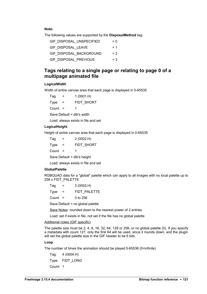**Note:** 

The following values are supported by the **DisposalMethod** tag:

| GIF DISPOSAL UNSPECIFIED | $= 0$ |
|--------------------------|-------|
| GIF DISPOSAL LEAVE       | $= 1$ |
| GIF DISPOSAL BACKGROUND  | $= 2$ |
| GIF DISPOSAL PREVIOUS    | $=$ 3 |

#### **Tags relating to a single page or relating to page 0 of a multipage animated file**

#### **LogicalWidth**

Width of entire canvas area that each page is displayed in 0-65535

 $Tag = 1 (0001.H)$ Type = FIDT\_SHORT Count  $=$  1 Save Default = dib's width

Load: always exists in file and set

#### **LogicalHeight**

Height of entire canvas area that each page is displayed in 0-65535

| Taq                         | =   | 2(0002.H)         |  |  |  |
|-----------------------------|-----|-------------------|--|--|--|
| Type                        | $=$ | <b>FIDT SHORT</b> |  |  |  |
| Count                       | $=$ | 1                 |  |  |  |
| Save Default = dib's height |     |                   |  |  |  |

Load: always exists in file and set

#### **GlobalPalette**

RGBQUAD data for a "global" palette which can apply to all images with no local palette up to 256 x FIDT\_PALETTE

| Tag                              |     | 3(0003.H)    |  |  |  |  |
|----------------------------------|-----|--------------|--|--|--|--|
| Type                             | $=$ | FIDT PALETTE |  |  |  |  |
| Count                            | $=$ | 0 to 256     |  |  |  |  |
| Save Default = no global palette |     |              |  |  |  |  |

Save Notes: rounded down to the nearest power of 2 entries

Load: set if exists in file, not set if the file has no global palette

#### Additional notes (GIF specific)

The palette size must be 2, 4, 8, 16, 32, 64, 128 or 256, or no global palette (0). If you specify a metadata with count 127, only the first 64 will be used, since it rounds down, and the plugin will set the global palette size in the GIF header to be 6 bits.

#### **Loop**

The number of times the animation should be played 0-65536 (0=infinite)

Tag: 4 (0004.H) Type: FIDT\_LONG Count: 1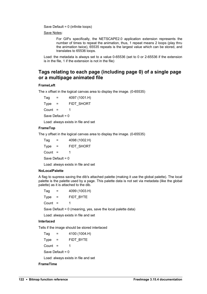Save Default = 0 (infinite loops)

Save Notes:

For GIFs specifically, the NETSCAPE2.0 application extension represents the number of times to repeat the animation, thus, 1 repeat means 2 loops (play thru the animation twice), 65535 repeats is the largest value which can be stored, and translates to 65536 loops.

Load: the metadata is always set to a value 0-65536 (set to 0 or 2-65536 if the extension is in the file, 1 if the extension is not in the file)

#### **Tags relating to each page (including page 0) of a single page or a multipage animated file**

#### **FrameLeft**

The x offset in the logical canvas area to display the image. (0-65535)

 $Tag = 4097 (1001.H)$ Type = FIDT\_SHORT Count  $=$  1 Save Default = 0

Load: always exists in file and set

#### **FrameTop**

The y offset in the logical canvas area to display the image. (0-65535)

 $Taq = 4098 (1002.H)$ Type = FIDT\_SHORT Count  $=$  1 Save Default =  $0$ 

Load: always exists in file and set

#### **NoLocalPalette**

A flag to supress saving the dib's attached palette (making it use the global palette). The local palette is the palette used by a page. This palette data is not set via metadata (like the global palette) as it is attached to the dib.

| Tag   | =   | 4099 (1003.H) |
|-------|-----|---------------|
| Type  | $=$ | FIDT BYTE     |
| Count | $=$ | 1             |

Save Default = 0 (meaning, yes, save the local palette data)

Load: always exists in file and set

#### **Interlaced**

Tells if the image should be stored interlaced

 $Tag = 4100 (1004.H)$ Type = FIDT\_BYTE Count =  $1$ Save Default = 0 Load: always exists in file and set

**FrameTime**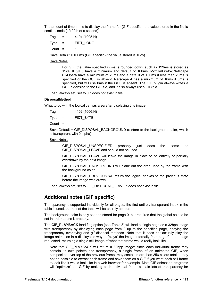The amount of time in ms to display the frame for (GIF specific - the value stored in the file is centiseconds (1/100th of a second)).

 $Taq = 4101 (1005.H)$ Type = FIDT\_LONG Count  $=$  1

Save Default = 100ms (GIF specific - the value stored is 10cs)

#### Save Notes:

For GIF, the value specified in ms is rounded down, such as 129ms is stored as 12cs. IE5/IE6 have a minimum and default of 100ms. Mozilla/Firefox/Netscape 6+/Opera have a minimum of 20ms and a default of 100ms if less than 20ms is specified or the GCE is absent. Netscape 4 has a minimum of 10ms if 0ms is specified, but will use 0ms if the GCE is absent. The GIF plugin always writes a GCE extension to the GIF file, and it also always uses GIF89a.

Load: always set, set to 0 if does not exist in file

#### **DisposalMethod**

What to do with the logical canvas area after displaying this image.

| Tag   | =        | 4102 (1006.H) |
|-------|----------|---------------|
| Type  | $\equiv$ | FIDT BYTE     |
| Count | $=$      | 1             |

Save Default = GIF\_DISPOSAL\_BACKGROUND (restore to the background color, which is transparent with 0 alpha)

#### Save Notes:

GIF\_DISPOSAL\_UNSPECIFIED probably just does the same as GIF\_DISPOSAL\_LEAVE and should not be used.

GIF\_DISPOSAL\_LEAVE\_will\_leave\_the\_image\_in\_place\_to\_be\_entirely\_or\_partially overdrawn by the next image.

GIF\_DISPOSAL\_BACKGROUND will blank out the area used by the frame with the background color.

GIF\_DISPOSAL\_PREVIOUS will return the logical canvas to the previous state before the image was drawn.

Load: always set, set to GIF\_DISPOSAL\_LEAVE if does not exist in file

#### **Additional notes (GIF specific)**

Transparency is supported individually for all pages, the first entirely transparent index in the table is used, the rest of the table will be entirely opaque.

The background color is only set and stored for page 0, but requires that the global palette be set in order to use it properly.

The **GIF\_PLAYBACK** load flag option (see [Table 3\)](#page-11-0) will load a single page as a 32bpp image with transparency by displaying each page from 0 up to the specified page, obeying the transparency overlaying and gif disposal methods. Note that it does not actually play the image animation in a displayable way. It "plays" the image internally from page 0 to the page requested, returning a single still image of what that frame would really look like.

Note that GIF\_PLAYBACK will return a 32bpp image: since each individual frame may contain its own palette and transparency, a single frame of an animated GIF, when composited over top of the previous frame, may contain more than 256 colors total. It may not be possible to extract each frame and save them as a GIF if you want each still frame to look like it would look like in a web browser for example. Most GIF animation programs will "optimize" the GIF by making each individual frame contain lots of transparency for